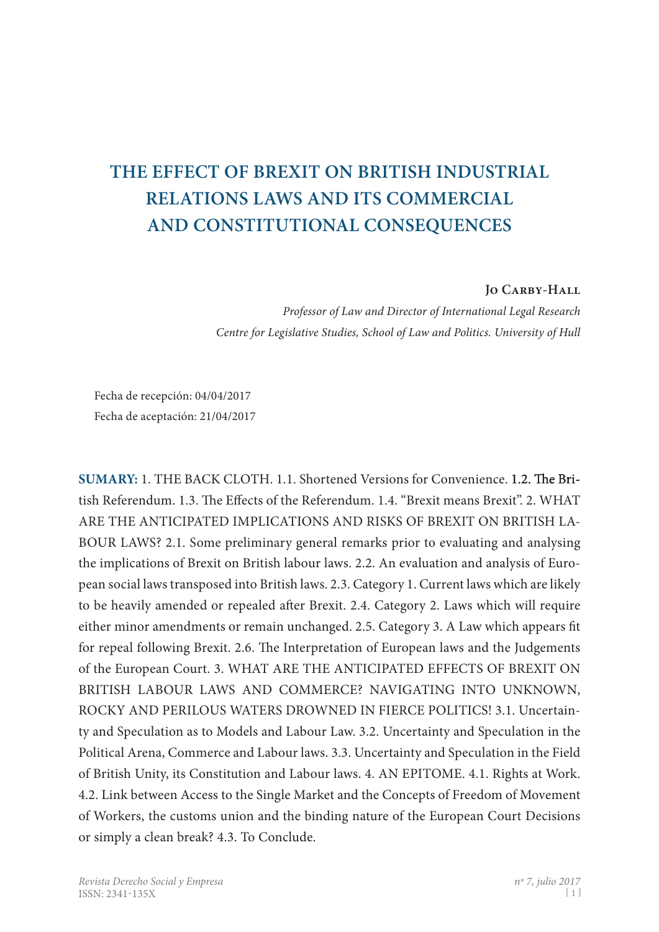# **THE EFFECT OF BREXIT ON BRITISH INDUSTRIAL RELATIONS LAWS AND ITS COMMERCIAL AND CONSTITUTIONAL CONSEQUENCES**

## **Jo Carby-Hall**

*Professor of Law and Director of International Legal Research Centre for Legislative Studies, School of Law and Politics. University of Hull*

Fecha de recepción: 04/04/2017 Fecha de aceptación: 21/04/2017

**SUMARY:** 1. THE BACK CLOTH. 1.1. Shortened Versions for Convenience. 1.2. The British Referendum. 1.3. The Effects of the Referendum. 1.4. "Brexit means Brexit". 2. WHAT ARE THE ANTICIPATED IMPLICATIONS AND RISKS OF BREXIT ON BRITISH LA-BOUR LAWS? 2.1. Some preliminary general remarks prior to evaluating and analysing the implications of Brexit on British labour laws. 2.2. An evaluation and analysis of European social laws transposed into British laws. 2.3. Category 1. Current laws which are likely to be heavily amended or repealed after Brexit. 2.4. Category 2. Laws which will require either minor amendments or remain unchanged. 2.5. Category 3. A Law which appears fit for repeal following Brexit. 2.6. The Interpretation of European laws and the Judgements of the European Court. 3. WHAT ARE THE ANTICIPATED EFFECTS OF BREXIT ON BRITISH LABOUR LAWS AND COMMERCE? NAVIGATING INTO UNKNOWN, ROCKY AND PERILOUS WATERS DROWNED IN FIERCE POLITICS! 3.1. Uncertainty and Speculation as to Models and Labour Law. 3.2. Uncertainty and Speculation in the Political Arena, Commerce and Labour laws. 3.3. Uncertainty and Speculation in the Field of British Unity, its Constitution and Labour laws. 4. AN EPITOME. 4.1. Rights at Work. 4.2. Link between Access to the Single Market and the Concepts of Freedom of Movement of Workers, the customs union and the binding nature of the European Court Decisions or simply a clean break? 4.3. To Conclude.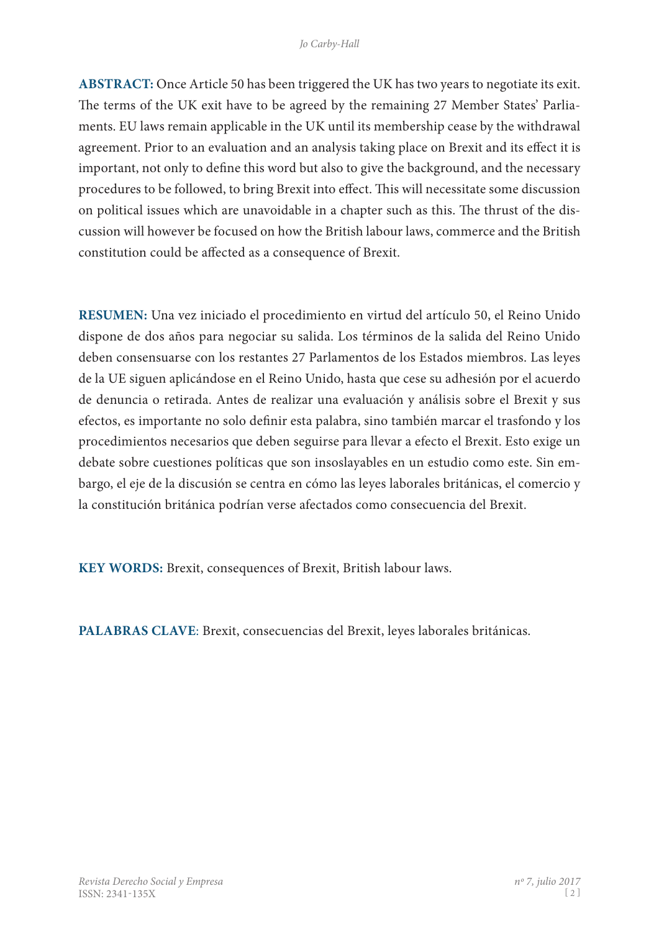**ABSTRACT:** Once Article 50 has been triggered the UK has two years to negotiate its exit. The terms of the UK exit have to be agreed by the remaining 27 Member States' Parliaments. EU laws remain applicable in the UK until its membership cease by the withdrawal agreement. Prior to an evaluation and an analysis taking place on Brexit and its effect it is important, not only to define this word but also to give the background, and the necessary procedures to be followed, to bring Brexit into effect. This will necessitate some discussion on political issues which are unavoidable in a chapter such as this. The thrust of the discussion will however be focused on how the British labour laws, commerce and the British constitution could be affected as a consequence of Brexit.

**RESUMEN:** Una vez iniciado el procedimiento en virtud del artículo 50, el Reino Unido dispone de dos años para negociar su salida. Los términos de la salida del Reino Unido deben consensuarse con los restantes 27 Parlamentos de los Estados miembros. Las leyes de la UE siguen aplicándose en el Reino Unido, hasta que cese su adhesión por el acuerdo de denuncia o retirada. Antes de realizar una evaluación y análisis sobre el Brexit y sus efectos, es importante no solo definir esta palabra, sino también marcar el trasfondo y los procedimientos necesarios que deben seguirse para llevar a efecto el Brexit. Esto exige un debate sobre cuestiones políticas que son insoslayables en un estudio como este. Sin em� bargo, el eje de la discusión se centra en cómo las leyes laborales británicas, el comercio y la constitución británica podrían verse afectados como consecuencia del Brexit.

**KEY WORDS:** Brexit, consequences of Brexit, British labour laws.

**PALABRAS CLAVE**: Brexit, consecuencias del Brexit, leyes laborales británicas.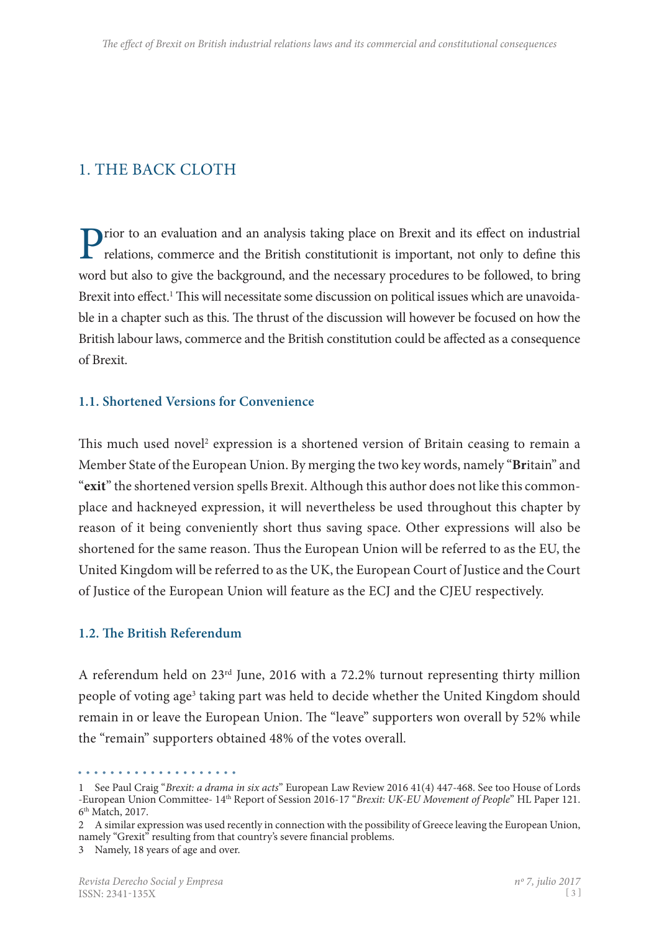# 1. The Back Cloth

Prior to an evaluation and an analysis taking place on Brexit and its effect on industrial relations, commerce and the British constitutionit is important, not only to define this word but also to give the background, and the necessary procedures to be followed, to bring Brexit into effect.<sup>1</sup> This will necessitate some discussion on political issues which are unavoidable in a chapter such as this. The thrust of the discussion will however be focused on how the British labour laws, commerce and the British constitution could be affected as a consequence of Brexit.

# **1.1. Shortened Versions for Convenience**

This much used novel<sup>2</sup> expression is a shortened version of Britain ceasing to remain a Member State of the European Union. By merging the two key words, namely "**Br**itain" and "**exit**" the shortened version spells Brexit. Although this author does not like this commonplace and hackneyed expression, it will nevertheless be used throughout this chapter by reason of it being conveniently short thus saving space. Other expressions will also be shortened for the same reason. Thus the European Union will be referred to as the EU, the United Kingdom will be referred to as the UK, the European Court of Justice and the Court of Justice of the European Union will feature as the ECJ and the CJEU respectively.

# **1.2. The British Referendum**

A referendum held on 23rd June, 2016 with a 72.2% turnout representing thirty million people of voting age<sup>3</sup> taking part was held to decide whether the United Kingdom should remain in or leave the European Union. The "leave" supporters won overall by 52% while the "remain" supporters obtained 48% of the votes overall.

<sup>1</sup> See Paul Craig "*Brexit: a drama in six acts*" European Law Review 2016 41(4) 447-468. See too House of Lords -European Union Committee- 14th Report of Session 2016-17 "*Brexit: UK-EU Movement of People*" HL Paper 121. 6th Match, 2017.

<sup>2</sup> A similar expression was used recently in connection with the possibility of Greece leaving the European Union, namely "Grexit" resulting from that country's severe financial problems.

<sup>3</sup> Namely, 18 years of age and over.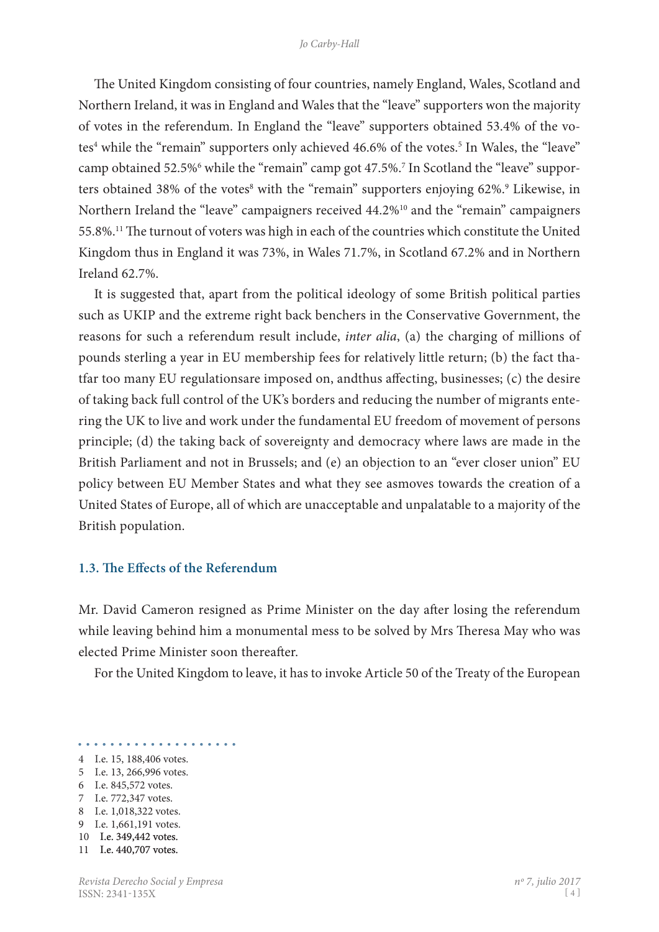The United Kingdom consisting of four countries, namely England, Wales, Scotland and Northern Ireland, it was in England and Wales that the "leave" supporters won the majority of votes in the referendum. In England the "leave" supporters obtained 53.4% of the votes<sup>4</sup> while the "remain" supporters only achieved 46.6% of the votes.<sup>5</sup> In Wales, the "leave" camp obtained 52.5%<sup>6</sup> while the "remain" camp got 47.5%.<sup>7</sup> In Scotland the "leave" supporters obtained 38% of the votes<sup>8</sup> with the "remain" supporters enjoying 62%.<sup>9</sup> Likewise, in Northern Ireland the "leave" campaigners received 44.2%<sup>10</sup> and the "remain" campaigners 55.8%.11 The turnout of voters was high in each of the countries which constitute the United Kingdom thus in England it was 73%, in Wales 71.7%, in Scotland 67.2% and in Northern Ireland 62.7%.

It is suggested that, apart from the political ideology of some British political parties such as UKIP and the extreme right back benchers in the Conservative Government, the reasons for such a referendum result include, *inter alia*, (a) the charging of millions of pounds sterling a year in EU membership fees for relatively little return; (b) the fact tha� tfar too many EU regulationsare imposed on, andthus affecting, businesses; (c) the desire of taking back full control of the UK's borders and reducing the number of migrants entering the UK to live and work under the fundamental EU freedom of movement of persons principle; (d) the taking back of sovereignty and democracy where laws are made in the British Parliament and not in Brussels; and (e) an objection to an "ever closer union" EU policy between EU Member States and what they see asmoves towards the creation of a United States of Europe, all of which are unacceptable and unpalatable to a majority of the British population.

#### **1.3. The Effects of the Referendum**

Mr. David Cameron resigned as Prime Minister on the day after losing the referendum while leaving behind him a monumental mess to be solved by Mrs Theresa May who was elected Prime Minister soon thereafter.

For the United Kingdom to leave, it has to invoke Article 50 of the Treaty of the European

- 
- 4 I.e. 15, 188,406 votes.
- 5 I.e. 13, 266,996 votes.
- 6 I.e. 845,572 votes.
- 7 I.e. 772,347 votes.
- 8 I.e. 1,018,322 votes.
- 9 I.e. 1,661,191 votes.
- 10 I.e. 349,442 votes.
- 11 I.e. 440,707 votes.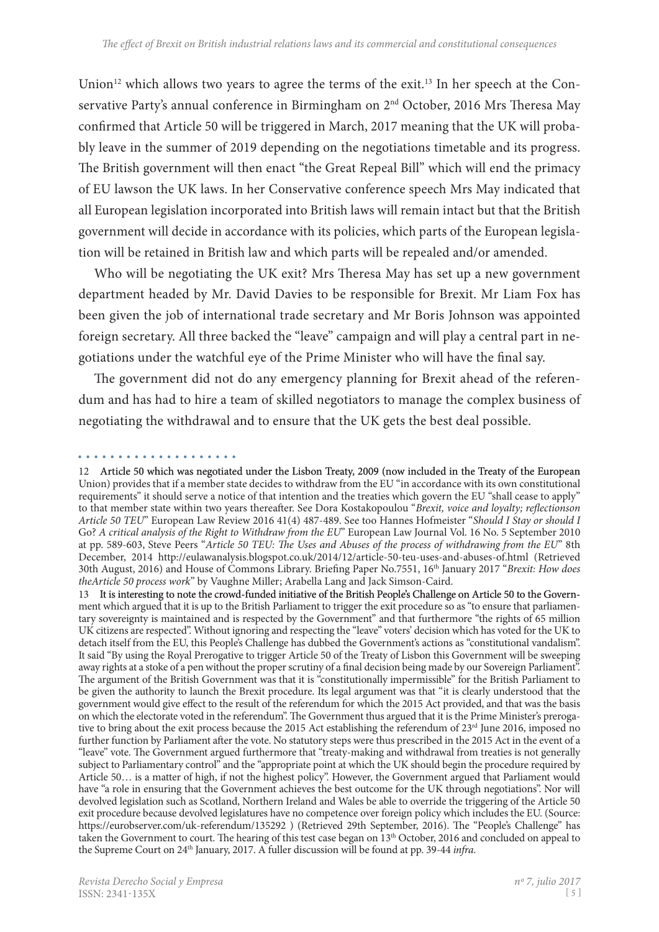Union<sup>12</sup> which allows two years to agree the terms of the exit.<sup>13</sup> In her speech at the Conservative Party's annual conference in Birmingham on 2<sup>nd</sup> October, 2016 Mrs Theresa May confirmed that Article 50 will be triggered in March, 2017 meaning that the UK will probably leave in the summer of 2019 depending on the negotiations timetable and its progress. The British government will then enact "the Great Repeal Bill" which will end the primacy of EU lawson the UK laws. In her Conservative conference speech Mrs May indicated that all European legislation incorporated into British laws will remain intact but that the British government will decide in accordance with its policies, which parts of the European legisla� tion will be retained in British law and which parts will be repealed and/or amended.

Who will be negotiating the UK exit? Mrs Theresa May has set up a new government department headed by Mr. David Davies to be responsible for Brexit. Mr Liam Fox has been given the job of international trade secretary and Mr Boris Johnson was appointed foreign secretary. All three backed the "leave" campaign and will play a central part in negotiations under the watchful eye of the Prime Minister who will have the final say.

The government did not do any emergency planning for Brexit ahead of the referendum and has had to hire a team of skilled negotiators to manage the complex business of negotiating the withdrawal and to ensure that the UK gets the best deal possible.

13 It is interesting to note the crowd-funded initiative of the British People's Challenge on Article 50 to the Government which argued that it is up to the British Parliament to trigger the exit procedure so as "to ensure that parliamentary sovereignty is maintained and is respected by the Government" and that furthermore "the rights of 65 million UK citizens are respected". Without ignoring and respecting the "leave" voters' decision which has voted for the UK to detach itself from the EU, this People's Challenge has dubbed the Government's actions as "constitutional vandalism". It said "By using the Royal Prerogative to trigger Article 50 of the Treaty of Lisbon this Government will be sweeping away rights at a stoke of a pen without the proper scrutiny of a final decision being made by our Sovereign Parliament". The argument of the British Government was that it is "constitutionally impermissible" for the British Parliament to be given the authority to launch the Brexit procedure. Its legal argument was that "it is clearly understood that the government would give effect to the result of the referendum for which the 2015 Act provided, and that was the basis on which the electorate voted in the referendum". The Government thus argued that it is the Prime Minister's prerogative to bring about the exit process because the 2015 Act establishing the referendum of 23<sup>rd</sup> June 2016, imposed no further function by Parliament after the vote. No statutory steps were thus prescribed in the 2015 Act in the event of a "leave" vote. The Government argued furthermore that "treaty-making and withdrawal from treaties is not generally subject to Parliamentary control" and the "appropriate point at which the UK should begin the procedure required by Article 50… is a matter of high, if not the highest policy". However, the Government argued that Parliament would have "a role in ensuring that the Government achieves the best outcome for the UK through negotiations". Nor will devolved legislation such as Scotland, Northern Ireland and Wales be able to override the triggering of the Article 50 exit procedure because devolved legislatures have no competence over foreign policy which includes the EU. (Source: https://eurobserver.com/uk-referendum/135292 ) (Retrieved 29th September, 2016). The "People's Challenge" has taken the Government to court. The hearing of this test case began on 13th October, 2016 and concluded on appeal to the Supreme Court on 24th January, 2017. A fuller discussion will be found at pp. 39-44 *infra*.

<sup>12</sup> Article 50 which was negotiated under the Lisbon Treaty, 2009 (now included in the Treaty of the European Union) provides that if a member state decides to withdraw from the EU "in accordance with its own constitutional requirements" it should serve a notice of that intention and the treaties which govern the EU "shall cease to apply" to that member state within two years thereafter. See Dora Kostakopoulou "*Brexit, voice and loyalty; reflectionson Article 50 TEU*" European Law Review 2016 41(4) 487-489. See too Hannes Hofmeister "*Should I Stay or should I* Go? *A critical analysis of the Right to Withdraw from the EU*" European Law Journal Vol. 16 No. 5 September 2010 at pp. 589-603, Steve Peers "*Article 50 TEU: The Uses and Abuses of the process of withdrawing from the EU*" 8th December, 2014 http://eulawanalysis.blogspot.co.uk/2014/12/article-50-teu-uses-and-abuses-of.html (Retrieved 30th August, 2016) and House of Commons Library. Briefing Paper No.7551, 16th January 2017 "*Brexit: How does theArticle 50 process work*" by Vaughne Miller; Arabella Lang and Jack Simson-Caird.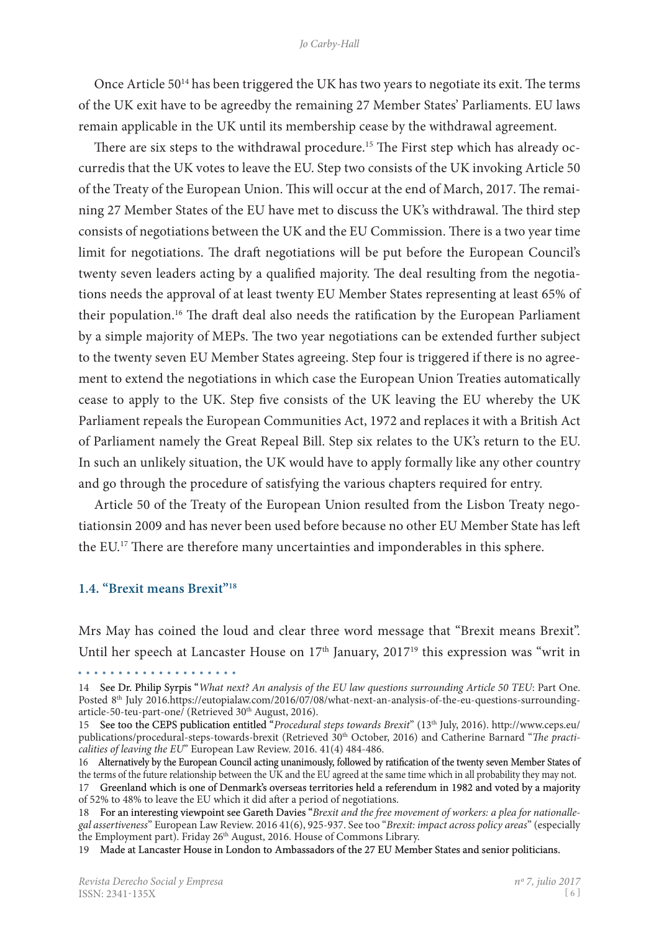#### *Jo Carby-Hall*

Once Article 50<sup>14</sup> has been triggered the UK has two years to negotiate its exit. The terms of the UK exit have to be agreedby the remaining 27 Member States' Parliaments. EU laws remain applicable in the UK until its membership cease by the withdrawal agreement.

There are six steps to the withdrawal procedure.<sup>15</sup> The First step which has already occurredis that the UK votes to leave the EU. Step two consists of the UK invoking Article 50 of the Treaty of the European Union. This will occur at the end of March, 2017. The remaining 27 Member States of the EU have met to discuss the UK's withdrawal. The third step consists of negotiations between the UK and the EU Commission. There is a two year time limit for negotiations. The draft negotiations will be put before the European Council's twenty seven leaders acting by a qualified majority. The deal resulting from the negotiations needs the approval of at least twenty EU Member States representing at least 65% of their population.16 The draft deal also needs the ratification by the European Parliament by a simple majority of MEPs. The two year negotiations can be extended further subject to the twenty seven EU Member States agreeing. Step four is triggered if there is no agreement to extend the negotiations in which case the European Union Treaties automatically cease to apply to the UK. Step five consists of the UK leaving the EU whereby the UK Parliament repeals the European Communities Act, 1972 and replaces it with a British Act of Parliament namely the Great Repeal Bill. Step six relates to the UK's return to the EU. In such an unlikely situation, the UK would have to apply formally like any other country and go through the procedure of satisfying the various chapters required for entry.

Article 50 of the Treaty of the European Union resulted from the Lisbon Treaty negotiationsin 2009 and has never been used before because no other EU Member State has left the EU.17 There are therefore many uncertainties and imponderables in this sphere.

#### **1.4. "Brexit means Brexit"18**

. . . . . . . . . . . . . . . . . . . .

Mrs May has coined the loud and clear three word message that "Brexit means Brexit". Until her speech at Lancaster House on  $17<sup>th</sup>$  January,  $2017<sup>19</sup>$  this expression was "writ in

<sup>14</sup>  See Dr. Philip Syrpis "*What next? An analysis of the EU law questions surrounding Article 50 TEU*: Part One. Posted 8<sup>th</sup> July 2016.https://eutopialaw.com/2016/07/08/what-next-an-analysis-of-the-eu-questions-surroundingarticle-50-teu-part-one/ (Retrieved 30th August, 2016).

<sup>15</sup>  See too the CEPS publication entitled "*Procedural steps towards Brexit*" (13th July, 2016). http://www.ceps.eu/ publications/procedural-steps-towards-brexit (Retrieved 30<sup>th</sup> October, 2016) and Catherine Barnard "*The practicalities of leaving the EU*" European Law Review. 2016. 41(4) 484-486.

<sup>16</sup> Alternatively by the European Council acting unanimously, followed by ratification of the twenty seven Member States of the terms of the future relationship between the UK and the EU agreed at the same time which in all probability they may not.

<sup>17</sup> Greenland which is one of Denmark's overseas territories held a referendum in 1982 and voted by a majority of 52% to 48% to leave the EU which it did after a period of negotiations.

<sup>18</sup>  For an interesting viewpoint see Gareth Davies "*Brexit and the free movement of workers: a plea for nationallegal assertiveness*" European Law Review. 2016 41(6), 925-937. See too "*Brexit: impact across policy areas*" (especially the Employment part). Friday  $26<sup>th</sup>$  August, 2016. House of Commons Library.

<sup>19</sup>  Made at Lancaster House in London to Ambassadors of the 27 EU Member States and senior politicians.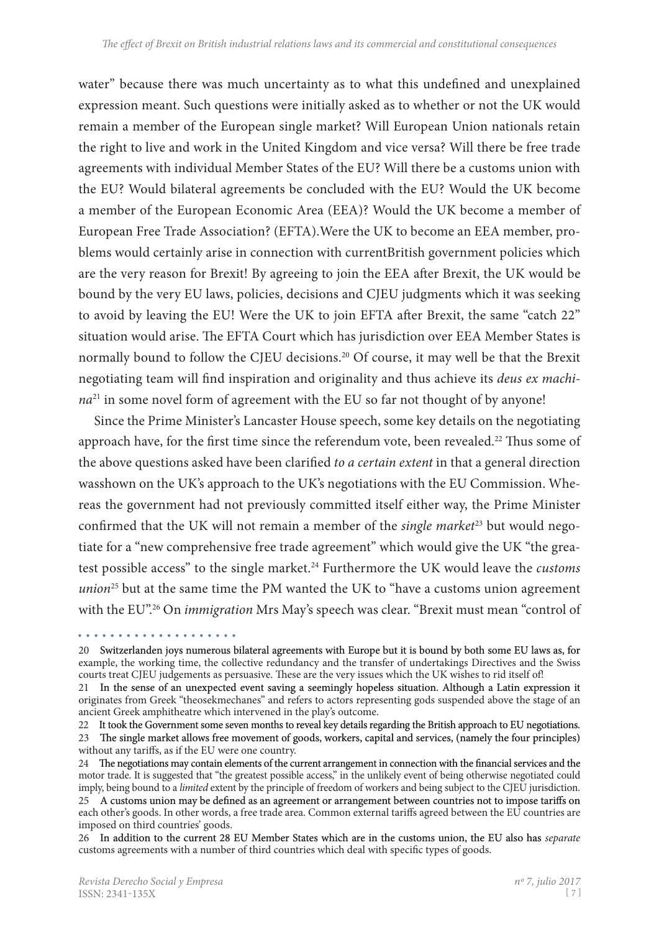water" because there was much uncertainty as to what this undefined and unexplained expression meant. Such questions were initially asked as to whether or not the UK would remain a member of the European single market? Will European Union nationals retain the right to live and work in the United Kingdom and vice versa? Will there be free trade agreements with individual Member States of the EU? Will there be a customs union with the EU? Would bilateral agreements be concluded with the EU? Would the UK become a member of the European Economic Area (EEA)? Would the UK become a member of European Free Trade Association? (EFTA). Were the UK to become an EEA member, problems would certainly arise in connection with currentBritish government policies which are the very reason for Brexit! By agreeing to join the EEA after Brexit, the UK would be bound by the very EU laws, policies, decisions and CJEU judgments which it was seeking to avoid by leaving the EU! Were the UK to join EFTA after Brexit, the same "catch 22" situation would arise. The EFTA Court which has jurisdiction over EEA Member States is normally bound to follow the CIEU decisions.<sup>20</sup> Of course, it may well be that the Brexit negotiating team will find inspiration and originality and thus achieve its *deus ex machina*<sup>21</sup> in some novel form of agreement with the EU so far not thought of by anyone!

Since the Prime Minister's Lancaster House speech, some key details on the negotiating approach have, for the first time since the referendum vote, been revealed.<sup>22</sup> Thus some of the above questions asked have been clarified *to a certain extent* in that a general direction wasshown on the UK's approach to the UK's negotiations with the EU Commission. Whereas the government had not previously committed itself either way, the Prime Minister confirmed that the UK will not remain a member of the *single market*<sup>23</sup> but would negotiate for a "new comprehensive free trade agreement" which would give the UK "the greatest possible access" to the single market.<sup>24</sup> Furthermore the UK would leave the *customs union*25 but at the same time the PM wanted the UK to "have a customs union agreement with the EU".26 On *immigration* Mrs May's speech was clear. "Brexit must mean "control of

<sup>20</sup> Switzerlanden joys numerous bilateral agreements with Europe but it is bound by both some EU laws as, for example, the working time, the collective redundancy and the transfer of undertakings Directives and the Swiss courts treat CJEU judgements as persuasive. These are the very issues which the UK wishes to rid itself of!

<sup>21</sup> In the sense of an unexpected event saving a seemingly hopeless situation. Although a Latin expression it originates from Greek "theosekmechanes" and refers to actors representing gods suspended above the stage of an ancient Greek amphitheatre which intervened in the play's outcome.

<sup>22</sup>  It took the Government some seven months to reveal key details regarding the British approach to EU negotiations. 23 The single market allows free movement of goods, workers, capital and services, (namely the four principles) without any tariffs, as if the EU were one country.

<sup>24</sup> The negotiations may contain elements of the current arrangement in connection with the financial services and the motor trade. It is suggested that "the greatest possible access," in the unlikely event of being otherwise negotiated could imply, being bound to a *limited* extent by the principle of freedom of workers and being subject to the CJEU jurisdiction. 25 A customs union may be defined as an agreement or arrangement between countries not to impose tariffs on

each other's goods. In other words, a free trade area. Common external tariffs agreed between the EU countries are imposed on third countries' goods.

<sup>26</sup> In addition to the current 28 EU Member States which are in the customs union, the EU also has *separate*  customs agreements with a number of third countries which deal with specific types of goods.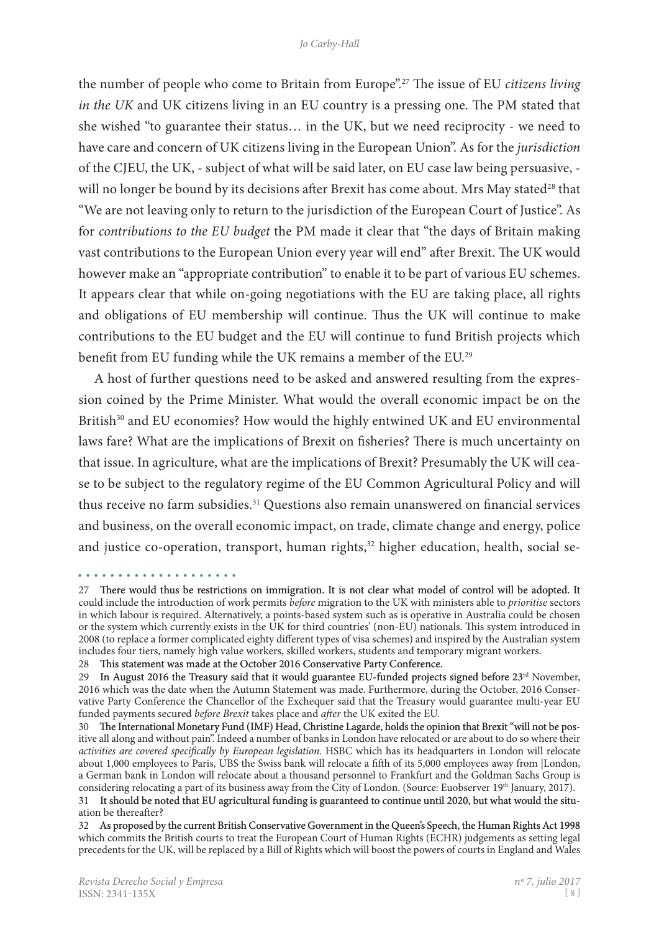the number of people who come to Britain from Europe".27 The issue of EU *citizens living in the UK* and UK citizens living in an EU country is a pressing one. The PM stated that she wished "to guarantee their status… in the UK, but we need reciprocity - we need to have care and concern of UK citizens living in the European Union". As for the *jurisdiction* of the CJEU, the UK, - subject of what will be said later, on EU case law being persuasive, will no longer be bound by its decisions after Brexit has come about. Mrs May stated<sup>28</sup> that "We are not leaving only to return to the jurisdiction of the European Court of Justice". As for *contributions to the EU budget* the PM made it clear that "the days of Britain making vast contributions to the European Union every year will end" after Brexit. The UK would however make an "appropriate contribution" to enable it to be part of various EU schemes. It appears clear that while on-going negotiations with the EU are taking place, all rights and obligations of EU membership will continue. Thus the UK will continue to make contributions to the EU budget and the EU will continue to fund British projects which benefit from EU funding while the UK remains a member of the EU.29

A host of further questions need to be asked and answered resulting from the expression coined by the Prime Minister. What would the overall economic impact be on the British<sup>30</sup> and EU economies? How would the highly entwined UK and EU environmental laws fare? What are the implications of Brexit on fisheries? There is much uncertainty on that issue. In agriculture, what are the implications of Brexit? Presumably the UK will cease to be subject to the regulatory regime of the EU Common Agricultural Policy and will thus receive no farm subsidies.<sup>31</sup> Questions also remain unanswered on financial services and business, on the overall economic impact, on trade, climate change and energy, police and justice co-operation, transport, human rights,<sup>32</sup> higher education, health, social se-

<sup>27</sup> There would thus be restrictions on immigration. It is not clear what model of control will be adopted. It could include the introduction of work permits *before* migration to the UK with ministers able to *prioritise* sectors in which labour is required. Alternatively, a points-based system such as is operative in Australia could be chosen or the system which currently exists in the UK for third countries' (non-EU) nationals. This system introduced in 2008 (to replace a former complicated eighty different types of visa schemes) and inspired by the Australian system includes four tiers, namely high value workers, skilled workers, students and temporary migrant workers.

<sup>28</sup> This statement was made at the October 2016 Conservative Party Conference.

<sup>29</sup> In August 2016 the Treasury said that it would guarantee EU-funded projects signed before 23<sup>rd</sup> November, 2016 which was the date when the Autumn Statement was made. Furthermore, during the October, 2016 Conservative Party Conference the Chancellor of the Exchequer said that the Treasury would guarantee multi-year EU funded payments secured *before Brexit* takes place and *after* the UK exited the EU.

<sup>30</sup> The International Monetary Fund (IMF) Head, Christine Lagarde, holds the opinion that Brexit "will not be positive all along and without pain". Indeed a number of banks in London have relocated or are about to do so where their *activities are covered specifically by European legislation*. HSBC which has its headquarters in London will relocate about 1,000 employees to Paris, UBS the Swiss bank will relocate a fifth of its 5,000 employees away from |London, a German bank in London will relocate about a thousand personnel to Frankfurt and the Goldman Sachs Group is considering relocating a part of its business away from the City of London. (Source: Euobserver 19th January, 2017).

<sup>31</sup>  It should be noted that EU agricultural funding is guaranteed to continue until 2020, but what would the situ� ation be thereafter?

<sup>32</sup> As proposed by the current British Conservative Government in the Queen's Speech, the Human Rights Act 1998 which commits the British courts to treat the European Court of Human Rights (ECHR) judgements as setting legal precedents for the UK, will be replaced by a Bill of Rights which will boost the powers of courts in England and Wales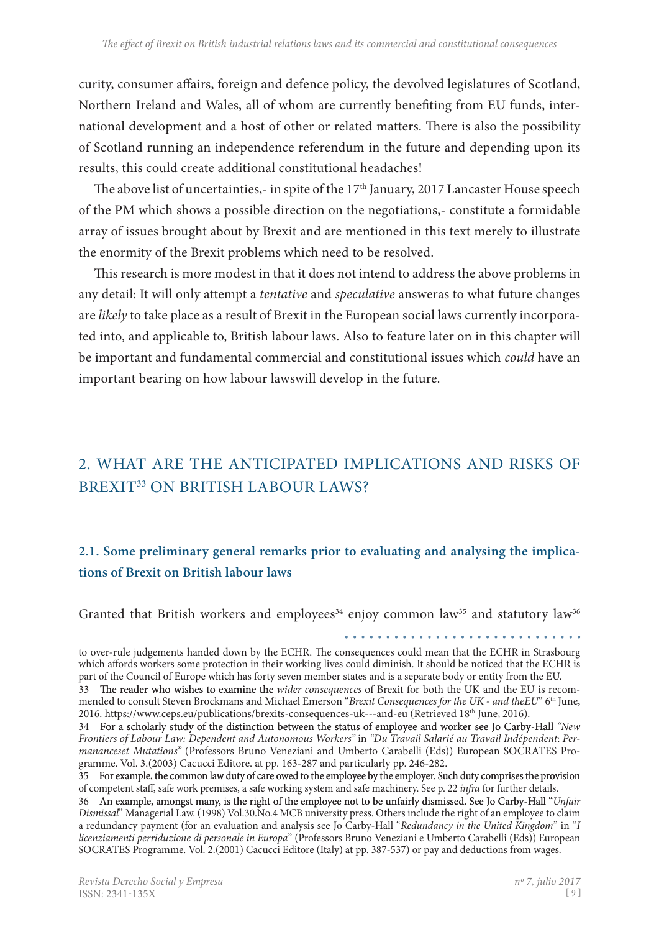curity, consumer affairs, foreign and defence policy, the devolved legislatures of Scotland, Northern Ireland and Wales, all of whom are currently benefiting from EU funds, international development and a host of other or related matters. There is also the possibility of Scotland running an independence referendum in the future and depending upon its results, this could create additional constitutional headaches!

The above list of uncertainties,- in spite of the  $17<sup>th</sup>$  January, 2017 Lancaster House speech of the PM which shows a possible direction on the negotiations,- constitute a formidable array of issues brought about by Brexit and are mentioned in this text merely to illustrate the enormity of the Brexit problems which need to be resolved.

This research is more modest in that it does not intend to address the above problems in any detail: It will only attempt a *tentative* and *speculative* answeras to what future changes are *likely* to take place as a result of Brexit in the European social laws currently incorporated into, and applicable to, British labour laws. Also to feature later on in this chapter will be important and fundamental commercial and constitutional issues which *could* have an important bearing on how labour lawswill develop in the future.

# 2. What are the Anticipated Implications and Risks of BREXIT<sup>33</sup> ON BRITISH LABOUR LAWS?

# **2.1. Some preliminary general remarks prior to evaluating and analysing the implications of Brexit on British labour laws**

Granted that British workers and employees<sup>34</sup> enjoy common law<sup>35</sup> and statutory law<sup>36</sup>

. . . . . . . . . . . . . *.* 

to over-rule judgements handed down by the ECHR. The consequences could mean that the ECHR in Strasbourg which affords workers some protection in their working lives could diminish. It should be noticed that the ECHR is part of the Council of Europe which has forty seven member states and is a separate body or entity from the EU.

<sup>33</sup> �e reader who wishes to examine the *wider consequences* of Brexit for both the UK and the EU is recom� mended to consult Steven Brockmans and Michael Emerson "*Brexit Consequences for the UK - and theEU*" 6th June, 2016. https://www.ceps.eu/publications/brexits-consequences-uk---and-eu (Retrieved 18th June, 2016).

<sup>34</sup> For a scholarly study of the distinction between the status of employee and worker see Jo Carby-Hall "New *Frontiers of Labour Law: Dependent and Autonomous Workers"* in *"Du Travail Salarié au Travail Indépendent*: *Permananceset Mutations*" (Professors Bruno Veneziani and Umberto Carabelli (Eds)) European SOCRATES Programme. Vol. 3.(2003) Cacucci Editore. at pp. 163-287 and particularly pp. 246-282.

<sup>35</sup> For example, the common law duty of care owed to the employee by the employer. Such duty comprises the provision of competent staff, safe work premises, a safe working system and safe machinery. See p. 22 *infra* for further details.

<sup>36</sup> An example, amongst many, is the right of the employee not to be unfairly dismissed. See Jo Carby-Hall "Unfair *Dismissal*" Managerial Law. (1998) Vol.30.No.4 MCB university press. Others include the right of an employee to claim a redundancy payment (for an evaluation and analysis see Jo Carby-Hall "*Redundancy in the United Kingdom*" in "*I licenziamenti perriduzione di personale in Europa*" (Professors Bruno Veneziani e Umberto Carabelli (Eds)) European SOCRATES Programme. Vol. 2.(2001) Cacucci Editore (Italy) at pp. 387-537) or pay and deductions from wages.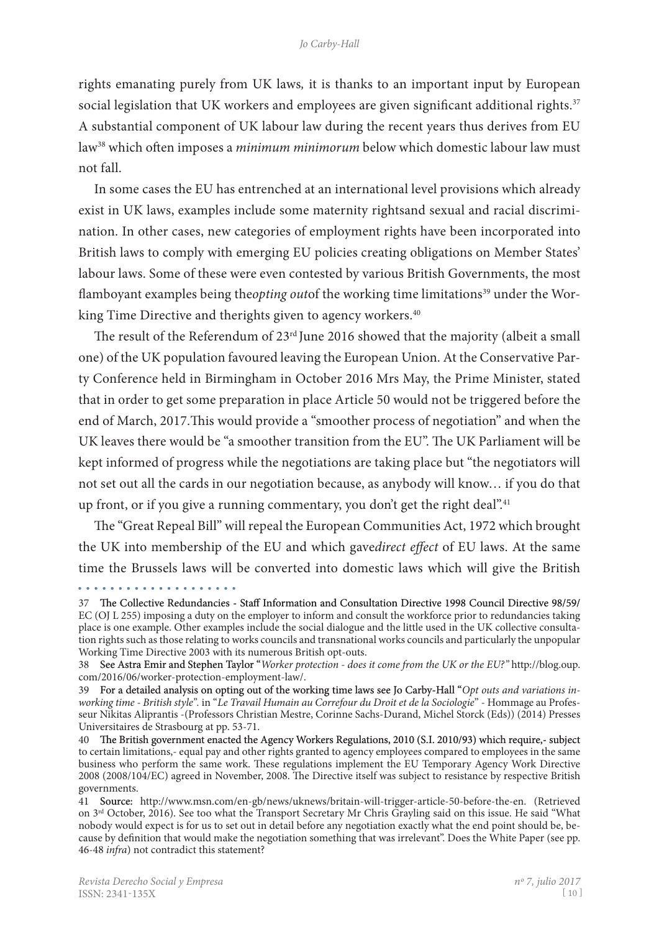rights emanating purely from UK laws*,* it is thanks to an important input by European social legislation that UK workers and employees are given significant additional rights.<sup>37</sup> A substantial component of UK labour law during the recent years thus derives from EU law38 which often imposes a *minimum minimorum* below which domestic labour law must not fall.

In some cases the EU has entrenched at an international level provisions which already exist in UK laws, examples include some maternity rightsand sexual and racial discrimination. In other cases, new categories of employment rights have been incorporated into British laws to comply with emerging EU policies creating obligations on Member States' labour laws. Some of these were even contested by various British Governments, the most flamboyant examples being the*opting outof* the working time limitations<sup>39</sup> under the Working Time Directive and therights given to agency workers.<sup>40</sup>

The result of the Referendum of 23<sup>rd</sup> June 2016 showed that the majority (albeit a small one) of the UK population favoured leaving the European Union. At the Conservative Par� ty Conference held in Birmingham in October 2016 Mrs May, the Prime Minister, stated that in order to get some preparation in place Article 50 would not be triggered before the end of March, 2017.This would provide a "smoother process of negotiation" and when the UK leaves there would be "a smoother transition from the EU". The UK Parliament will be kept informed of progress while the negotiations are taking place but "the negotiators will not set out all the cards in our negotiation because, as anybody will know… if you do that up front, or if you give a running commentary, you don't get the right deal".<sup>41</sup>

The "Great Repeal Bill" will repeal the European Communities Act, 1972 which brought the UK into membership of the EU and which gave*direct effect* of EU laws. At the same time the Brussels laws will be converted into domestic laws which will give the British

<sup>37</sup> The Collective Redundancies - Staff Information and Consultation Directive 1998 Council Directive 98/59/ EC (OJ L 255) imposing a duty on the employer to inform and consult the workforce prior to redundancies taking place is one example. Other examples include the social dialogue and the little used in the UK collective consulta� tion rights such as those relating to works councils and transnational works councils and particularly the unpopular Working Time Directive 2003 with its numerous British opt-outs.

<sup>38</sup>  See Astra Emir and Stephen Taylor "*Worker protection - does it come from the UK or the EU?"* http://blog.oup. com/2016/06/worker-protection-employment-law/.

<sup>39</sup> For a detailed analysis on opting out of the working time laws see Jo Carby-Hall "Opt outs and variations in*working time - British style".* in "*Le Travail Humain au Correfour du Droit et de la Sociologie*" - Hommage au Profes� seur Nikitas Aliprantis -(Professors Christian Mestre, Corinne Sachs-Durand, Michel Storck (Eds)) (2014) Presses Universitaires de Strasbourg at pp. 53-71.

<sup>40</sup> The British government enacted the Agency Workers Regulations, 2010 (S.I. 2010/93) which require,- subject to certain limitations,- equal pay and other rights granted to agency employees compared to employees in the same business who perform the same work. These regulations implement the EU Temporary Agency Work Directive 2008 (2008/104/EC) agreed in November, 2008. The Directive itself was subject to resistance by respective British governments.

<sup>41</sup> Source: http://www.msn.com/en-gb/news/uknews/britain-will-trigger-article-50-before-the-en. (Retrieved on 3rd October, 2016). See too what the Transport Secretary Mr Chris Grayling said on this issue. He said "What nobody would expect is for us to set out in detail before any negotiation exactly what the end point should be, because by definition that would make the negotiation something that was irrelevant". Does the White Paper (see pp. 46-48 *infra*) not contradict this statement?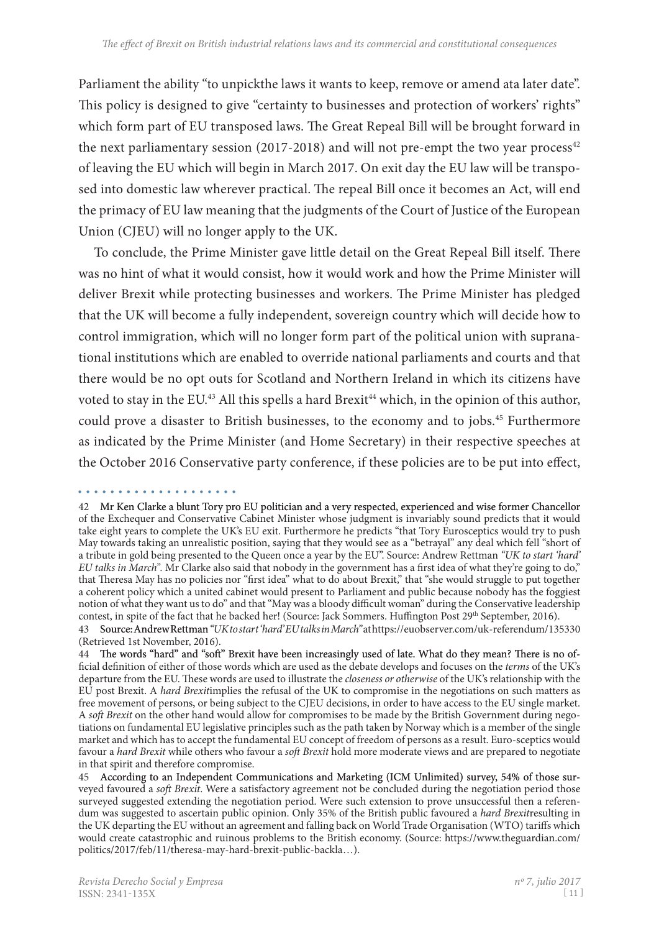Parliament the ability "to unpickthe laws it wants to keep, remove or amend ata later date". This policy is designed to give "certainty to businesses and protection of workers' rights" which form part of EU transposed laws. The Great Repeal Bill will be brought forward in the next parliamentary session (2017-2018) and will not pre-empt the two year process<sup>42</sup> of leaving the EU which will begin in March 2017. On exit day the EU law will be transposed into domestic law wherever practical. The repeal Bill once it becomes an Act, will end the primacy of EU law meaning that the judgments of the Court of Justice of the European Union (CJEU) will no longer apply to the UK.

To conclude, the Prime Minister gave little detail on the Great Repeal Bill itself. There was no hint of what it would consist, how it would work and how the Prime Minister will deliver Brexit while protecting businesses and workers. The Prime Minister has pledged that the UK will become a fully independent, sovereign country which will decide how to control immigration, which will no longer form part of the political union with supranational institutions which are enabled to override national parliaments and courts and that there would be no opt outs for Scotland and Northern Ireland in which its citizens have voted to stay in the EU.<sup>43</sup> All this spells a hard Brexit<sup>44</sup> which, in the opinion of this author, could prove a disaster to British businesses, to the economy and to jobs.<sup>45</sup> Furthermore as indicated by the Prime Minister (and Home Secretary) in their respective speeches at the October 2016 Conservative party conference, if these policies are to be put into effect,

. . . . . . . . .

<sup>42</sup> Mr Ken Clarke a blunt Tory pro EU politician and a very respected, experienced and wise former Chancellor of the Exchequer and Conservative Cabinet Minister whose judgment is invariably sound predicts that it would take eight years to complete the UK's EU exit. Furthermore he predicts "that Tory Eurosceptics would try to push May towards taking an unrealistic position, saying that they would see as a "betrayal" any deal which fell "short of a tribute in gold being presented to the Queen once a year by the EU". Source: Andrew Rettman *"UK to start 'hard' EU talks in March".* Mr Clarke also said that nobody in the government has a first idea of what they're going to do," that Theresa May has no policies nor "first idea" what to do about Brexit," that "she would struggle to put together a coherent policy which a united cabinet would present to Parliament and public because nobody has the foggiest notion of what they want us to do" and that "May was a bloody difficult woman" during the Conservative leadership contest, in spite of the fact that he backed her! (Source: Jack Sommers. Huffington Post 29<sup>th</sup> September, 2016).

<sup>43</sup> Source: Andrew Rettman *"UK to start 'hard' EU talks in March"* at https://euobserver.com/uk-referendum/135330 (Retrieved 1st November, 2016).

<sup>44</sup> The words "hard" and "soft" Brexit have been increasingly used of late. What do they mean? There is no official definition of either of those words which are used as the debate develops and focuses on the *terms* of the UK's departure from the EU. These words are used to illustrate the *closeness or otherwise* of the UK's relationship with the EU post Brexit. A *hard Brexit*implies the refusal of the UK to compromise in the negotiations on such matters as free movement of persons, or being subject to the CJEU decisions, in order to have access to the EU single market. A *soft Brexit* on the other hand would allow for compromises to be made by the British Government during negotiations on fundamental EU legislative principles such as the path taken by Norway which is a member of the single market and which has to accept the fundamental EU concept of freedom of persons as a result. Euro-sceptics would favour a *hard Brexit* while others who favour a *soft Brexit* hold more moderate views and are prepared to negotiate in that spirit and therefore compromise.

<sup>45</sup> According to an Independent Communications and Marketing (ICM Unlimited) survey, 54% of those surveyed favoured a *soft Brexit*. Were a satisfactory agreement not be concluded during the negotiation period those surveyed suggested extending the negotiation period. Were such extension to prove unsuccessful then a referendum was suggested to ascertain public opinion. Only 35% of the British public favoured a *hard Brexit*resulting in the UK departing the EU without an agreement and falling back on World Trade Organisation (WTO) tariffs which would create catastrophic and ruinous problems to the British economy. (Source: https://www.theguardian.com/ politics/2017/feb/11/theresa-may-hard-brexit-public-backla…).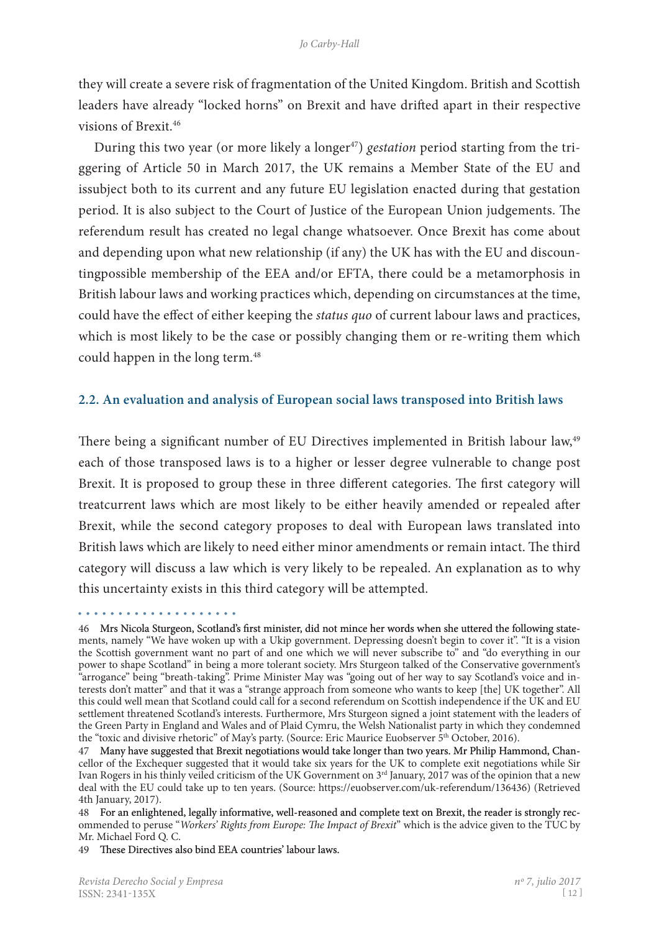they will create a severe risk of fragmentation of the United Kingdom. British and Scottish leaders have already "locked horns" on Brexit and have drifted apart in their respective visions of Brexit.46

During this two year (or more likely a longer<sup>47</sup>) *gestation* period starting from the triggering of Article 50 in March 2017, the UK remains a Member State of the EU and issubject both to its current and any future EU legislation enacted during that gestation period. It is also subject to the Court of Justice of the European Union judgements. The referendum result has created no legal change whatsoever. Once Brexit has come about and depending upon what new relationship (if any) the UK has with the EU and discountingpossible membership of the EEA and/or EFTA, there could be a metamorphosis in British labour laws and working practices which, depending on circumstances at the time, could have the effect of either keeping the *status quo* of current labour laws and practices, which is most likely to be the case or possibly changing them or re-writing them which could happen in the long term.<sup>48</sup>

#### **2.2. An evaluation and analysis of European social laws transposed into British laws**

There being a significant number of EU Directives implemented in British labour law,<sup>49</sup> each of those transposed laws is to a higher or lesser degree vulnerable to change post Brexit. It is proposed to group these in three different categories. The first category will treatcurrent laws which are most likely to be either heavily amended or repealed after Brexit, while the second category proposes to deal with European laws translated into British laws which are likely to need either minor amendments or remain intact. The third category will discuss a law which is very likely to be repealed. An explanation as to why this uncertainty exists in this third category will be attempted.

<sup>46</sup>  Mrs Nicola Sturgeon, Scotland's first minister, did not mince her words when she uttered the following state� ments, namely "We have woken up with a Ukip government. Depressing doesn't begin to cover it". "It is a vision the Scottish government want no part of and one which we will never subscribe to" and "do everything in our power to shape Scotland" in being a more tolerant society. Mrs Sturgeon talked of the Conservative government's "arrogance" being "breath-taking". Prime Minister May was "going out of her way to say Scotland's voice and in� terests don't matter" and that it was a "strange approach from someone who wants to keep [the] UK together". All this could well mean that Scotland could call for a second referendum on Scottish independence if the UK and EU settlement threatened Scotland's interests. Furthermore, Mrs Sturgeon signed a joint statement with the leaders of the Green Party in England and Wales and of Plaid Cymru, the Welsh Nationalist party in which they condemned the "toxic and divisive rhetoric" of May's party. (Source: Eric Maurice Euobserver 5<sup>th</sup> October, 2016).

<sup>47</sup>  Many have suggested that Brexit negotiations would take longer than two years. Mr Philip Hammond, Chan� cellor of the Exchequer suggested that it would take six years for the UK to complete exit negotiations while Sir Ivan Rogers in his thinly veiled criticism of the UK Government on 3rd January, 2017 was of the opinion that a new deal with the EU could take up to ten years. (Source: https://euobserver.com/uk-referendum/136436) (Retrieved 4th January, 2017).

<sup>48</sup> For an enlightened, legally informative, well-reasoned and complete text on Brexit, the reader is strongly recommended to peruse "*Workers' Rights from Europe: The Impact of Brexit*" which is the advice given to the TUC by Mr. Michael Ford Q. C.

<sup>49</sup> These Directives also bind EEA countries' labour laws.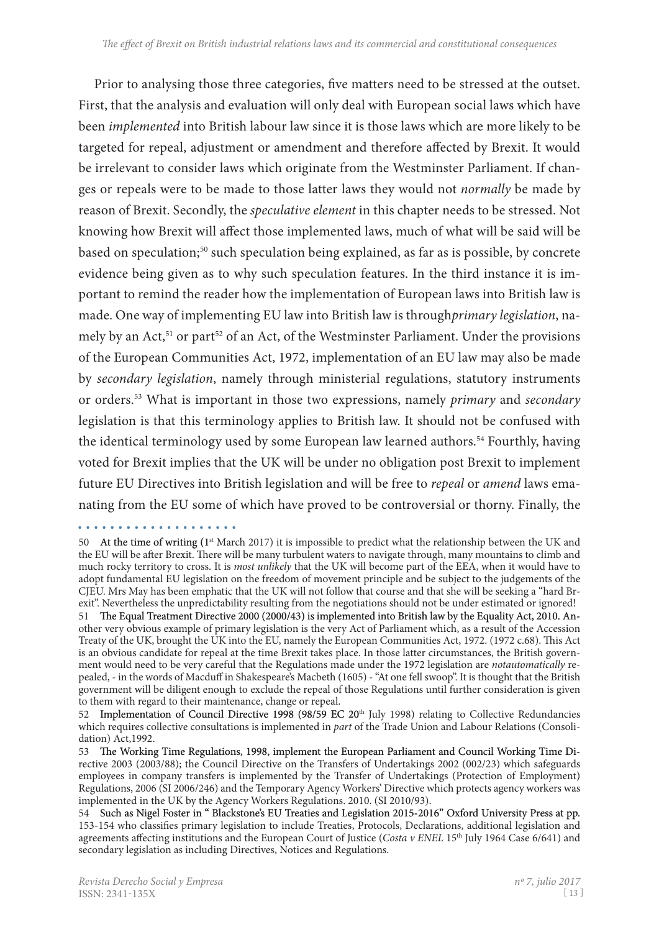Prior to analysing those three categories, five matters need to be stressed at the outset. First, that the analysis and evaluation will only deal with European social laws which have been *implemented* into British labour law since it is those laws which are more likely to be targeted for repeal, adjustment or amendment and therefore affected by Brexit. It would be irrelevant to consider laws which originate from the Westminster Parliament. If chan� ges or repeals were to be made to those latter laws they would not *normally* be made by reason of Brexit. Secondly, the *speculative element* in this chapter needs to be stressed. Not knowing how Brexit will affect those implemented laws, much of what will be said will be based on speculation;50 such speculation being explained, as far as is possible, by concrete evidence being given as to why such speculation features. In the third instance it is important to remind the reader how the implementation of European laws into British law is made. One way of implementing EU law into British law is through*primary legislation*, na� mely by an Act,<sup>51</sup> or part<sup>52</sup> of an Act, of the Westminster Parliament. Under the provisions of the European Communities Act, 1972, implementation of an EU law may also be made by *secondary legislation*, namely through ministerial regulations, statutory instruments or orders.53 What is important in those two expressions, namely *primary* and *secondary* legislation is that this terminology applies to British law. It should not be confused with the identical terminology used by some European law learned authors.<sup>54</sup> Fourthly, having voted for Brexit implies that the UK will be under no obligation post Brexit to implement future EU Directives into British legislation and will be free to *repeal* or *amend* laws ema� nating from the EU some of which have proved to be controversial or thorny. Finally, the

<sup>50</sup> At the time of writing (1<sup>st</sup> March 2017) it is impossible to predict what the relationship between the UK and the EU will be after Brexit. There will be many turbulent waters to navigate through, many mountains to climb and much rocky territory to cross. It is *most unlikely* that the UK will become part of the EEA, when it would have to adopt fundamental EU legislation on the freedom of movement principle and be subject to the judgements of the CJEU. Mrs May has been emphatic that the UK will not follow that course and that she will be seeking a "hard Br� exit". Nevertheless the unpredictability resulting from the negotiations should not be under estimated or ignored!

<sup>51</sup> The Equal Treatment Directive 2000 (2000/43) is implemented into British law by the Equality Act, 2010. Another very obvious example of primary legislation is the very Act of Parliament which, as a result of the Accession Treaty of the UK, brought the UK into the EU, namely the European Communities Act, 1972. (1972 c.68). This Act is an obvious candidate for repeal at the time Brexit takes place. In those latter circumstances, the British government would need to be very careful that the Regulations made under the 1972 legislation are *notautomatically* repealed, - in the words of Macduff in Shakespeare's Macbeth (1605) - "At one fell swoop". It is thought that the British government will be diligent enough to exclude the repeal of those Regulations until further consideration is given to them with regard to their maintenance, change or repeal.

<sup>52</sup>  Implementation of Council Directive 1998 (98/59 EC 20th July 1998) relating to Collective Redundancies which requires collective consultations is implemented in part of the Trade Union and Labour Relations (Consolidation) Act,1992.

<sup>53</sup> The Working Time Regulations, 1998, implement the European Parliament and Council Working Time Directive 2003 (2003/88); the Council Directive on the Transfers of Undertakings 2002 (002/23) which safeguards employees in company transfers is implemented by the Transfer of Undertakings (Protection of Employment) Regulations, 2006 (SI 2006/246) and the Temporary Agency Workers' Directive which protects agency workers was implemented in the UK by the Agency Workers Regulations. 2010. (SI 2010/93).

<sup>54</sup> Such as Nigel Foster in "Blackstone's EU Treaties and Legislation 2015-2016" Oxford University Press at pp. 153-154 who classifies primary legislation to include Treaties, Protocols, Declarations, additional legislation and agreements affecting institutions and the European Court of Justice (*Costa v ENEL* 15<sup>th</sup> July 1964 Case 6/641) and secondary legislation as including Directives, Notices and Regulations.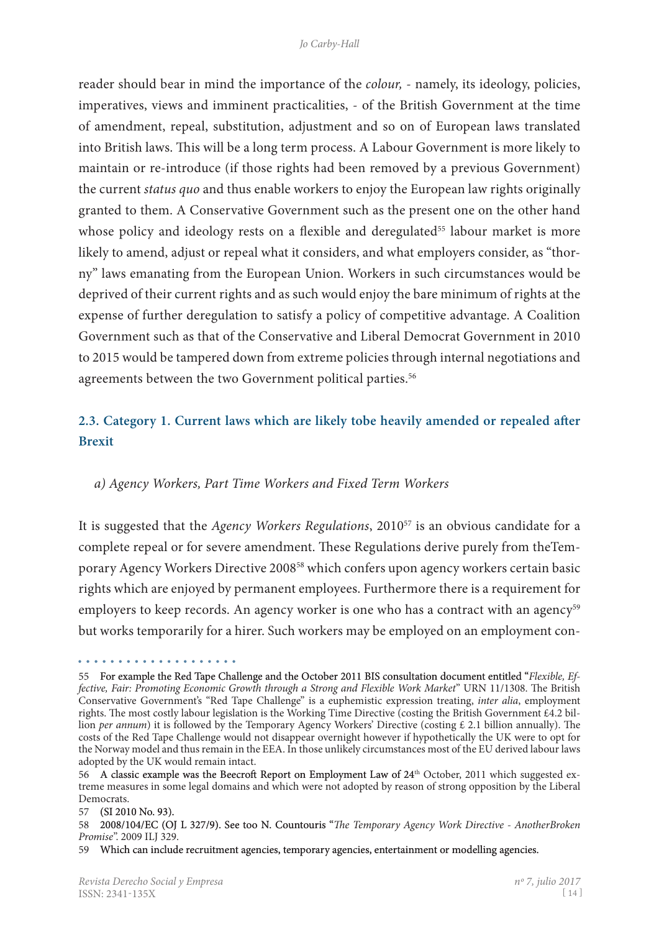reader should bear in mind the importance of the *colour,* - namely, its ideology, policies, imperatives, views and imminent practicalities, - of the British Government at the time of amendment, repeal, substitution, adjustment and so on of European laws translated into British laws. This will be a long term process. A Labour Government is more likely to maintain or re-introduce (if those rights had been removed by a previous Government) the current *status quo* and thus enable workers to enjoy the European law rights originally granted to them. A Conservative Government such as the present one on the other hand whose policy and ideology rests on a flexible and deregulated<sup>55</sup> labour market is more likely to amend, adjust or repeal what it considers, and what employers consider, as "thorny" laws emanating from the European Union. Workers in such circumstances would be deprived of their current rights and as such would enjoy the bare minimum of rights at the expense of further deregulation to satisfy a policy of competitive advantage. A Coalition Government such as that of the Conservative and Liberal Democrat Government in 2010 to 2015 would be tampered down from extreme policies through internal negotiations and agreements between the two Government political parties.<sup>56</sup>

# **2.3. Category 1. Current laws which are likely tobe heavily amended or repealed after Brexit**

## *a) Agency Workers, Part Time Workers and Fixed Term Workers*

It is suggested that the *Agency Workers Regulations*, 201057 is an obvious candidate for a complete repeal or for severe amendment. These Regulations derive purely from theTem� porary Agency Workers Directive 200858 which confers upon agency workers certain basic rights which are enjoyed by permanent employees. Furthermore there is a requirement for employers to keep records. An agency worker is one who has a contract with an agency<sup>59</sup> but works temporarily for a hirer. Such workers may be employed on an employment con-

<sup>55</sup>  For example the Red Tape Challenge and the October 2011 BIS consultation document entitled "*Flexible, Effective, Fair: Promoting Economic Growth through a Strong and Flexible Work Market*" URN 11/1308. The British Conservative Government's "Red Tape Challenge" is a euphemistic expression treating, *inter alia*, employment rights. The most costly labour legislation is the Working Time Directive (costing the British Government £4.2 billion *per annum*) it is followed by the Temporary Agency Workers' Directive (costing £ 2.1 billion annually). The costs of the Red Tape Challenge would not disappear overnight however if hypothetically the UK were to opt for the Norway model and thus remain in the EEA. In those unlikely circumstances most of the EU derived labour laws adopted by the UK would remain intact.

<sup>56</sup> A classic example was the Beecroft Report on Employment Law of 24<sup>th</sup> October, 2011 which suggested extreme measures in some legal domains and which were not adopted by reason of strong opposition by the Liberal Democrats.

<sup>57</sup>  (SI 2010 No. 93).

<sup>58</sup>  2008/104/EC (OJ L 327/9). See too N. Countouris "*The Temporary Agency Work Directive - AnotherBroken Promise*". 2009 ILJ 329.

<sup>59</sup>  Which can include recruitment agencies, temporary agencies, entertainment or modelling agencies.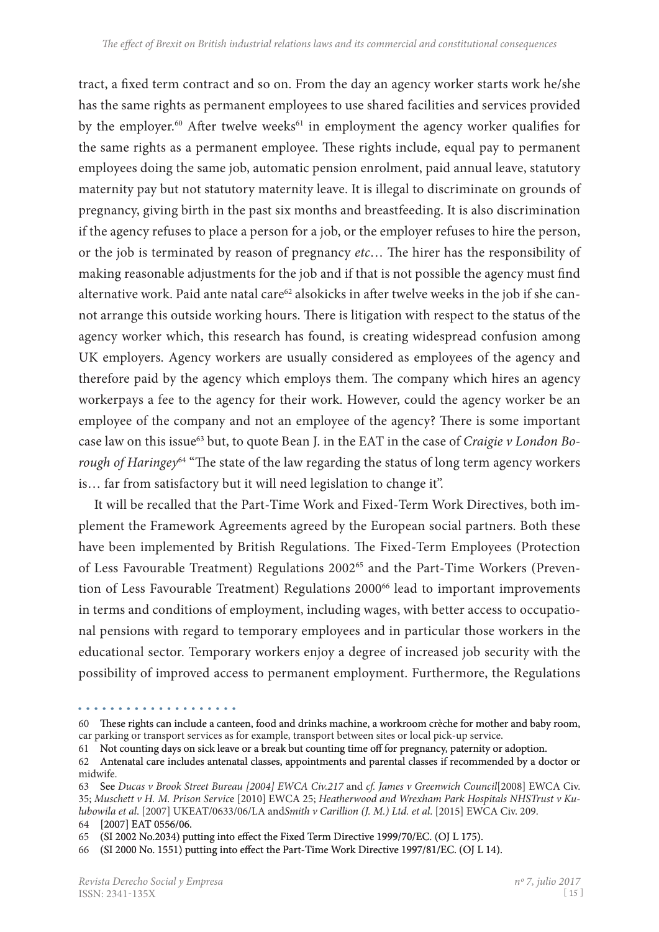tract, a fixed term contract and so on. From the day an agency worker starts work he/she has the same rights as permanent employees to use shared facilities and services provided by the employer.<sup>60</sup> After twelve weeks<sup>61</sup> in employment the agency worker qualifies for the same rights as a permanent employee. These rights include, equal pay to permanent employees doing the same job, automatic pension enrolment, paid annual leave, statutory maternity pay but not statutory maternity leave. It is illegal to discriminate on grounds of pregnancy, giving birth in the past six months and breastfeeding. It is also discrimination if the agency refuses to place a person for a job, or the employer refuses to hire the person, or the job is terminated by reason of pregnancy *etc*… The hirer has the responsibility of making reasonable adjustments for the job and if that is not possible the agency must find alternative work. Paid ante natal care<sup>62</sup> alsokicks in after twelve weeks in the job if she cannot arrange this outside working hours. There is litigation with respect to the status of the agency worker which, this research has found, is creating widespread confusion among UK employers. Agency workers are usually considered as employees of the agency and therefore paid by the agency which employs them. The company which hires an agency workerpays a fee to the agency for their work. However, could the agency worker be an employee of the company and not an employee of the agency? There is some important case law on this issue<sup>63</sup> but, to quote Bean J. in the EAT in the case of *Craigie v London Borough of Haringey*64 "The state of the law regarding the status of long term agency workers is… far from satisfactory but it will need legislation to change it".

It will be recalled that the Part-Time Work and Fixed-Term Work Directives, both implement the Framework Agreements agreed by the European social partners. Both these have been implemented by British Regulations. The Fixed-Term Employees (Protection of Less Favourable Treatment) Regulations 2002<sup>65</sup> and the Part-Time Workers (Prevention of Less Favourable Treatment) Regulations 2000<sup>66</sup> lead to important improvements in terms and conditions of employment, including wages, with better access to occupational pensions with regard to temporary employees and in particular those workers in the educational sector. Temporary workers enjoy a degree of increased job security with the possibility of improved access to permanent employment. Furthermore, the Regulations

<sup>60</sup> Bese rights can include a canteen, food and drinks machine, a workroom crèche for mother and baby room, car parking or transport services as for example, transport between sites or local pick-up service.

<sup>61</sup>  Not counting days on sick leave or a break but counting time off for pregnancy, paternity or adoption.

<sup>62</sup> Antenatal care includes antenatal classes, appointments and parental classes if recommended by a doctor or midwife.

<sup>63</sup> See *Ducas v Brook Street Bureau [2004] EWCA Civ.217* and *cf. James v Greenwich Council*[2008] EWCA Civ. 35; *Muschett v H. M. Prison Servic*e [2010] EWCA 25; *Heatherwood and Wrexham Park Hospitals NHSTrust v Kulubowila et al*. [2007] UKEAT/0633/06/LA and*Smith v Carillion (J. M.) Ltd. et al*. [2015] EWCA Civ. 209.

<sup>64</sup>  [2007] EAT 0556/06.

<sup>65</sup>  (SI 2002 No.2034) putting into effect the Fixed Term Directive 1999/70/EC. (OJ L 175).

<sup>66 (</sup>SI 2000 No. 1551) putting into effect the Part-Time Work Directive 1997/81/EC. (OJ L 14).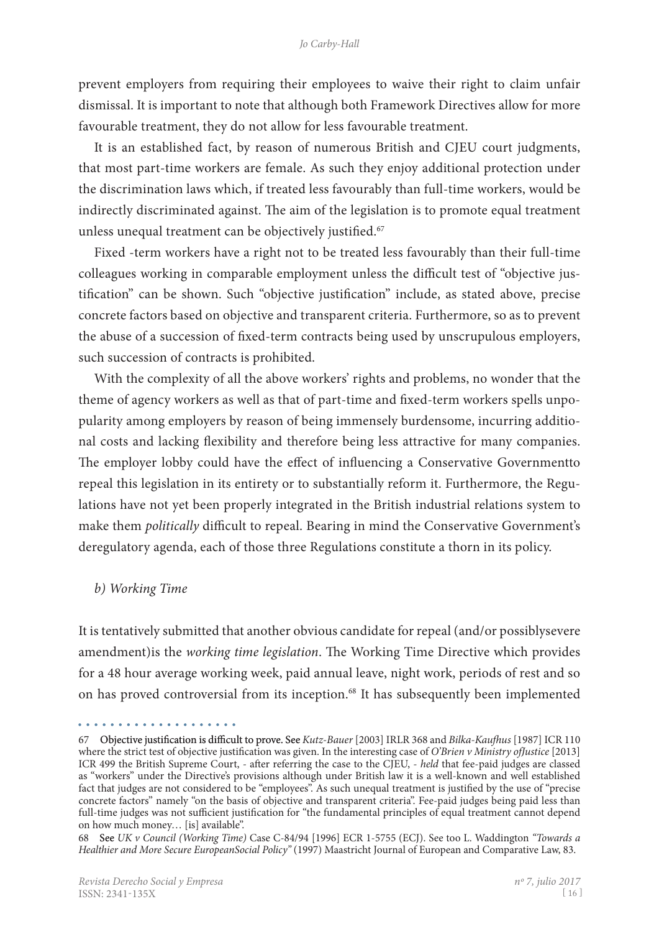prevent employers from requiring their employees to waive their right to claim unfair dismissal. It is important to note that although both Framework Directives allow for more favourable treatment, they do not allow for less favourable treatment.

It is an established fact, by reason of numerous British and CJEU court judgments, that most part-time workers are female. As such they enjoy additional protection under the discrimination laws which, if treated less favourably than full-time workers, would be indirectly discriminated against. The aim of the legislation is to promote equal treatment unless unequal treatment can be objectively justified.<sup>67</sup>

Fixed -term workers have a right not to be treated less favourably than their full-time colleagues working in comparable employment unless the difficult test of "objective justification" can be shown. Such "objective justification" include, as stated above, precise concrete factors based on objective and transparent criteria. Furthermore, so as to prevent the abuse of a succession of fixed-term contracts being used by unscrupulous employers, such succession of contracts is prohibited.

With the complexity of all the above workers' rights and problems, no wonder that the theme of agency workers as well as that of part-time and fixed-term workers spells unpopularity among employers by reason of being immensely burdensome, incurring additional costs and lacking flexibility and therefore being less attractive for many companies. The employer lobby could have the effect of influencing a Conservative Governmentto repeal this legislation in its entirety or to substantially reform it. Furthermore, the Regulations have not yet been properly integrated in the British industrial relations system to make them *politically* difficult to repeal. Bearing in mind the Conservative Government's deregulatory agenda, each of those three Regulations constitute a thorn in its policy.

#### *b) Working Time*

It is tentatively submitted that another obvious candidate for repeal (and/or possiblysevere amendment)is the *working time legislation*. The Working Time Directive which provides for a 48 hour average working week, paid annual leave, night work, periods of rest and so on has proved controversial from its inception.<sup>68</sup> It has subsequently been implemented

<sup>67</sup> Objective justification is difficult to prove. See *Kutz-Bauer* [2003] IRLR 368 and *Bilka-Kaufhus* [1987] ICR 110 where the strict test of objective justification was given. In the interesting case of *O'Brien v Ministry ofJustice* [2013] ICR 499 the British Supreme Court, - after referring the case to the CJEU, - *held* that fee-paid judges are classed as "workers" under the Directive's provisions although under British law it is a well-known and well established fact that judges are not considered to be "employees". As such unequal treatment is justified by the use of "precise concrete factors" namely "on the basis of objective and transparent criteria". Fee-paid judges being paid less than full-time judges was not sufficient justification for "the fundamental principles of equal treatment cannot depend on how much money… [is] available".

<sup>68</sup> See *UK v Council (Working Time)* Case C-84/94 [1996] ECR 1-5755 (ECJ). See too L. Waddington *"Towards a Healthier and More Secure EuropeanSocial Policy"* (1997) Maastricht Journal of European and Comparative Law, 83.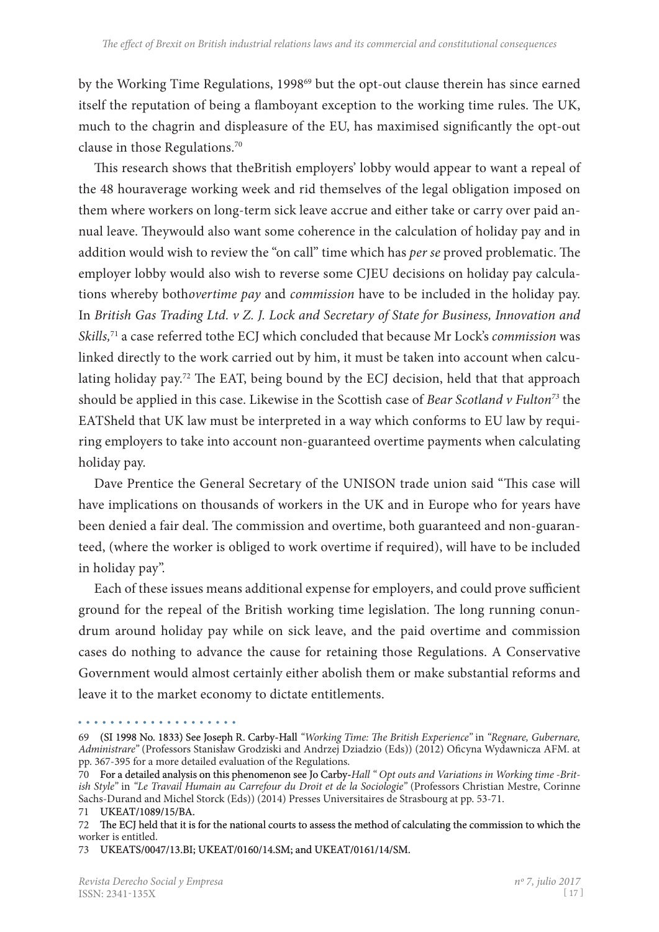by the Working Time Regulations, 1998<sup>69</sup> but the opt-out clause therein has since earned itself the reputation of being a flamboyant exception to the working time rules. The UK, much to the chagrin and displeasure of the EU, has maximised significantly the opt-out clause in those Regulations.70

This research shows that theBritish employers' lobby would appear to want a repeal of the 48 houraverage working week and rid themselves of the legal obligation imposed on them where workers on long-term sick leave accrue and either take or carry over paid annual leave. Theywould also want some coherence in the calculation of holiday pay and in addition would wish to review the "on call" time which has *per se* proved problematic. The employer lobby would also wish to reverse some CJEU decisions on holiday pay calculations whereby both*overtime pay* and *commission* have to be included in the holiday pay. In *British Gas Trading Ltd. v Z. J. Lock and Secretary of State for Business, Innovation and Skills,*71 a case referred tothe ECJ which concluded that because Mr Lock's *commission* was linked directly to the work carried out by him, it must be taken into account when calculating holiday pay.<sup>72</sup> The EAT, being bound by the ECJ decision, held that that approach should be applied in this case. Likewise in the Scottish case of *Bear Scotland v Fulton73* the EATSheld that UK law must be interpreted in a way which conforms to EU law by requiring employers to take into account non-guaranteed overtime payments when calculating holiday pay.

Dave Prentice the General Secretary of the UNISON trade union said "This case will have implications on thousands of workers in the UK and in Europe who for years have been denied a fair deal. The commission and overtime, both guaranteed and non-guaranteed, (where the worker is obliged to work overtime if required), will have to be included in holiday pay".

Each of these issues means additional expense for employers, and could prove sufficient ground for the repeal of the British working time legislation. The long running conun� drum around holiday pay while on sick leave, and the paid overtime and commission cases do nothing to advance the cause for retaining those Regulations. A Conservative Government would almost certainly either abolish them or make substantial reforms and leave it to the market economy to dictate entitlements.

<sup>69 (</sup>SI 1998 No. 1833) See Joseph R. Carby-Hall "Working Time: The British Experience" in "Regnare, Gubernare, *Administrare"* (Professors Stanisław Grodziski and Andrzej Dziadzio (Eds)) (2012) Oficyna Wydawnicza AFM. at pp. 367-395 for a more detailed evaluation of the Regulations.

<sup>70</sup> For a detailed analysis on this phenomenon see Jo Carby-Hall "Opt outs and Variations in Working time -Brit*ish Style"* in *"Le Travail Humain au Carrefour du Droit et de la Sociologie"* (Professors Christian Mestre, Corinne Sachs-Durand and Michel Storck (Eds)) (2014) Presses Universitaires de Strasbourg at pp. 53-71.

<sup>71</sup>  UKEAT/1089/15/BA.

<sup>72</sup> The ECJ held that it is for the national courts to assess the method of calculating the commission to which the worker is entitled.

<sup>73</sup>  UKEATS/0047/13.BI; UKEAT/0160/14.SM; and UKEAT/0161/14/SM.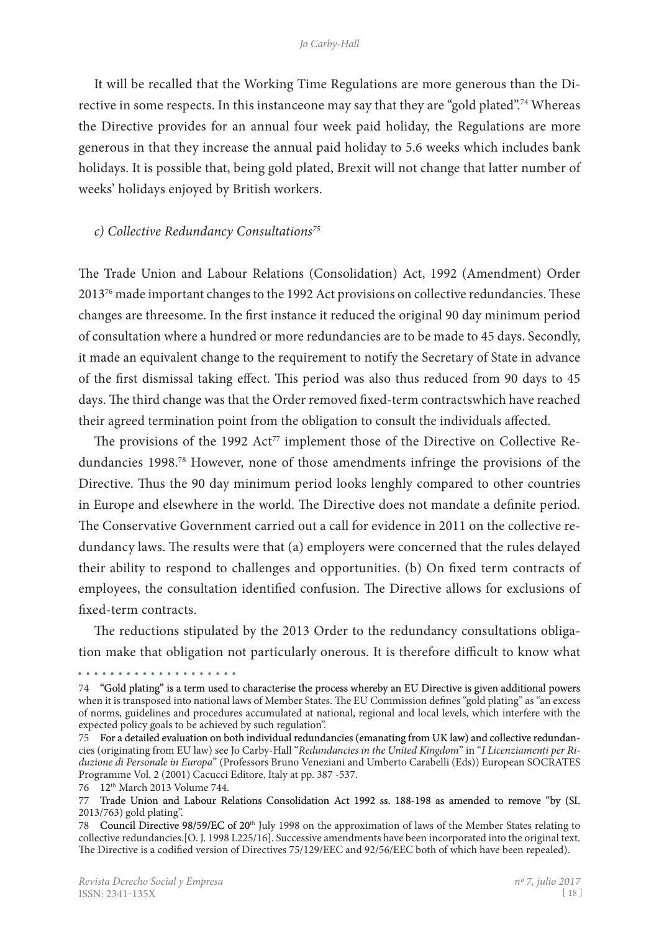It will be recalled that the Working Time Regulations are more generous than the Directive in some respects. In this instanceone may say that they are "gold plated".<sup>74</sup> Whereas the Directive provides for an annual four week paid holiday, the Regulations are more generous in that they increase the annual paid holiday to 5.6 weeks which includes bank holidays. It is possible that, being gold plated, Brexit will not change that latter number of weeks' holidays enjoyed by British workers.

#### *c) Collective Redundancy Consultations75*

The Trade Union and Labour Relations (Consolidation) Act, 1992 (Amendment) Order  $2013<sup>76</sup>$  made important changes to the 1992 Act provisions on collective redundancies. These changes are threesome. In the first instance it reduced the original 90 day minimum period of consultation where a hundred or more redundancies are to be made to 45 days. Secondly, it made an equivalent change to the requirement to notify the Secretary of State in advance of the first dismissal taking effect. This period was also thus reduced from 90 days to 45 days. The third change was that the Order removed fixed-term contractswhich have reached their agreed termination point from the obligation to consult the individuals affected.

The provisions of the 1992  $Act^{77}$  implement those of the Directive on Collective Redundancies 1998.78 However, none of those amendments infringe the provisions of the Directive. Thus the 90 day minimum period looks lenghly compared to other countries in Europe and elsewhere in the world. The Directive does not mandate a definite period. The Conservative Government carried out a call for evidence in 2011 on the collective redundancy laws. The results were that (a) employers were concerned that the rules delayed their ability to respond to challenges and opportunities. (b) On fixed term contracts of employees, the consultation identified confusion. The Directive allows for exclusions of fixed-term contracts.

The reductions stipulated by the 2013 Order to the redundancy consultations obligation make that obligation not particularly onerous. It is therefore difficult to know what

76 12th March 2013 Volume 744.

<sup>74 &</sup>quot;Gold plating" is a term used to characterise the process whereby an EU Directive is given additional powers when it is transposed into national laws of Member States. The EU Commission defines "gold plating" as "an excess of norms, guidelines and procedures accumulated at national, regional and local levels, which interfere with the expected policy goals to be achieved by such regulation".

<sup>75</sup>  For a detailed evaluation on both individual redundancies (emanating from UK law) and collective redundan� cies (originating from EU law) see Jo Carby-Hall "*Redundancies in the United Kingdom*" in "*I Licenziamenti per Riduzione di Personale in Europa*" (Professors Bruno Veneziani and Umberto Carabelli (Eds)) European SOCRATES Programme Vol. 2 (2001) Cacucci Editore, Italy at pp. 387 -537.

<sup>77</sup> Trade Union and Labour Relations Consolidation Act 1992 ss. 188-198 as amended to remove "by (SI. 2013/763) gold plating".

<sup>78</sup>  Council Directive 98/59/EC of 20th July 1998 on the approximation of laws of the Member States relating to collective redundancies.[O. J. 1998 L225/16]. Successive amendments have been incorporated into the original text. The Directive is a codified version of Directives 75/129/EEC and 92/56/EEC both of which have been repealed).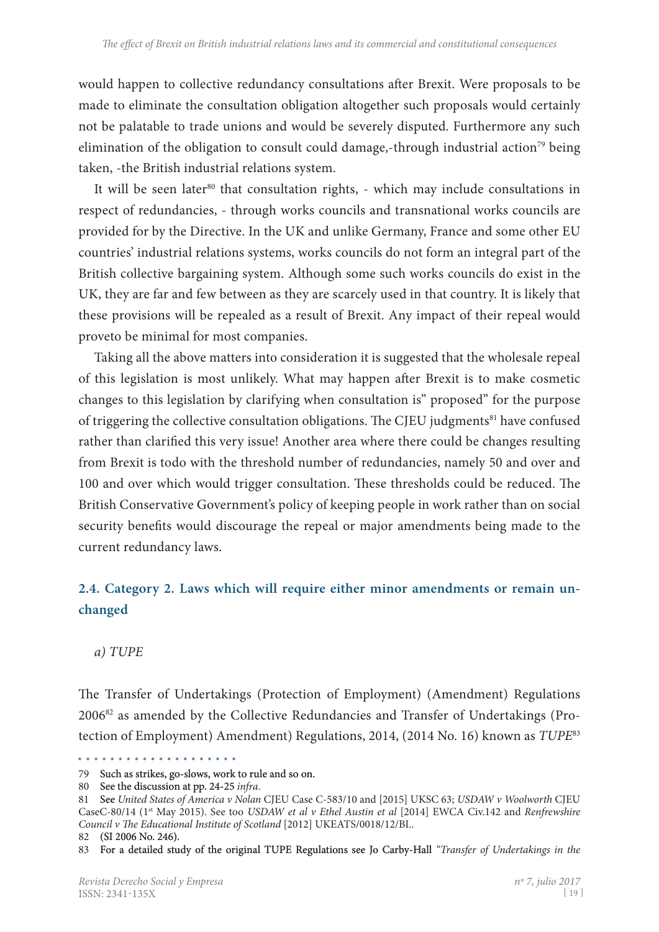would happen to collective redundancy consultations after Brexit. Were proposals to be made to eliminate the consultation obligation altogether such proposals would certainly not be palatable to trade unions and would be severely disputed. Furthermore any such elimination of the obligation to consult could damage,-through industrial action<sup>79</sup> being taken, -the British industrial relations system.

It will be seen later<sup>80</sup> that consultation rights,  $\overline{\phantom{a}}$  which may include consultations in respect of redundancies, - through works councils and transnational works councils are provided for by the Directive. In the UK and unlike Germany, France and some other EU countries' industrial relations systems, works councils do not form an integral part of the British collective bargaining system. Although some such works councils do exist in the UK, they are far and few between as they are scarcely used in that country. It is likely that these provisions will be repealed as a result of Brexit. Any impact of their repeal would proveto be minimal for most companies.

Taking all the above matters into consideration it is suggested that the wholesale repeal of this legislation is most unlikely. What may happen after Brexit is to make cosmetic changes to this legislation by clarifying when consultation is" proposed" for the purpose of triggering the collective consultation obligations. The CJEU judgments<sup>81</sup> have confused rather than clarified this very issue! Another area where there could be changes resulting from Brexit is todo with the threshold number of redundancies, namely 50 and over and 100 and over which would trigger consultation. These thresholds could be reduced. The British Conservative Government's policy of keeping people in work rather than on social security benefits would discourage the repeal or major amendments being made to the current redundancy laws.

# **2.4. Category 2. Laws which will require either minor amendments or remain unchanged**

*a) TUPE*

The Transfer of Undertakings (Protection of Employment) (Amendment) Regulations 2006<sup>82</sup> as amended by the Collective Redundancies and Transfer of Undertakings (Protection of Employment) Amendment) Regulations, 2014, (2014 No. 16) known as *TUPE*<sup>83</sup>

<sup>79</sup> Such as strikes, go-slows, work to rule and so on.

<sup>80</sup> See the discussion at pp. 24-25 infra.

<sup>81</sup> See *United States of America v Nolan* CJEU Case C-583/10 and [2015] UKSC 63; *USDAW v Woolworth* CJEU CaseC-80/14 (1st May 2015). See too *USDAW et al v Ethel Austin et al* [2014] EWCA Civ.142 and *Renfrewshire Council v The Educational Institute of Scotland* [2012] UKEATS/0018/12/BI..

<sup>82</sup>  (SI 2006 No. 246).

<sup>83</sup> For a detailed study of the original TUPE Regulations see Jo Carby-Hall "Transfer of Undertakings in the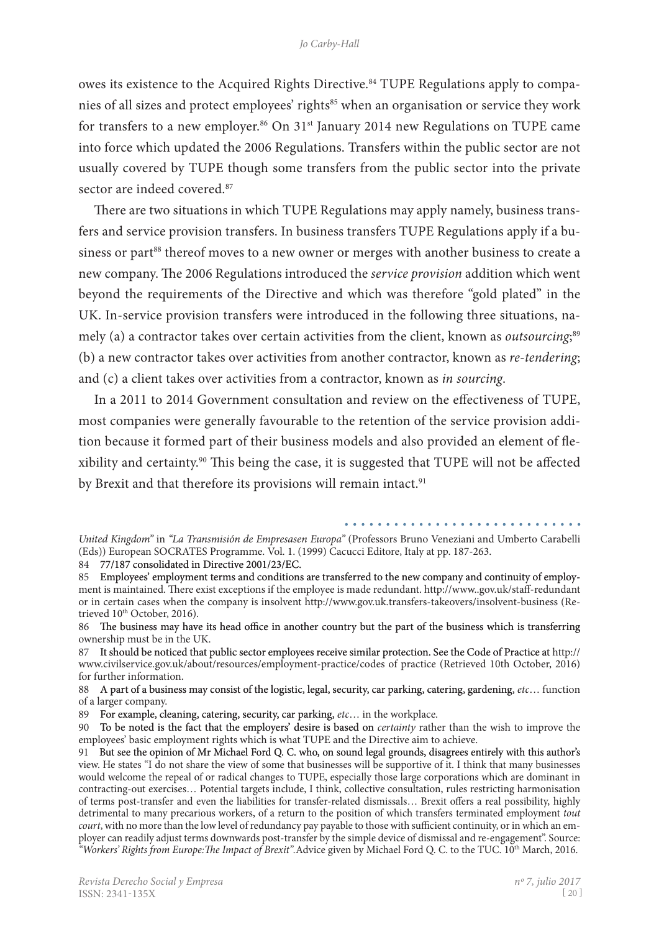owes its existence to the Acquired Rights Directive.<sup>84</sup> TUPE Regulations apply to companies of all sizes and protect employees' rights<sup>85</sup> when an organisation or service they work for transfers to a new employer.<sup>86</sup> On 31<sup>st</sup> January 2014 new Regulations on TUPE came into force which updated the 2006 Regulations. Transfers within the public sector are not usually covered by TUPE though some transfers from the public sector into the private sector are indeed covered.<sup>87</sup>

There are two situations in which TUPE Regulations may apply namely, business transfers and service provision transfers. In business transfers TUPE Regulations apply if a business or part<sup>88</sup> thereof moves to a new owner or merges with another business to create a new company. The 2006 Regulations introduced the *service provision* addition which went beyond the requirements of the Directive and which was therefore "gold plated" in the UK. In-service provision transfers were introduced in the following three situations, namely (a) a contractor takes over certain activities from the client, known as *outsourcing*;<sup>89</sup> (b) a new contractor takes over activities from another contractor, known as *re-tendering*; and (c) a client takes over activities from a contractor, known as *in sourcing*.

In a 2011 to 2014 Government consultation and review on the effectiveness of TUPE, most companies were generally favourable to the retention of the service provision addition because it formed part of their business models and also provided an element of flexibility and certainty.90 This being the case, it is suggested that TUPE will not be affected by Brexit and that therefore its provisions will remain intact.<sup>91</sup>

84 77/187 consolidated in Directive 2001/23/EC.

85 Employees' employment terms and conditions are transferred to the new company and continuity of employment is maintained. There exist exceptions if the employee is made redundant. http://www..gov.uk/staff-redundant or in certain cases when the company is insolvent http://www.gov.uk.transfers-takeovers/insolvent-business (Retrieved 10<sup>th</sup> October, 2016).

88 A part of a business may consist of the logistic, legal, security, car parking, catering, gardening, *etc*… function of a larger company.

89 For example, cleaning, catering, security, car parking, *etc*… in the workplace.

90 To be noted is the fact that the employers' desire is based on *certainty* rather than the wish to improve the employees' basic employment rights which is what TUPE and the Directive aim to achieve.

*United Kingdom"* in *"La Transmisión de Empresasen Europa"* (Professors Bruno Veneziani and Umberto Carabelli (Eds)) European SOCRATES Programme. Vol. 1. (1999) Cacucci Editore, Italy at pp. 187-263.

<sup>86</sup> The business may have its head office in another country but the part of the business which is transferring ownership must be in the UK.

<sup>87</sup> It should be noticed that public sector employees receive similar protection. See the Code of Practice at http:// www.civilservice.gov.uk/about/resources/employment-practice/codes of practice (Retrieved 10th October, 2016) for further information.

<sup>91</sup> But see the opinion of Mr Michael Ford Q. C. who, on sound legal grounds, disagrees entirely with this author's view. He states "I do not share the view of some that businesses will be supportive of it. I think that many businesses would welcome the repeal of or radical changes to TUPE, especially those large corporations which are dominant in contracting-out exercises… Potential targets include, I think, collective consultation, rules restricting harmonisation of terms post-transfer and even the liabilities for transfer-related dismissals… Brexit offers a real possibility, highly detrimental to many precarious workers, of a return to the position of which transfers terminated employment *tout court*, with no more than the low level of redundancy pay payable to those with sufficient continuity, or in which an employer can readily adjust terms downwards post-transfer by the simple device of dismissal and re-engagement". Source: *"Workers' Rights from Europe:The Impact of Brexit".*Advice given by Michael Ford Q. C. to the TUC. 10th March, 2016.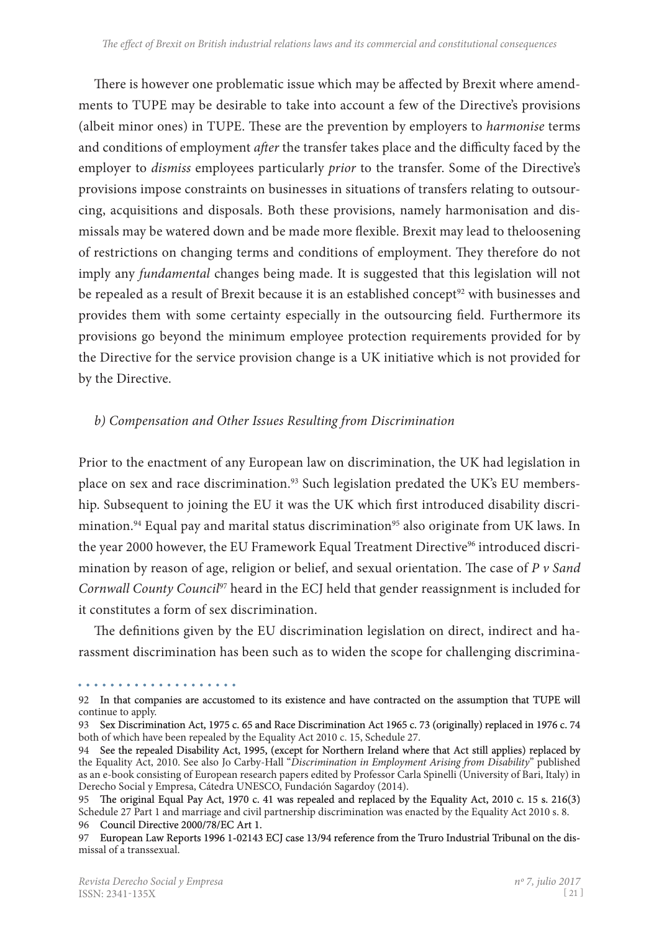There is however one problematic issue which may be affected by Brexit where amendments to TUPE may be desirable to take into account a few of the Directive's provisions (albeit minor ones) in TUPE. These are the prevention by employers to *harmonise* terms and conditions of employment *after* the transfer takes place and the difficulty faced by the employer to *dismiss* employees particularly *prior* to the transfer. Some of the Directive's provisions impose constraints on businesses in situations of transfers relating to outsour� cing, acquisitions and disposals. Both these provisions, namely harmonisation and dismissals may be watered down and be made more flexible. Brexit may lead to theloosening of restrictions on changing terms and conditions of employment. They therefore do not imply any *fundamental* changes being made. It is suggested that this legislation will not be repealed as a result of Brexit because it is an established concept<sup>92</sup> with businesses and provides them with some certainty especially in the outsourcing field. Furthermore its provisions go beyond the minimum employee protection requirements provided for by the Directive for the service provision change is a UK initiative which is not provided for by the Directive.

## *b) Compensation and Other Issues Resulting from Discrimination*

Prior to the enactment of any European law on discrimination, the UK had legislation in place on sex and race discrimination.<sup>93</sup> Such legislation predated the UK's EU membership. Subsequent to joining the EU it was the UK which first introduced disability discrimination.<sup>94</sup> Equal pay and marital status discrimination<sup>95</sup> also originate from UK laws. In the year 2000 however, the EU Framework Equal Treatment Directive<sup>96</sup> introduced discrimination by reason of age, religion or belief, and sexual orientation. The case of *P v Sand Cornwall County Council*97 heard in the ECJ held that gender reassignment is included for it constitutes a form of sex discrimination.

The definitions given by the EU discrimination legislation on direct, indirect and harassment discrimination has been such as to widen the scope for challenging discrimina-

<sup>92</sup> In that companies are accustomed to its existence and have contracted on the assumption that TUPE will continue to apply.

<sup>93</sup> Sex Discrimination Act, 1975 c. 65 and Race Discrimination Act 1965 c. 73 (originally) replaced in 1976 c. 74 both of which have been repealed by the Equality Act 2010 c. 15, Schedule 27.

<sup>94</sup> See the repealed Disability Act, 1995, (except for Northern Ireland where that Act still applies) replaced by the Equality Act, 2010. See also Jo Carby-Hall "*Discrimination in Employment Arising from Disability*" published as an e-book consisting of European research papers edited by Professor Carla Spinelli (University of Bari, Italy) in Derecho Social y Empresa, Cátedra UNESCO, Fundación Sagardoy (2014).

<sup>95</sup> The original Equal Pay Act, 1970 c. 41 was repealed and replaced by the Equality Act, 2010 c. 15 s. 216(3) Schedule 27 Part 1 and marriage and civil partnership discrimination was enacted by the Equality Act 2010 s. 8. 96 Council Directive 2000/78/EC Art 1.

<sup>97</sup> European Law Reports 1996 1-02143 ECJ case 13/94 reference from the Truro Industrial Tribunal on the dismissal of a transsexual.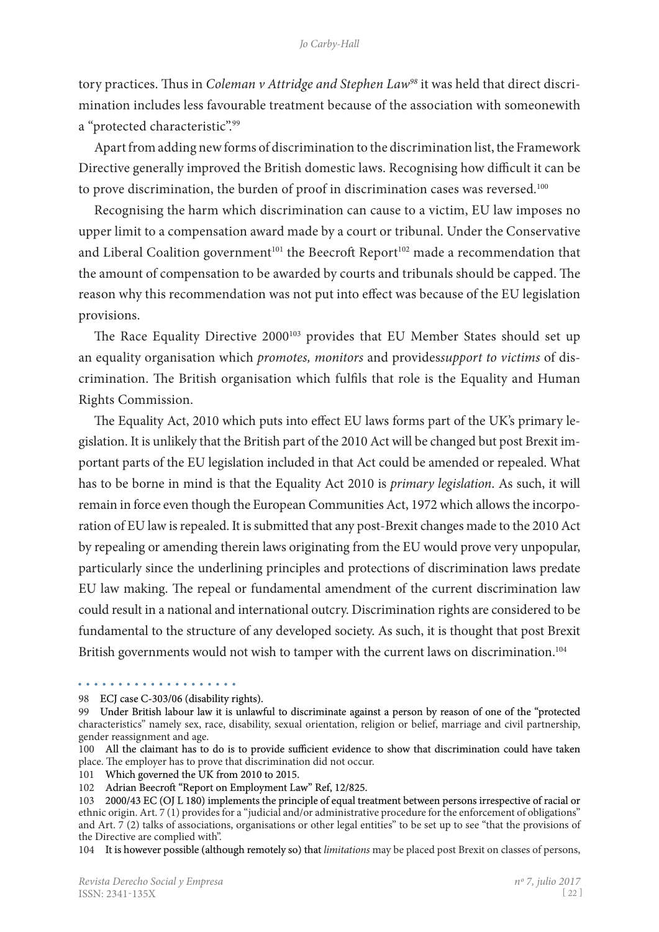#### *Jo Carby-Hall*

tory practices. Thus in *Coleman v Attridge and Stephen Law<sup>98</sup>* it was held that direct discrimination includes less favourable treatment because of the association with someonewith a "protected characteristic".99

Apart from adding new forms of discrimination to the discrimination list, the Framework Directive generally improved the British domestic laws. Recognising how difficult it can be to prove discrimination, the burden of proof in discrimination cases was reversed.<sup>100</sup>

Recognising the harm which discrimination can cause to a victim, EU law imposes no upper limit to a compensation award made by a court or tribunal. Under the Conservative and Liberal Coalition government<sup>101</sup> the Beecroft Report<sup>102</sup> made a recommendation that the amount of compensation to be awarded by courts and tribunals should be capped. The reason why this recommendation was not put into effect was because of the EU legislation provisions.

The Race Equality Directive 2000<sup>103</sup> provides that EU Member States should set up an equality organisation which *promotes, monitors* and provides*support to victims* of discrimination. The British organisation which fulfils that role is the Equality and Human Rights Commission.

The Equality Act, 2010 which puts into effect EU laws forms part of the UK's primary legislation. It is unlikely that the British part of the 2010 Act will be changed but post Brexit im� portant parts of the EU legislation included in that Act could be amended or repealed. What has to be borne in mind is that the Equality Act 2010 is *primary legislation*. As such, it will remain in force even though the European Communities Act, 1972 which allows the incorporation of EU law is repealed. It is submitted that any post-Brexit changes made to the 2010 Act by repealing or amending therein laws originating from the EU would prove very unpopular, particularly since the underlining principles and protections of discrimination laws predate EU law making. The repeal or fundamental amendment of the current discrimination law could result in a national and international outcry. Discrimination rights are considered to be fundamental to the structure of any developed society. As such, it is thought that post Brexit British governments would not wish to tamper with the current laws on discrimination.<sup>104</sup>

104 It is however possible (although remotely so) that *limitations* may be placed post Brexit on classes of persons,

<sup>98</sup> ECJ case C-303/06 (disability rights).

<sup>99</sup> Under British labour law it is unlawful to discriminate against a person by reason of one of the "protected characteristics" namely sex, race, disability, sexual orientation, religion or belief, marriage and civil partnership, gender reassignment and age.

<sup>100</sup> All the claimant has to do is to provide sufficient evidence to show that discrimination could have taken place. The employer has to prove that discrimination did not occur.

<sup>101</sup>  Which governed the UK from 2010 to 2015.

<sup>102</sup>  Adrian Beecroft "Report on Employment Law" Ref, 12/825.

<sup>103 2000/43</sup> EC (OJ L 180) implements the principle of equal treatment between persons irrespective of racial or ethnic origin. Art. 7 (1) provides for a "judicial and/or administrative procedure for the enforcement of obligations" and Art.  $7(2)$  talks of associations, organisations or other legal entities" to be set up to see "that the provisions of the Directive are complied with".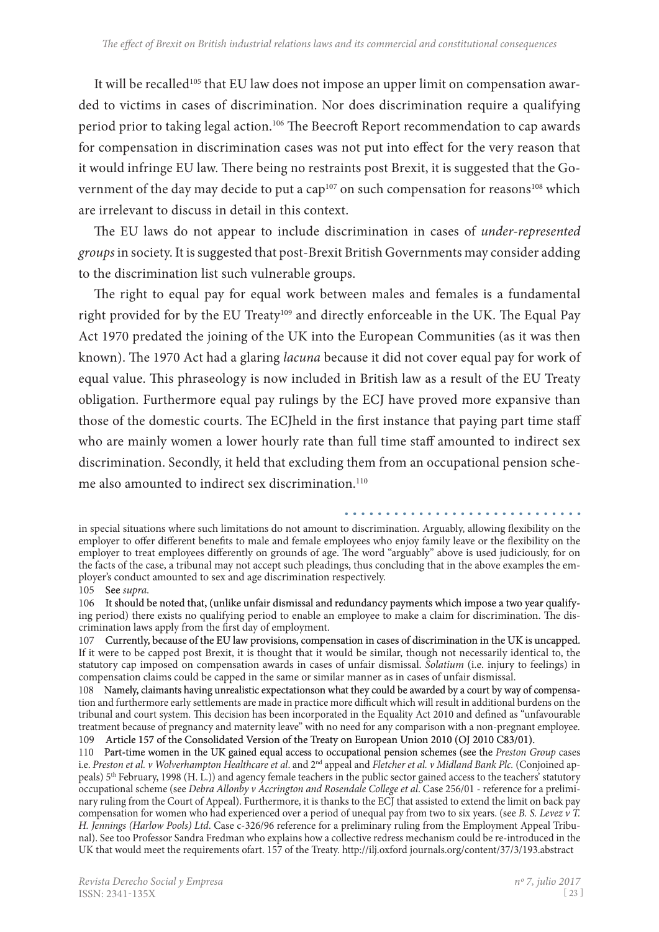It will be recalled<sup>105</sup> that EU law does not impose an upper limit on compensation awarded to victims in cases of discrimination. Nor does discrimination require a qualifying period prior to taking legal action.106 The Beecroft Report recommendation to cap awards for compensation in discrimination cases was not put into effect for the very reason that it would infringe EU law. There being no restraints post Brexit, it is suggested that the Government of the day may decide to put a cap<sup>107</sup> on such compensation for reasons<sup>108</sup> which are irrelevant to discuss in detail in this context.

The EU laws do not appear to include discrimination in cases of *under-represented groups* in society. It is suggested that post-Brexit British Governments may consider adding to the discrimination list such vulnerable groups.

The right to equal pay for equal work between males and females is a fundamental right provided for by the EU Treaty<sup>109</sup> and directly enforceable in the UK. The Equal Pay Act 1970 predated the joining of the UK into the European Communities (as it was then known). The 1970 Act had a glaring *lacuna* because it did not cover equal pay for work of equal value. This phraseology is now included in British law as a result of the EU Treaty obligation. Furthermore equal pay rulings by the ECJ have proved more expansive than those of the domestic courts. The ECJheld in the first instance that paying part time staff who are mainly women a lower hourly rate than full time staff amounted to indirect sex discrimination. Secondly, it held that excluding them from an occupational pension scheme also amounted to indirect sex discrimination.<sup>110</sup>

#### 105 See *supra*.

in special situations where such limitations do not amount to discrimination. Arguably, allowing flexibility on the employer to offer different benefits to male and female employees who enjoy family leave or the flexibility on the employer to treat employees differently on grounds of age. The word "arguably" above is used judiciously, for on the facts of the case, a tribunal may not accept such pleadings, thus concluding that in the above examples the employer's conduct amounted to sex and age discrimination respectively.

<sup>106</sup> It should be noted that, (unlike unfair dismissal and redundancy payments which impose a two year qualifying period) there exists no qualifying period to enable an employee to make a claim for discrimination. The discrimination laws apply from the first day of employment.

<sup>107</sup> Currently, because of the EU law provisions, compensation in cases of discrimination in the UK is uncapped. If it were to be capped post Brexit, it is thought that it would be similar, though not necessarily identical to, the statutory cap imposed on compensation awards in cases of unfair dismissal. *Solatium* (i.e. injury to feelings) in compensation claims could be capped in the same or similar manner as in cases of unfair dismissal.

<sup>108</sup>  Namely, claimants having unrealistic expectationson what they could be awarded by a court by way of compensa� tion and furthermore early settlements are made in practice more difficult which will result in additional burdens on the tribunal and court system. This decision has been incorporated in the Equality Act 2010 and defined as "unfavourable treatment because of pregnancy and maternity leave" with no need for any comparison with a non-pregnant employee. 109 Article 157 of the Consolidated Version of the Treaty on European Union 2010 (OJ 2010 C83/01).

<sup>110</sup> Part-time women in the UK gained equal access to occupational pension schemes (see the Preston Group cases i.e. Preston et al. v Wolverhampton Healthcare et al. and 2<sup>nd</sup> appeal and Fletcher et al. v Midland Bank Plc. (Conjoined appeals) 5th February, 1998 (H. L.)) and agency female teachers in the public sector gained access to the teachers' statutory occupational scheme (see *Debra Allonby v Accrington and Rosendale College et al*. Case 256/01 - reference for a prelimi� nary ruling from the Court of Appeal). Furthermore, it is thanks to the ECJ that assisted to extend the limit on back pay compensation for women who had experienced over a period of unequal pay from two to six years. (see *B. S. Levez v T. H. Jennings (Harlow Pools) Ltd.* Case c-326/96 reference for a preliminary ruling from the Employment Appeal Tribunal). See too Professor Sandra Fredman who explains how a collective redress mechanism could be re-introduced in the UK that would meet the requirements ofart. 157 of the Treaty. http://ilj.oxford journals.org/content/37/3/193.abstract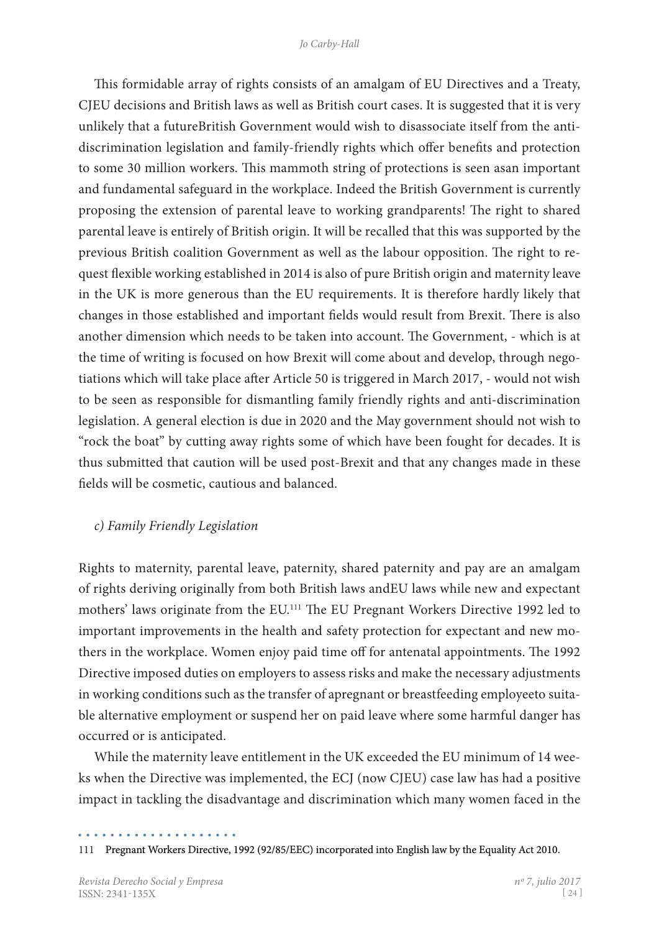This formidable array of rights consists of an amalgam of EU Directives and a Treaty, CJEU decisions and British laws as well as British court cases. It is suggested that it is very unlikely that a futureBritish Government would wish to disassociate itself from the antidiscrimination legislation and family-friendly rights which offer benefits and protection to some 30 million workers. This mammoth string of protections is seen asan important and fundamental safeguard in the workplace. Indeed the British Government is currently proposing the extension of parental leave to working grandparents! The right to shared parental leave is entirely of British origin. It will be recalled that this was supported by the previous British coalition Government as well as the labour opposition. The right to request flexible working established in 2014 is also of pure British origin and maternity leave in the UK is more generous than the EU requirements. It is therefore hardly likely that changes in those established and important fields would result from Brexit. There is also another dimension which needs to be taken into account. The Government, - which is at the time of writing is focused on how Brexit will come about and develop, through negotiations which will take place after Article 50 is triggered in March 2017, - would not wish to be seen as responsible for dismantling family friendly rights and anti-discrimination legislation. A general election is due in 2020 and the May government should not wish to "rock the boat" by cutting away rights some of which have been fought for decades. It is thus submitted that caution will be used post-Brexit and that any changes made in these fields will be cosmetic, cautious and balanced.

## *c) Family Friendly Legislation*

Rights to maternity, parental leave, paternity, shared paternity and pay are an amalgam of rights deriving originally from both British laws andEU laws while new and expectant mothers' laws originate from the EU.111 The EU Pregnant Workers Directive 1992 led to important improvements in the health and safety protection for expectant and new mothers in the workplace. Women enjoy paid time off for antenatal appointments. The 1992 Directive imposed duties on employers to assess risks and make the necessary adjustments in working conditions such as the transfer of apregnant or breastfeeding employeeto suitable alternative employment or suspend her on paid leave where some harmful danger has occurred or is anticipated.

While the maternity leave entitlement in the UK exceeded the EU minimum of 14 weeks when the Directive was implemented, the ECJ (now CJEU) case law has had a positive impact in tackling the disadvantage and discrimination which many women faced in the

<sup>111</sup>  Pregnant Workers Directive, 1992 (92/85/EEC) incorporated into English law by the Equality Act 2010.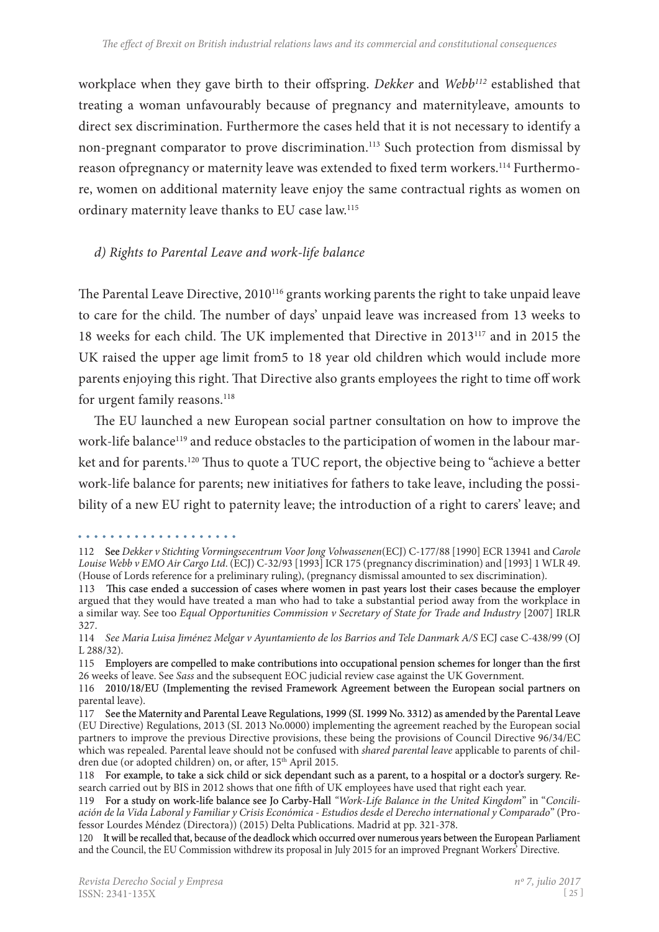workplace when they gave birth to their offspring. *Dekker* and *Webb112* established that treating a woman unfavourably because of pregnancy and maternityleave, amounts to direct sex discrimination. Furthermore the cases held that it is not necessary to identify a non-pregnant comparator to prove discrimination.<sup>113</sup> Such protection from dismissal by reason ofpregnancy or maternity leave was extended to fixed term workers.<sup>114</sup> Furthermore, women on additional maternity leave enjoy the same contractual rights as women on ordinary maternity leave thanks to EU case law.115

## *d) Rights to Parental Leave and work-life balance*

The Parental Leave Directive, 2010<sup>116</sup> grants working parents the right to take unpaid leave to care for the child. The number of days' unpaid leave was increased from 13 weeks to 18 weeks for each child. The UK implemented that Directive in 2013117 and in 2015 the UK raised the upper age limit from5 to 18 year old children which would include more parents enjoying this right. That Directive also grants employees the right to time off work for urgent family reasons.<sup>118</sup>

The EU launched a new European social partner consultation on how to improve the work-life balance<sup>119</sup> and reduce obstacles to the participation of women in the labour market and for parents.<sup>120</sup> Thus to quote a TUC report, the objective being to "achieve a better work-life balance for parents; new initiatives for fathers to take leave, including the possibility of a new EU right to paternity leave; the introduction of a right to carers' leave; and

<sup>112</sup> See *Dekker v Stichting Vormingsecentrum Voor Jong Volwassenen*(ECJ) C-177/88 [1990] ECR 13941 and *Carole Louise Webb v EMO Air Cargo Ltd*. (ECJ) C-32/93 [1993] ICR 175 (pregnancy discrimination) and [1993] 1 WLR 49. (House of Lords reference for a preliminary ruling), (pregnancy dismissal amounted to sex discrimination).

<sup>113</sup> This case ended a succession of cases where women in past years lost their cases because the employer argued that they would have treated a man who had to take a substantial period away from the workplace in a similar way. See too *Equal Opportunities Commission v Secretary of State for Trade and Industry* [2007] IRLR 327.

<sup>114</sup> *See Maria Luisa Jiménez Melgar v Ayuntamiento de los Barrios and Tele Danmark A/S* ECJ case C-438/99 (OJ L 288/32).

<sup>115</sup> Employers are compelled to make contributions into occupational pension schemes for longer than the first 26 weeks of leave. See *Sass* and the subsequent EOC judicial review case against the UK Government.

<sup>116 2010/18/</sup>EU (Implementing the revised Framework Agreement between the European social partners on parental leave).

<sup>117</sup> See the Maternity and Parental Leave Regulations, 1999 (SI. 1999 No. 3312) as amended by the Parental Leave (EU Directive) Regulations, 2013 (SI. 2013 No.0000) implementing the agreement reached by the European social partners to improve the previous Directive provisions, these being the provisions of Council Directive 96/34/EC which was repealed. Parental leave should not be confused with *shared parental leave* applicable to parents of children due (or adopted children) on, or after, 15<sup>th</sup> April 2015.

<sup>118</sup>  For example, to take a sick child or sick dependant such as a parent, to a hospital or a doctor's surgery. Re� search carried out by BIS in 2012 shows that one fifth of UK employees have used that right each year.

<sup>119</sup> For a study on work-life balance see Jo Carby-Hall "Work-Life Balance in the United Kingdom" in "Concili*ación de la Vida Laboral y Familiar y Crisis Económica - Estudios desde el Derecho international y Comparado*" (Pro� fessor Lourdes Méndez (Directora)) (2015) Delta Publications. Madrid at pp. 321-378.

<sup>120</sup> It will be recalled that, because of the deadlock which occurred over numerous years between the European Parliament and the Council, the EU Commission withdrew its proposal in July 2015 for an improved Pregnant Workers' Directive.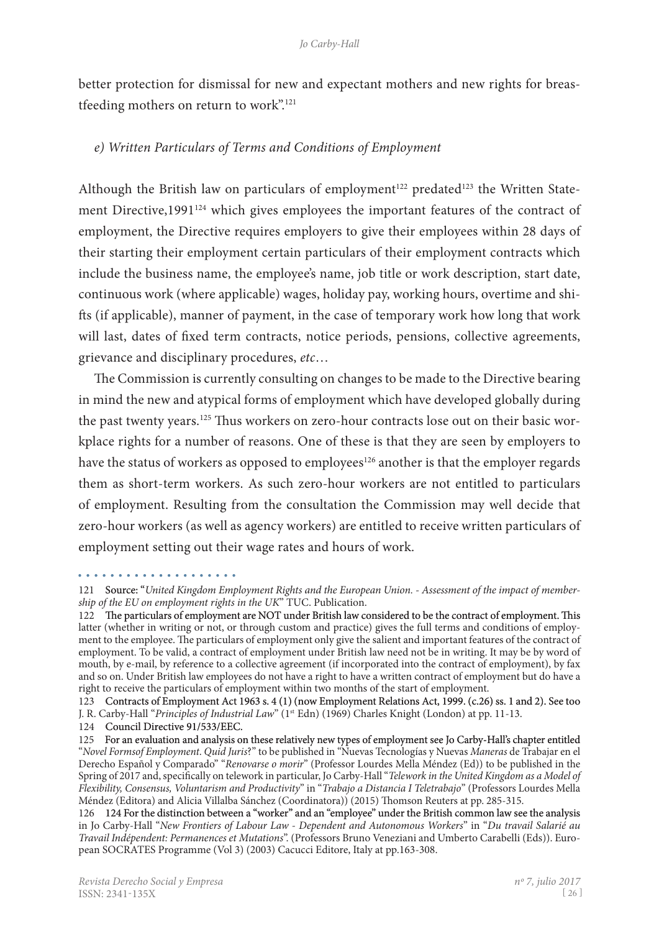better protection for dismissal for new and expectant mothers and new rights for breastfeeding mothers on return to work".121

## *e) Written Particulars of Terms and Conditions of Employment*

Although the British law on particulars of employment<sup>122</sup> predated<sup>123</sup> the Written Statement Directive,1991<sup>124</sup> which gives employees the important features of the contract of employment, the Directive requires employers to give their employees within 28 days of their starting their employment certain particulars of their employment contracts which include the business name, the employee's name, job title or work description, start date, continuous work (where applicable) wages, holiday pay, working hours, overtime and shifts (if applicable), manner of payment, in the case of temporary work how long that work will last, dates of fixed term contracts, notice periods, pensions, collective agreements, grievance and disciplinary procedures, *etc*…

The Commission is currently consulting on changes to be made to the Directive bearing in mind the new and atypical forms of employment which have developed globally during the past twenty years.<sup>125</sup> Thus workers on zero-hour contracts lose out on their basic workplace rights for a number of reasons. One of these is that they are seen by employers to have the status of workers as opposed to employees<sup>126</sup> another is that the employer regards them as short-term workers. As such zero-hour workers are not entitled to particulars of employment. Resulting from the consultation the Commission may well decide that zero-hour workers (as well as agency workers) are entitled to receive written particulars of employment setting out their wage rates and hours of work.

J. R. Carby-Hall "*Principles of Industrial Law*" (1st Edn) (1969) Charles Knight (London) at pp. 11-13.

<sup>121</sup>  Source: "*United Kingdom Employment Rights and the European Union. - Assessment of the impact of membership of the EU on employment rights in the UK*" TUC. Publication.

<sup>122</sup> The particulars of employment are NOT under British law considered to be the contract of employment. This latter (whether in writing or not, or through custom and practice) gives the full terms and conditions of employment to the employee. The particulars of employment only give the salient and important features of the contract of employment. To be valid, a contract of employment under British law need not be in writing. It may be by word of mouth, by e-mail, by reference to a collective agreement (if incorporated into the contract of employment), by fax and so on. Under British law employees do not have a right to have a written contract of employment but do have a right to receive the particulars of employment within two months of the start of employment.

<sup>123</sup> Contracts of Employment Act 1963 s. 4 (1) (now Employment Relations Act, 1999. (c.26) ss. 1 and 2). See too

<sup>124</sup>  Council Directive 91/533/EEC.

<sup>125</sup> For an evaluation and analysis on these relatively new types of employment see Jo Carby-Hall's chapter entitled "*Novel Formsof Employment*. *Quid Juris*?" to be published in "Nuevas Tecnologías y Nuevas *Maneras* de Trabajar en el Derecho Español y Comparado" "*Renovarse o morir*" (Professor Lourdes Mella Méndez (Ed)) to be published in the Spring of 2017 and, specifically on telework in particular, Jo Carby-Hall "*Telework in the United Kingdom as a Model of Flexibility, Consensus, Voluntarism and Productivity*" in "*Trabajo a Distancia I Teletrabajo*" (Professors Lourdes Mella Méndez (Editora) and Alicia Villalba Sánchez (Coordinatora)) (2015) Thomson Reuters at pp. 285-315.

<sup>126 124</sup> For the distinction between a "worker" and an "employee" under the British common law see the analysis in Jo Carby-Hall "*New Frontiers of Labour Law - Dependent and Autonomous Workers*" in "*Du travail Salarié au Travail Indépendent: Permanences et Mutations*". (Professors Bruno Veneziani and Umberto Carabelli (Eds)). Euro� pean SOCRATES Programme (Vol 3) (2003) Cacucci Editore, Italy at pp.163-308.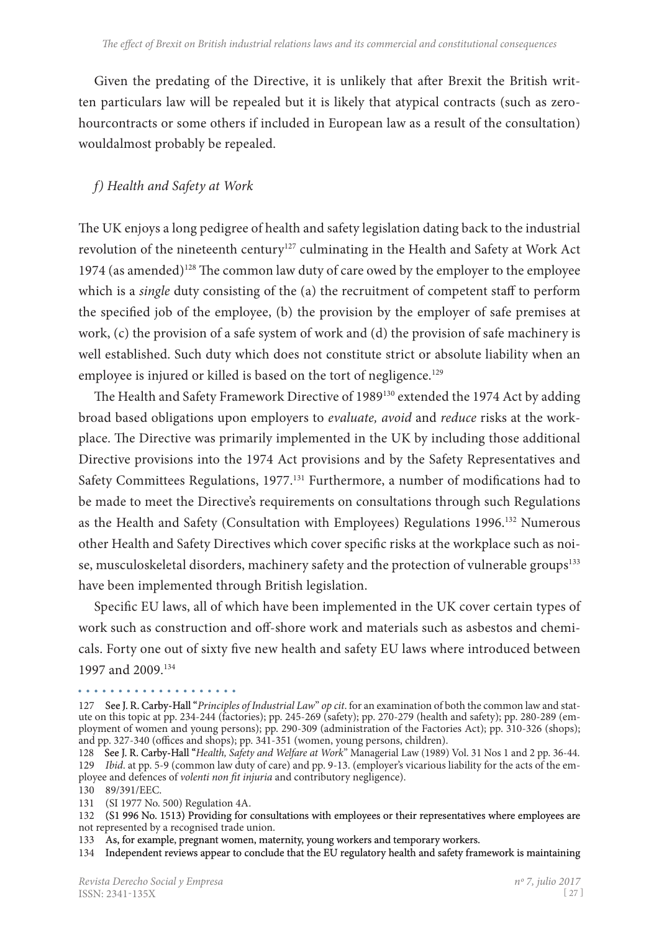Given the predating of the Directive, it is unlikely that after Brexit the British written particulars law will be repealed but it is likely that atypical contracts (such as zerohourcontracts or some others if included in European law as a result of the consultation) wouldalmost probably be repealed.

## *f) Health and Safety at Work*

The UK enjoys a long pedigree of health and safety legislation dating back to the industrial revolution of the nineteenth century<sup>127</sup> culminating in the Health and Safety at Work Act 1974 (as amended)<sup>128</sup> The common law duty of care owed by the employer to the employee which is a *single* duty consisting of the (a) the recruitment of competent staff to perform the specified job of the employee, (b) the provision by the employer of safe premises at work, (c) the provision of a safe system of work and (d) the provision of safe machinery is well established. Such duty which does not constitute strict or absolute liability when an employee is injured or killed is based on the tort of negligence.<sup>129</sup>

The Health and Safety Framework Directive of 1989<sup>130</sup> extended the 1974 Act by adding broad based obligations upon employers to *evaluate, avoid* and *reduce* risks at the work� place. The Directive was primarily implemented in the UK by including those additional Directive provisions into the 1974 Act provisions and by the Safety Representatives and Safety Committees Regulations, 1977.<sup>131</sup> Furthermore, a number of modifications had to be made to meet the Directive's requirements on consultations through such Regulations as the Health and Safety (Consultation with Employees) Regulations 1996.132 Numerous other Health and Safety Directives which cover specific risks at the workplace such as noise, musculoskeletal disorders, machinery safety and the protection of vulnerable groups<sup>133</sup> have been implemented through British legislation.

Specific EU laws, all of which have been implemented in the UK cover certain types of work such as construction and off-shore work and materials such as asbestos and chemicals. Forty one out of sixty five new health and safety EU laws where introduced between 1997 and 2009.134

#### 

<sup>127</sup> See J. R. Carby-Hall "Principles of Industrial Law" op cit. for an examination of both the common law and statute on this topic at pp. 234-244 (factories); pp. 245-269 (safety); pp. 270-279 (health and safety); pp. 280-289 (employment of women and young persons); pp. 290-309 (administration of the Factories Act); pp. 310-326 (shops); and pp. 327-340 (offices and shops); pp. 341-351 (women, young persons, children).

<sup>128</sup> See J. R. Carby-Hall "Health, Safety and Welfare at Work" Managerial Law (1989) Vol. 31 Nos 1 and 2 pp. 36-44. 129 *Ibid.* at pp. 5-9 (common law duty of care) and pp. 9-13. (employer's vicarious liability for the acts of the employee and defences of *volenti non fit injuria* and contributory negligence). 130 89/391/EEC.

<sup>131</sup> (SI 1977 No. 500) Regulation 4A.

<sup>132 (</sup>S1 996 No. 1513) Providing for consultations with employees or their representatives where employees are not represented by a recognised trade union.

<sup>133</sup>  As, for example, pregnant women, maternity, young workers and temporary workers.

<sup>134</sup> Independent reviews appear to conclude that the EU regulatory health and safety framework is maintaining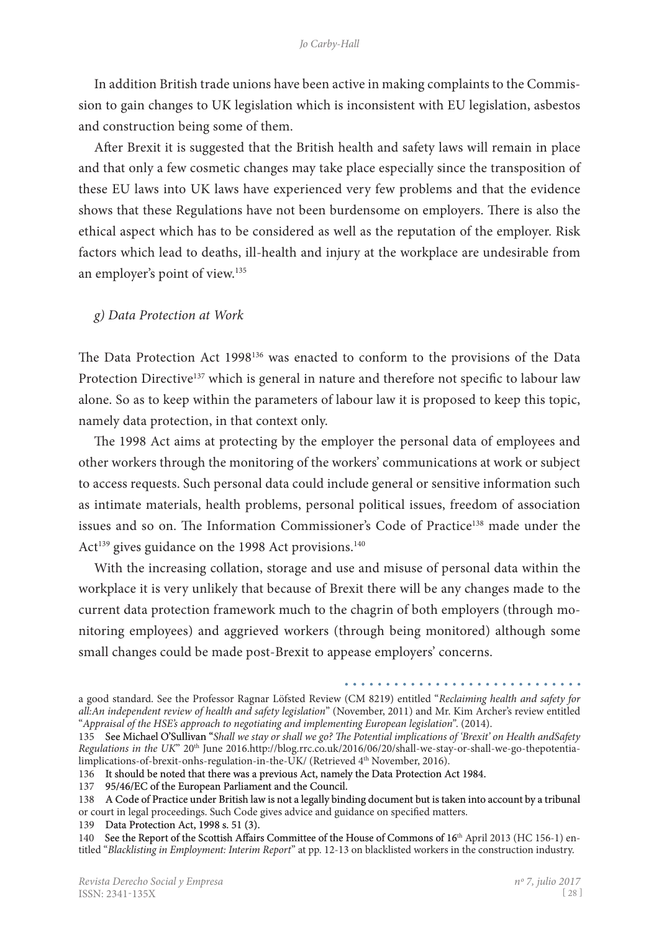In addition British trade unions have been active in making complaints to the Commission to gain changes to UK legislation which is inconsistent with EU legislation, asbestos and construction being some of them.

After Brexit it is suggested that the British health and safety laws will remain in place and that only a few cosmetic changes may take place especially since the transposition of these EU laws into UK laws have experienced very few problems and that the evidence shows that these Regulations have not been burdensome on employers. There is also the ethical aspect which has to be considered as well as the reputation of the employer. Risk factors which lead to deaths, ill-health and injury at the workplace are undesirable from an employer's point of view. 135

#### *g) Data Protection at Work*

The Data Protection Act 1998136 was enacted to conform to the provisions of the Data Protection Directive<sup>137</sup> which is general in nature and therefore not specific to labour law alone. So as to keep within the parameters of labour law it is proposed to keep this topic, namely data protection, in that context only.

The 1998 Act aims at protecting by the employer the personal data of employees and other workers through the monitoring of the workers' communications at work or subject to access requests. Such personal data could include general or sensitive information such as intimate materials, health problems, personal political issues, freedom of association issues and so on. The Information Commissioner's Code of Practice<sup>138</sup> made under the Act<sup>139</sup> gives guidance on the 1998 Act provisions.<sup>140</sup>

With the increasing collation, storage and use and misuse of personal data within the workplace it is very unlikely that because of Brexit there will be any changes made to the current data protection framework much to the chagrin of both employers (through monitoring employees) and aggrieved workers (through being monitored) although some small changes could be made post-Brexit to appease employers' concerns.

a good standard. See the Professor Ragnar Löfsted Review (CM 8219) entitled "*Reclaiming health and safety for all:An independent review of health and safety legislation*" (November, 2011) and Mr. Kim Archer's review entitled "*Appraisal of the HSE's approach to negotiating and implementing European legislation"*. (2014).

<sup>135</sup>  See Michael O'Sullivan "*Shall we stay or shall we go? The Potential implications of 'Brexit' on Health andSafety Regulations in the UK*" 20<sup>th</sup> June 2016.http://blog.rrc.co.uk/2016/06/20/shall-we-stay-or-shall-we-go-thepotentialimplications-of-brexit-onhs-regulation-in-the-UK/ (Retrieved 4<sup>th</sup> November, 2016).

<sup>136</sup>  It should be noted that there was a previous Act, namely the Data Protection Act 1984.

<sup>137</sup>  95/46/EC of the European Parliament and the Council.

<sup>138</sup> A Code of Practice under British law is not a legally binding document but is taken into account by a tribunal or court in legal proceedings. Such Code gives advice and guidance on specified matters.

<sup>139</sup>  Data Protection Act, 1998 s. 51 (3).

<sup>140</sup> See the Report of the Scottish Affairs Committee of the House of Commons of 16<sup>th</sup> April 2013 (HC 156-1) entitled "*Blacklisting in Employment: Interim Report*" at pp. 12-13 on blacklisted workers in the construction industry.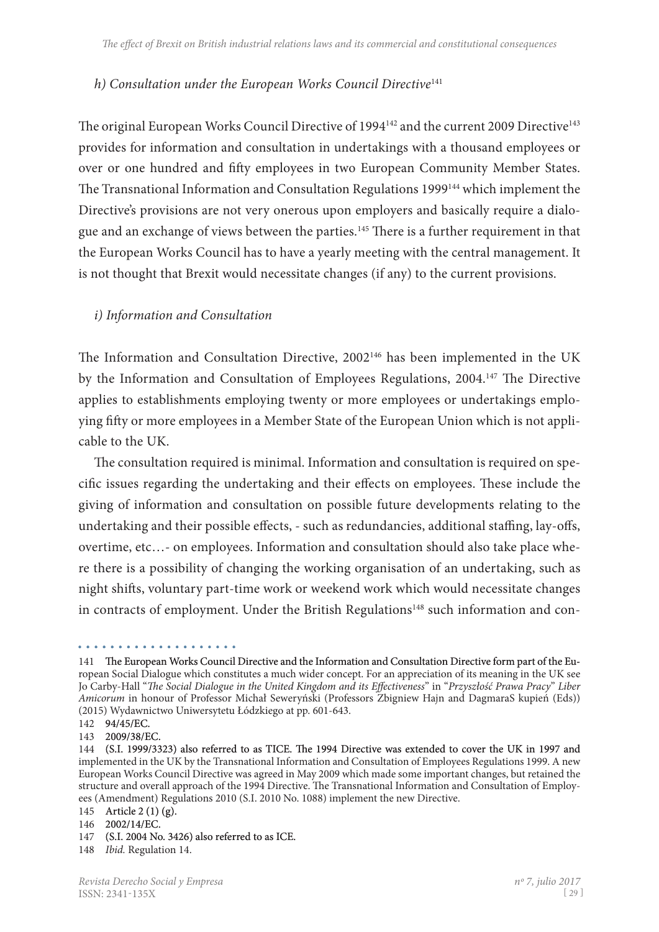## *h) Consultation under the European Works Council Directive*<sup>141</sup>

The original European Works Council Directive of 1994<sup>142</sup> and the current 2009 Directive<sup>143</sup> provides for information and consultation in undertakings with a thousand employees or over or one hundred and fifty employees in two European Community Member States. The Transnational Information and Consultation Regulations 1999144 which implement the Directive's provisions are not very onerous upon employers and basically require a dialogue and an exchange of views between the parties.145 There is a further requirement in that the European Works Council has to have a yearly meeting with the central management. It is not thought that Brexit would necessitate changes (if any) to the current provisions.

## *i) Information and Consultation*

The Information and Consultation Directive, 2002<sup>146</sup> has been implemented in the UK by the Information and Consultation of Employees Regulations, 2004.147 The Directive applies to establishments employing twenty or more employees or undertakings employing fifty or more employees in a Member State of the European Union which is not appli� cable to the UK.

The consultation required is minimal. Information and consultation is required on specific issues regarding the undertaking and their effects on employees. These include the giving of information and consultation on possible future developments relating to the undertaking and their possible effects, - such as redundancies, additional staffing, lay-offs, overtime, etc...- on employees. Information and consultation should also take place where there is a possibility of changing the working organisation of an undertaking, such as night shifts, voluntary part-time work or weekend work which would necessitate changes in contracts of employment. Under the British Regulations<sup>148</sup> such information and con-

<sup>141</sup> The European Works Council Directive and the Information and Consultation Directive form part of the European Social Dialogue which constitutes a much wider concept. For an appreciation of its meaning in the UK see Jo Carby-Hall "*The Social Dialogue in the United Kingdom and its Effectiveness*" in "*Przyszłość Prawa Pracy*" *Liber Amicorum* in honour of Professor Michał Seweryński (Professors Zbigniew Hajn and DagmaraS kupień (Eds)) (2015) Wydawnictwo Uniwersytetu Łόdzkiego at pp. 601-643.

<sup>142</sup>  94/45/EC.

<sup>143</sup>  2009/38/EC.

<sup>144 (</sup>S.I. 1999/3323) also referred to as TICE. �e 1994 Directive was extended to cover the UK in 1997 and implemented in the UK by the Transnational Information and Consultation of Employees Regulations 1999. A new European Works Council Directive was agreed in May 2009 which made some important changes, but retained the structure and overall approach of the 1994 Directive. The Transnational Information and Consultation of Employees (Amendment) Regulations 2010 (S.I. 2010 No. 1088) implement the new Directive.

<sup>145</sup>  Article 2 (1) (g).

<sup>146</sup>  2002/14/EC.

<sup>147</sup>  (S.I. 2004 No. 3426) also referred to as ICE.

<sup>148</sup> *Ibid.* Regulation 14.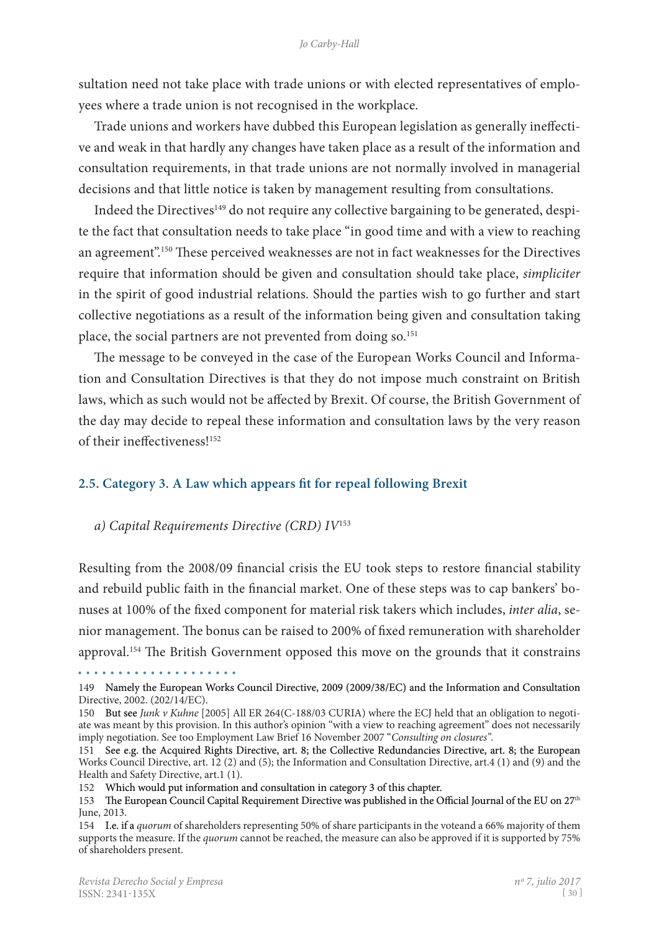sultation need not take place with trade unions or with elected representatives of employees where a trade union is not recognised in the workplace.

Trade unions and workers have dubbed this European legislation as generally ineffective and weak in that hardly any changes have taken place as a result of the information and consultation requirements, in that trade unions are not normally involved in managerial decisions and that little notice is taken by management resulting from consultations.

Indeed the Directives<sup>149</sup> do not require any collective bargaining to be generated, despite the fact that consultation needs to take place "in good time and with a view to reaching an agreement".<sup>150</sup> These perceived weaknesses are not in fact weaknesses for the Directives require that information should be given and consultation should take place, *simpliciter*  in the spirit of good industrial relations. Should the parties wish to go further and start collective negotiations as a result of the information being given and consultation taking place, the social partners are not prevented from doing so.<sup>151</sup>

The message to be conveyed in the case of the European Works Council and Information and Consultation Directives is that they do not impose much constraint on British laws, which as such would not be affected by Brexit. Of course, the British Government of the day may decide to repeal these information and consultation laws by the very reason of their ineffectiveness!152

#### **2.5. Category 3. A Law which appears fit for repeal following Brexit**

#### *a) Capital Requirements Directive (CRD) IV*<sup>153</sup>

Resulting from the 2008/09 financial crisis the EU took steps to restore financial stability and rebuild public faith in the financial market. One of these steps was to cap bankers' bonuses at 100% of the fixed component for material risk takers which includes, *inter alia*, senior management. The bonus can be raised to 200% of fixed remuneration with shareholder approval.<sup>154</sup> The British Government opposed this move on the grounds that it constrains

<sup>149</sup> Namely the European Works Council Directive, 2009 (2009/38/EC) and the Information and Consultation Directive, 2002. (202/14/EC).

<sup>150</sup> But see *Junk v Kuhne* [2005] All ER 264(C-188/03 CURIA) where the ECJ held that an obligation to negoti� ate was meant by this provision. In this author's opinion "with a view to reaching agreement" does not necessarily imply negotiation. See too Employment Law Brief 16 November 2007 "*Consulting on closures"*.

<sup>151</sup> See e.g. the Acquired Rights Directive, art. 8; the Collective Redundancies Directive, art. 8; the European Works Council Directive, art. 12 (2) and (5); the Information and Consultation Directive, art.4 (1) and (9) and the Health and Safety Directive, art.1 (1).

<sup>152</sup>  Which would put information and consultation in category 3 of this chapter.

<sup>153</sup> The European Council Capital Requirement Directive was published in the Official Journal of the EU on  $27<sup>th</sup>$ June, 2013.

<sup>154</sup> I.e. if a *quorum* of shareholders representing 50% of share participants in the voteand a 66% majority of them supports the measure. If the *quorum* cannot be reached, the measure can also be approved if it is supported by 75% of shareholders present.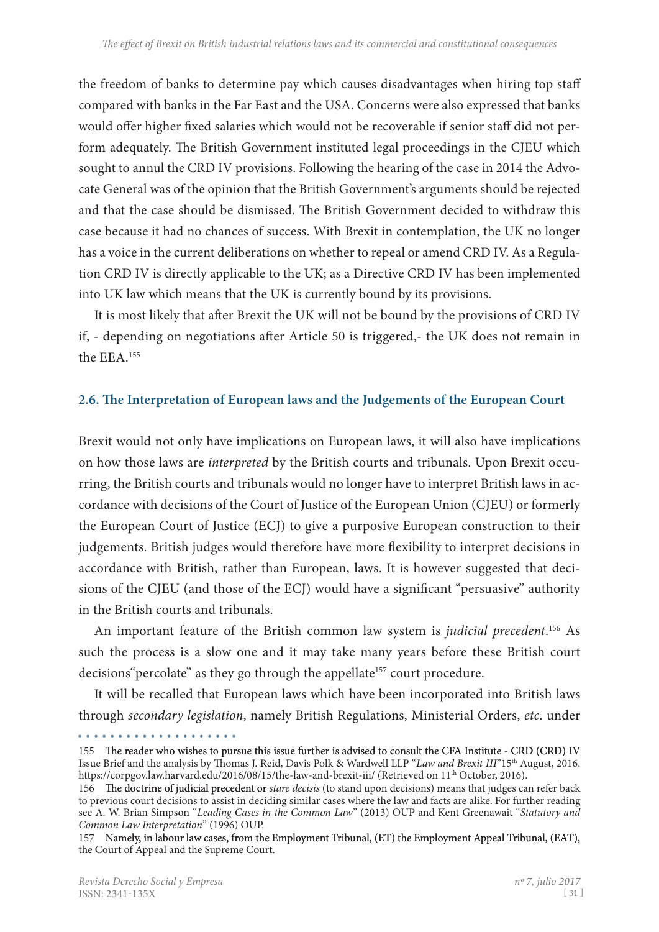the freedom of banks to determine pay which causes disadvantages when hiring top staff compared with banks in the Far East and the USA. Concerns were also expressed that banks would offer higher fixed salaries which would not be recoverable if senior staff did not perform adequately. The British Government instituted legal proceedings in the CJEU which sought to annul the CRD IV provisions. Following the hearing of the case in 2014 the Advocate General was of the opinion that the British Government's arguments should be rejected and that the case should be dismissed. The British Government decided to withdraw this case because it had no chances of success. With Brexit in contemplation, the UK no longer has a voice in the current deliberations on whether to repeal or amend CRD IV. As a Regulation CRD IV is directly applicable to the UK; as a Directive CRD IV has been implemented into UK law which means that the UK is currently bound by its provisions.

It is most likely that after Brexit the UK will not be bound by the provisions of CRD IV if, - depending on negotiations after Article 50 is triggered,- the UK does not remain in the EEA.155

## **2.6. The Interpretation of European laws and the Judgements of the European Court**

Brexit would not only have implications on European laws, it will also have implications on how those laws are *interpreted* by the British courts and tribunals. Upon Brexit occurring, the British courts and tribunals would no longer have to interpret British laws in accordance with decisions of the Court of Justice of the European Union (CJEU) or formerly the European Court of Justice (ECJ) to give a purposive European construction to their judgements. British judges would therefore have more flexibility to interpret decisions in accordance with British, rather than European, laws. It is however suggested that decisions of the CJEU (and those of the ECJ) would have a significant "persuasive" authority in the British courts and tribunals.

An important feature of the British common law system is *judicial precedent*. 156 As such the process is a slow one and it may take many years before these British court decisions "percolate" as they go through the appellate<sup>157</sup> court procedure.

It will be recalled that European laws which have been incorporated into British laws through *secondary legislation*, namely British Regulations, Ministerial Orders, *etc*. under

<sup>155</sup> The reader who wishes to pursue this issue further is advised to consult the CFA Institute - CRD (CRD) IV Issue Brief and the analysis by Thomas J. Reid, Davis Polk & Wardwell LLP "*Law and Brexit III*"15th August, 2016. https://corpgov.law.harvard.edu/2016/08/15/the-law-and-brexit-iii/ (Retrieved on 11<sup>th</sup> October, 2016).

<sup>156</sup> �e doctrine of judicial precedent or *stare decisis* (to stand upon decisions) means that judges can refer back to previous court decisions to assist in deciding similar cases where the law and facts are alike. For further reading see A. W. Brian Simpson "*Leading Cases in the Common Law*" (2013) OUP and Kent Greenawait "*Statutory and Common Law Interpretation*" (1996) OUP.

<sup>157</sup> Namely, in labour law cases, from the Employment Tribunal, (ET) the Employment Appeal Tribunal, (EAT), the Court of Appeal and the Supreme Court.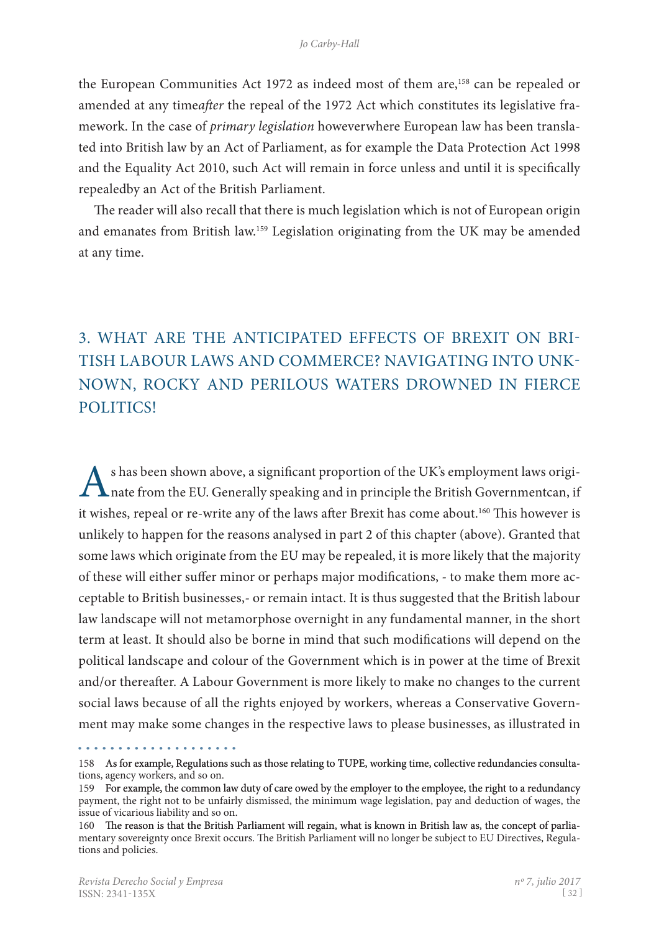the European Communities Act 1972 as indeed most of them are,<sup>158</sup> can be repealed or amended at any time*after* the repeal of the 1972 Act which constitutes its legislative framework. In the case of *primary legislation* howeverwhere European law has been translated into British law by an Act of Parliament, as for example the Data Protection Act 1998 and the Equality Act 2010, such Act will remain in force unless and until it is specifically repealedby an Act of the British Parliament.

The reader will also recall that there is much legislation which is not of European origin and emanates from British law.159 Legislation originating from the UK may be amended at any time.

# 3. What are the Anticipated Effects of Brexit on British Labour Laws and Commerce? Navigating into unknown, rocky and perilous waters drowned in fierce politics!

s has been shown above, a significant proportion of the UK's employment laws originate from the EU. Generally speaking and in principle the British Governmentcan, if it wishes, repeal or re-write any of the laws after Brexit has come about.<sup>160</sup> This however is unlikely to happen for the reasons analysed in part 2 of this chapter (above). Granted that some laws which originate from the EU may be repealed, it is more likely that the majority of these will either suffer minor or perhaps major modifications, - to make them more acceptable to British businesses,- or remain intact. It is thus suggested that the British labour law landscape will not metamorphose overnight in any fundamental manner, in the short term at least. It should also be borne in mind that such modifications will depend on the political landscape and colour of the Government which is in power at the time of Brexit and/or thereafter. A Labour Government is more likely to make no changes to the current social laws because of all the rights enjoyed by workers, whereas a Conservative Government may make some changes in the respective laws to please businesses, as illustrated in

<sup>158</sup>  As for example, Regulations such as those relating to TUPE, working time, collective redundancies consulta� tions, agency workers, and so on.

<sup>159</sup> For example, the common law duty of care owed by the employer to the employee, the right to a redundancy payment, the right not to be unfairly dismissed, the minimum wage legislation, pay and deduction of wages, the issue of vicarious liability and so on.

<sup>160</sup> The reason is that the British Parliament will regain, what is known in British law as, the concept of parliamentary sovereignty once Brexit occurs. The British Parliament will no longer be subject to EU Directives, Regula� tions and policies.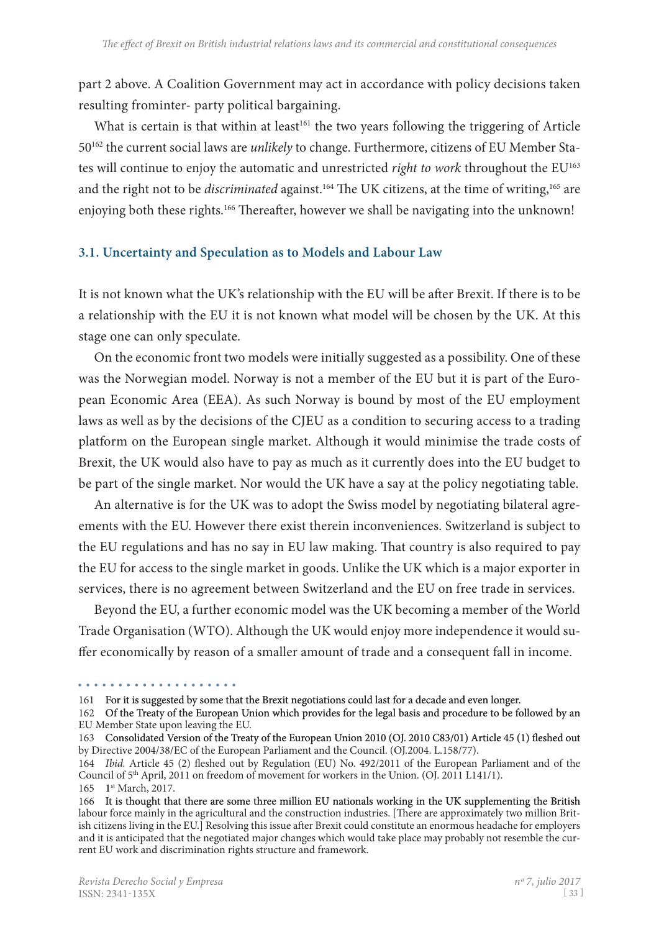part 2 above. A Coalition Government may act in accordance with policy decisions taken resulting frominter- party political bargaining.

What is certain is that within at least<sup>161</sup> the two years following the triggering of Article 50162 the current social laws are *unlikely* to change. Furthermore, citizens of EU Member Sta� tes will continue to enjoy the automatic and unrestricted *right to work* throughout the EU<sup>163</sup> and the right not to be *discriminated* against.<sup>164</sup> The UK citizens, at the time of writing,<sup>165</sup> are enjoying both these rights.<sup>166</sup> Thereafter, however we shall be navigating into the unknown!

#### **3.1. Uncertainty and Speculation as to Models and Labour Law**

It is not known what the UK's relationship with the EU will be after Brexit. If there is to be a relationship with the EU it is not known what model will be chosen by the UK. At this stage one can only speculate.

On the economic front two models were initially suggested as a possibility. One of these was the Norwegian model. Norway is not a member of the EU but it is part of the European Economic Area (EEA). As such Norway is bound by most of the EU employment laws as well as by the decisions of the CJEU as a condition to securing access to a trading platform on the European single market. Although it would minimise the trade costs of Brexit, the UK would also have to pay as much as it currently does into the EU budget to be part of the single market. Nor would the UK have a say at the policy negotiating table.

An alternative is for the UK was to adopt the Swiss model by negotiating bilateral agreements with the EU. However there exist therein inconveniences. Switzerland is subject to the EU regulations and has no say in EU law making. That country is also required to pay the EU for access to the single market in goods. Unlike the UK which is a major exporter in services, there is no agreement between Switzerland and the EU on free trade in services.

Beyond the EU, a further economic model was the UK becoming a member of the World Trade Organisation (WTO). Although the UK would enjoy more independence it would suffer economically by reason of a smaller amount of trade and a consequent fall in income.

<sup>161</sup>  For it is suggested by some that the Brexit negotiations could last for a decade and even longer.

<sup>162</sup> Of the Treaty of the European Union which provides for the legal basis and procedure to be followed by an EU Member State upon leaving the EU.

<sup>163</sup> Consolidated Version of the Treaty of the European Union 2010 (OJ. 2010 C83/01) Article 45 (1) fleshed out by Directive 2004/38/EC of the European Parliament and the Council. (OJ.2004. L.158/77).

<sup>164</sup> *Ibid.* Article 45 (2) fleshed out by Regulation (EU) No. 492/2011 of the European Parliament and of the Council of 5th April, 2011 on freedom of movement for workers in the Union. (OJ. 2011 L141/1). 165 1st March, 2017.

<sup>166</sup> It is thought that there are some three million EU nationals working in the UK supplementing the British labour force mainly in the agricultural and the construction industries. [There are approximately two million British citizens living in the EU.] Resolving this issue after Brexit could constitute an enormous headache for employers and it is anticipated that the negotiated major changes which would take place may probably not resemble the current EU work and discrimination rights structure and framework.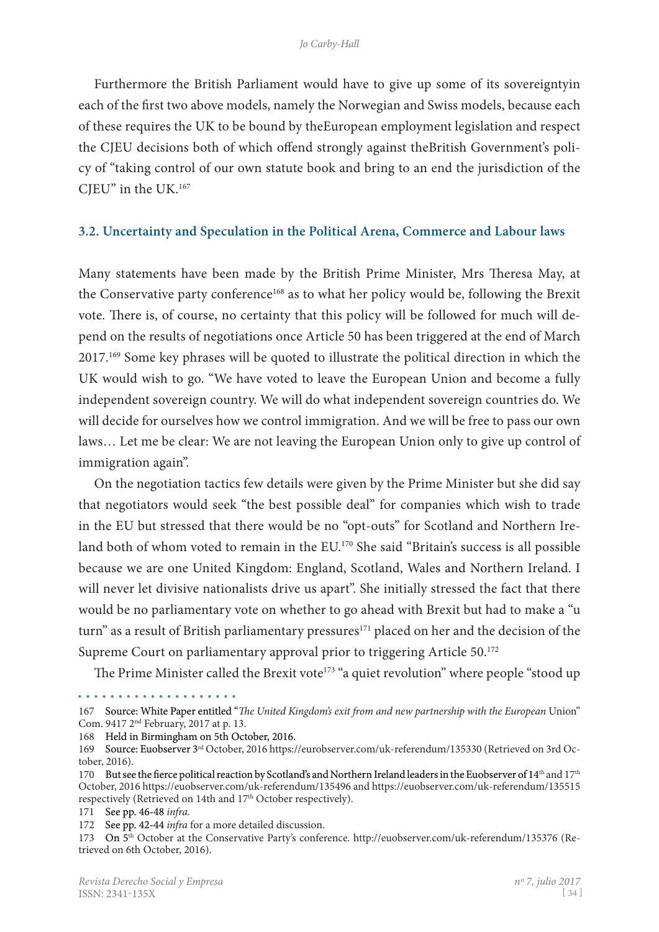Furthermore the British Parliament would have to give up some of its sovereigntyin each of the first two above models, namely the Norwegian and Swiss models, because each of these requires the UK to be bound by theEuropean employment legislation and respect the CJEU decisions both of which offend strongly against theBritish Government's poli� cy of "taking control of our own statute book and bring to an end the jurisdiction of the CJEU" in the UK.167

#### **3.2. Uncertainty and Speculation in the Political Arena, Commerce and Labour laws**

Many statements have been made by the British Prime Minister, Mrs Theresa May, at the Conservative party conference<sup>168</sup> as to what her policy would be, following the Brexit vote. There is, of course, no certainty that this policy will be followed for much will depend on the results of negotiations once Article 50 has been triggered at the end of March 2017.169 Some key phrases will be quoted to illustrate the political direction in which the UK would wish to go. "We have voted to leave the European Union and become a fully independent sovereign country. We will do what independent sovereign countries do. We will decide for ourselves how we control immigration. And we will be free to pass our own laws… Let me be clear: We are not leaving the European Union only to give up control of immigration again".

On the negotiation tactics few details were given by the Prime Minister but she did say that negotiators would seek "the best possible deal" for companies which wish to trade in the EU but stressed that there would be no "opt-outs" for Scotland and Northern Ireland both of whom voted to remain in the EU.<sup>170</sup> She said "Britain's success is all possible because we are one United Kingdom: England, Scotland, Wales and Northern Ireland. I will never let divisive nationalists drive us apart". She initially stressed the fact that there would be no parliamentary vote on whether to go ahead with Brexit but had to make a "u turn" as a result of British parliamentary pressures<sup>171</sup> placed on her and the decision of the Supreme Court on parliamentary approval prior to triggering Article 50.<sup>172</sup>

The Prime Minister called the Brexit vote<sup>173</sup> "a quiet revolution" where people "stood up

<sup>167</sup>  Source: White Paper entitled "*The United Kingdom's exit from and new partnership with the European* Union"

Com. 9417 2nd February, 2017 at p. 13.

<sup>168</sup>  Held in Birmingham on 5th October, 2016.

<sup>169</sup>  Source: Euobserver 3rd October, 2016 https://eurobserver.com/uk-referendum/135330 (Retrieved on 3rd Oc� tober, 2016).

<sup>170</sup> But see the fierce political reaction by Scotland's and Northern Ireland leaders in the Euobserver of 14<sup>th</sup> and 17<sup>th</sup> October, 2016 https://euobserver.com/uk-referendum/135496 and https://euobserver.com/uk-referendum/135515 respectively (Retrieved on 14th and 17<sup>th</sup> October respectively).

<sup>171</sup> See pp. 46-48 *infra*.

<sup>172</sup> See pp. 42-44 *infra* for a more detailed discussion.

<sup>173</sup> On 5<sup>th</sup> October at the Conservative Party's conference. http://euobserver.com/uk-referendum/135376 (Retrieved on 6th October, 2016).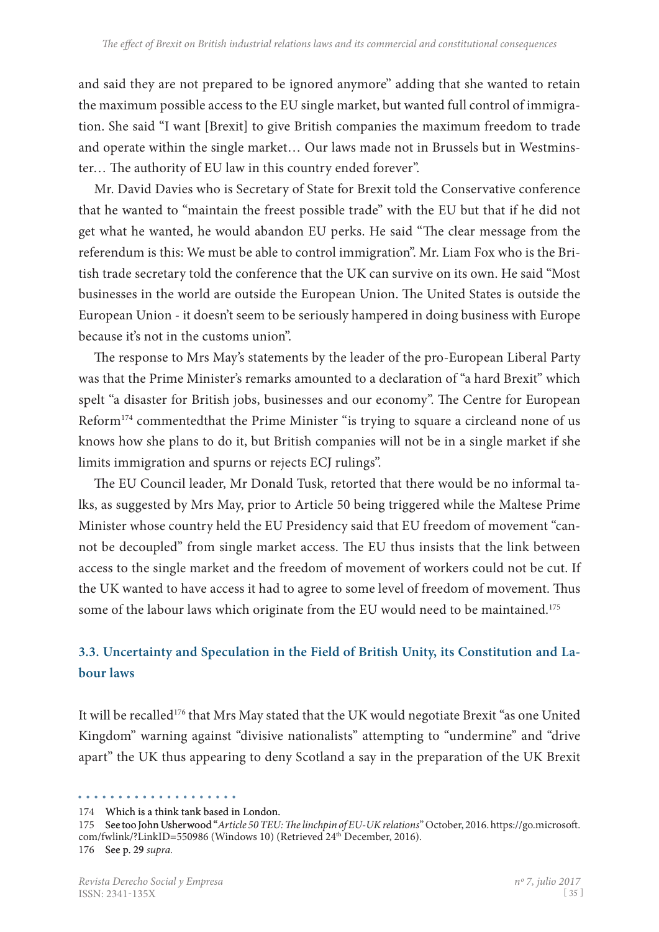and said they are not prepared to be ignored anymore" adding that she wanted to retain the maximum possible access to the EU single market, but wanted full control of immigra� tion. She said "I want [Brexit] to give British companies the maximum freedom to trade and operate within the single market... Our laws made not in Brussels but in Westminster… The authority of EU law in this country ended forever".

Mr. David Davies who is Secretary of State for Brexit told the Conservative conference that he wanted to "maintain the freest possible trade" with the EU but that if he did not get what he wanted, he would abandon EU perks. He said "The clear message from the referendum is this: We must be able to control immigration". Mr. Liam Fox who is the British trade secretary told the conference that the UK can survive on its own. He said "Most businesses in the world are outside the European Union. The United States is outside the European Union - it doesn't seem to be seriously hampered in doing business with Europe because it's not in the customs union".

The response to Mrs May's statements by the leader of the pro-European Liberal Party was that the Prime Minister's remarks amounted to a declaration of "a hard Brexit" which spelt "a disaster for British jobs, businesses and our economy". The Centre for European Reform<sup>174</sup> commentedthat the Prime Minister "is trying to square a circleand none of us knows how she plans to do it, but British companies will not be in a single market if she limits immigration and spurns or rejects ECJ rulings".

The EU Council leader, Mr Donald Tusk, retorted that there would be no informal ta� lks, as suggested by Mrs May, prior to Article 50 being triggered while the Maltese Prime Minister whose country held the EU Presidency said that EU freedom of movement "cannot be decoupled" from single market access. The EU thus insists that the link between access to the single market and the freedom of movement of workers could not be cut. If the UK wanted to have access it had to agree to some level of freedom of movement. Thus some of the labour laws which originate from the EU would need to be maintained.<sup>175</sup>

# **3.3. Uncertainty and Speculation in the Field of British Unity, its Constitution and Labour laws**

It will be recalled<sup>176</sup> that Mrs May stated that the UK would negotiate Brexit "as one United Kingdom" warning against "divisive nationalists" attempting to "undermine" and "drive apart" the UK thus appearing to deny Scotland a say in the preparation of the UK Brexit

<sup>174</sup>  Which is a think tank based in London.

<sup>175</sup>  See too John Usherwood "*Article 50 TEU: The linchpin of EU-UK relations*" October, 2016. https://go.microsoft. com/fwlink/?LinkID=550986 (Windows 10) (Retrieved 24<sup>th</sup> December, 2016). 176 See p. 29 *supra.*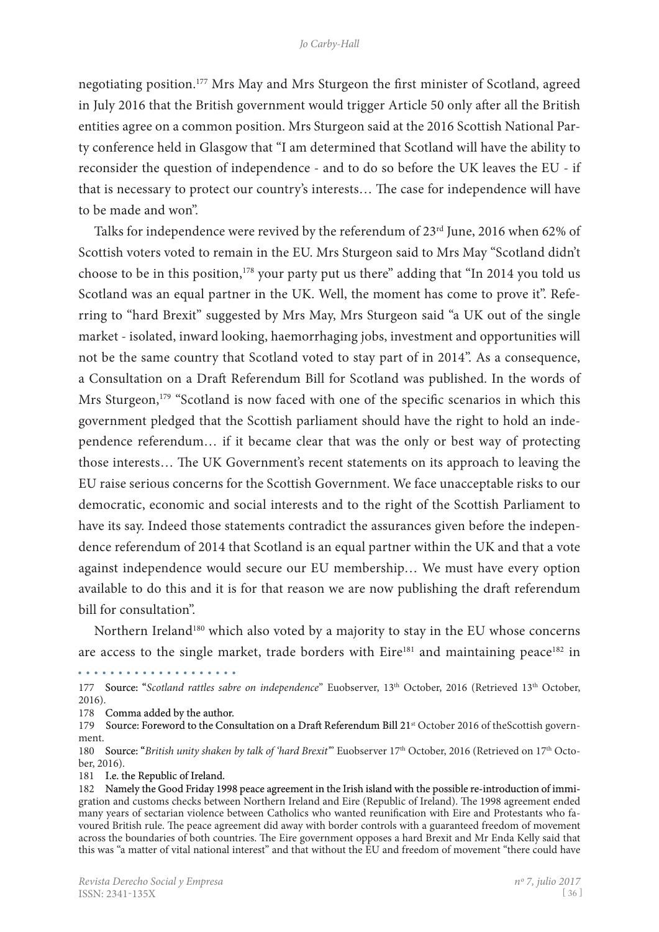negotiating position.177 Mrs May and Mrs Sturgeon the first minister of Scotland, agreed in July 2016 that the British government would trigger Article 50 only after all the British entities agree on a common position. Mrs Sturgeon said at the 2016 Scottish National Par� ty conference held in Glasgow that "I am determined that Scotland will have the ability to reconsider the question of independence - and to do so before the UK leaves the EU - if that is necessary to protect our country's interests… The case for independence will have to be made and won".

Talks for independence were revived by the referendum of 23rd June, 2016 when 62% of Scottish voters voted to remain in the EU. Mrs Sturgeon said to Mrs May "Scotland didn't choose to be in this position,<sup>178</sup> your party put us there" adding that "In 2014 you told us Scotland was an equal partner in the UK. Well, the moment has come to prove it". Referring to "hard Brexit" suggested by Mrs May, Mrs Sturgeon said "a UK out of the single market - isolated, inward looking, haemorrhaging jobs, investment and opportunities will not be the same country that Scotland voted to stay part of in 2014". As a consequence, a Consultation on a Draft Referendum Bill for Scotland was published. In the words of Mrs Sturgeon,<sup>179</sup> "Scotland is now faced with one of the specific scenarios in which this government pledged that the Scottish parliament should have the right to hold an independence referendum… if it became clear that was the only or best way of protecting those interests… The UK Government's recent statements on its approach to leaving the EU raise serious concerns for the Scottish Government. We face unacceptable risks to our democratic, economic and social interests and to the right of the Scottish Parliament to have its say. Indeed those statements contradict the assurances given before the independence referendum of 2014 that Scotland is an equal partner within the UK and that a vote against independence would secure our EU membership… We must have every option available to do this and it is for that reason we are now publishing the draft referendum bill for consultation".

Northern Ireland<sup>180</sup> which also voted by a majority to stay in the EU whose concerns are access to the single market, trade borders with  $Eire^{181}$  and maintaining peace<sup>182</sup> in

. . . . . . . . . . . . . . . . . . . .

177 Source: "*Scotland rattles sabre on independence*" Euobserver, 13th October, 2016 (Retrieved 13th October, 2016).

178 Comma added by the author.

179 Source: Foreword to the Consultation on a Draft Referendum Bill 21<sup>st</sup> October 2016 of theScottish government.

180 Source: "*British unity shaken by talk of 'hard Brexit'*" Euobserver 17th October, 2016 (Retrieved on 17th Octo� ber, 2016).

181 I.e. the Republic of Ireland.

<sup>182</sup> Namely the Good Friday 1998 peace agreement in the Irish island with the possible re-introduction of immigration and customs checks between Northern Ireland and Eire (Republic of Ireland). The 1998 agreement ended many years of sectarian violence between Catholics who wanted reunification with Eire and Protestants who favoured British rule. The peace agreement did away with border controls with a guaranteed freedom of movement across the boundaries of both countries. The Eire government opposes a hard Brexit and Mr Enda Kelly said that this was "a matter of vital national interest" and that without the EU and freedom of movement "there could have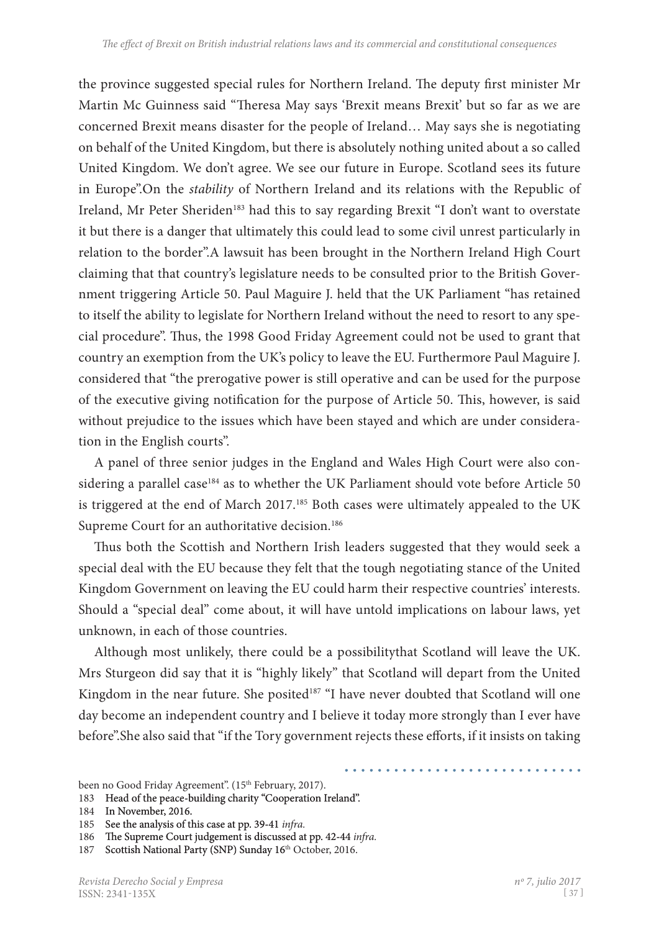the province suggested special rules for Northern Ireland. The deputy first minister Mr Martin Mc Guinness said "Theresa May says 'Brexit means Brexit' but so far as we are concerned Brexit means disaster for the people of Ireland… May says she is negotiating on behalf of the United Kingdom, but there is absolutely nothing united about a so called United Kingdom. We don't agree. We see our future in Europe. Scotland sees its future in Europe".On the *stability* of Northern Ireland and its relations with the Republic of Ireland, Mr Peter Sheriden<sup>183</sup> had this to say regarding Brexit "I don't want to overstate it but there is a danger that ultimately this could lead to some civil unrest particularly in relation to the border".A lawsuit has been brought in the Northern Ireland High Court claiming that that country's legislature needs to be consulted prior to the British Gover� nment triggering Article 50. Paul Maguire J. held that the UK Parliament "has retained to itself the ability to legislate for Northern Ireland without the need to resort to any special procedure". Thus, the 1998 Good Friday Agreement could not be used to grant that country an exemption from the UK's policy to leave the EU. Furthermore Paul Maguire J. considered that "the prerogative power is still operative and can be used for the purpose of the executive giving notification for the purpose of Article 50. This, however, is said without prejudice to the issues which have been stayed and which are under consideration in the English courts".

A panel of three senior judges in the England and Wales High Court were also considering a parallel case<sup>184</sup> as to whether the UK Parliament should vote before Article 50 is triggered at the end of March 2017.<sup>185</sup> Both cases were ultimately appealed to the UK Supreme Court for an authoritative decision.<sup>186</sup>

Thus both the Scottish and Northern Irish leaders suggested that they would seek a special deal with the EU because they felt that the tough negotiating stance of the United Kingdom Government on leaving the EU could harm their respective countries' interests. Should a "special deal" come about, it will have untold implications on labour laws, yet unknown, in each of those countries.

Although most unlikely, there could be a possibilitythat Scotland will leave the UK. Mrs Sturgeon did say that it is "highly likely" that Scotland will depart from the United Kingdom in the near future. She posited<sup>187</sup> "I have never doubted that Scotland will one day become an independent country and I believe it today more strongly than I ever have before".She also said that "if the Tory government rejects these efforts, if it insists on taking

been no Good Friday Agreement". (15<sup>th</sup> February, 2017).

<sup>183</sup> Head of the peace-building charity "Cooperation Ireland".

<sup>184</sup>  In November, 2016.

<sup>185</sup> See the analysis of this case at pp. 39-41 *infra*.

<sup>186</sup> The Supreme Court judgement is discussed at pp. 42-44 *infra*.<br>187 Scottish National Party (SNP) Sundav 16<sup>th</sup> October, 2016.

Scottish National Party (SNP) Sunday 16th October, 2016.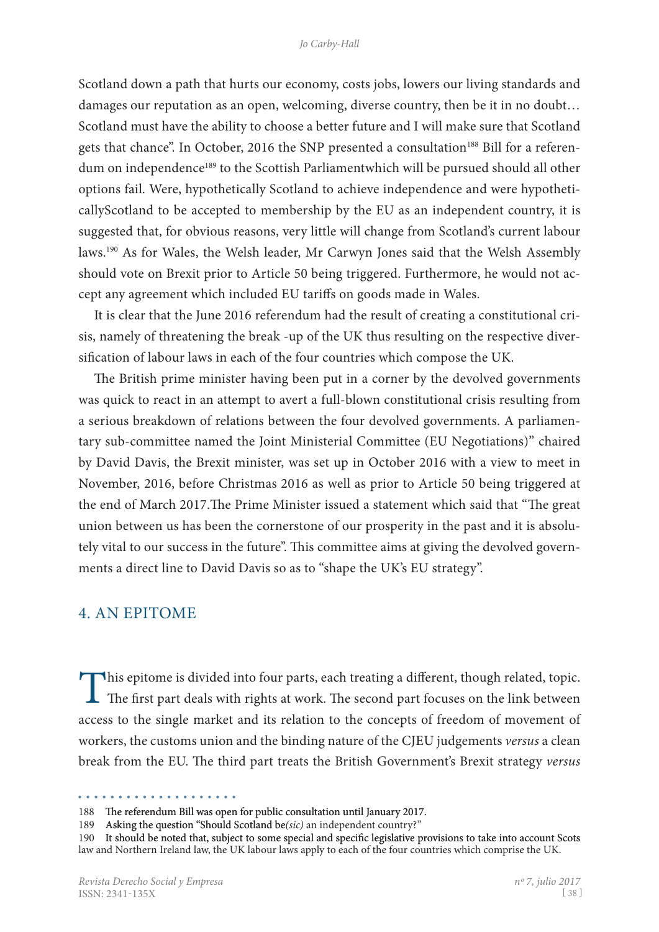Scotland down a path that hurts our economy, costs jobs, lowers our living standards and damages our reputation as an open, welcoming, diverse country, then be it in no doubt… Scotland must have the ability to choose a better future and I will make sure that Scotland gets that chance". In October, 2016 the SNP presented a consultation<sup>188</sup> Bill for a referendum on independence<sup>189</sup> to the Scottish Parliamentwhich will be pursued should all other options fail. Were, hypothetically Scotland to achieve independence and were hypotheticallyScotland to be accepted to membership by the EU as an independent country, it is suggested that, for obvious reasons, very little will change from Scotland's current labour laws.190 As for Wales, the Welsh leader, Mr Carwyn Jones said that the Welsh Assembly should vote on Brexit prior to Article 50 being triggered. Furthermore, he would not accept any agreement which included EU tariffs on goods made in Wales.

It is clear that the June 2016 referendum had the result of creating a constitutional crisis, namely of threatening the break -up of the UK thus resulting on the respective diversification of labour laws in each of the four countries which compose the UK.

The British prime minister having been put in a corner by the devolved governments was quick to react in an attempt to avert a full-blown constitutional crisis resulting from a serious breakdown of relations between the four devolved governments. A parliamentary sub-committee named the Joint Ministerial Committee (EU Negotiations)" chaired by David Davis, the Brexit minister, was set up in October 2016 with a view to meet in November, 2016, before Christmas 2016 as well as prior to Article 50 being triggered at the end of March 2017.The Prime Minister issued a statement which said that "The great union between us has been the cornerstone of our prosperity in the past and it is absolutely vital to our success in the future". This committee aims at giving the devolved governments a direct line to David Davis so as to "shape the UK's EU strategy".

# 4. An Epitome

This epitome is divided into four parts, each treating a different, though related, topic. The first part deals with rights at work. The second part focuses on the link between access to the single market and its relation to the concepts of freedom of movement of workers, the customs union and the binding nature of the CJEU judgements *versus* a clean break from the EU. The third part treats the British Government's Brexit strategy *versus*

<sup>188</sup> The referendum Bill was open for public consultation until January 2017.

<sup>189</sup>  Asking the question "Should Scotland be*(sic)* an independent country?"

<sup>190</sup> It should be noted that, subject to some special and specific legislative provisions to take into account Scots law and Northern Ireland law, the UK labour laws apply to each of the four countries which comprise the UK.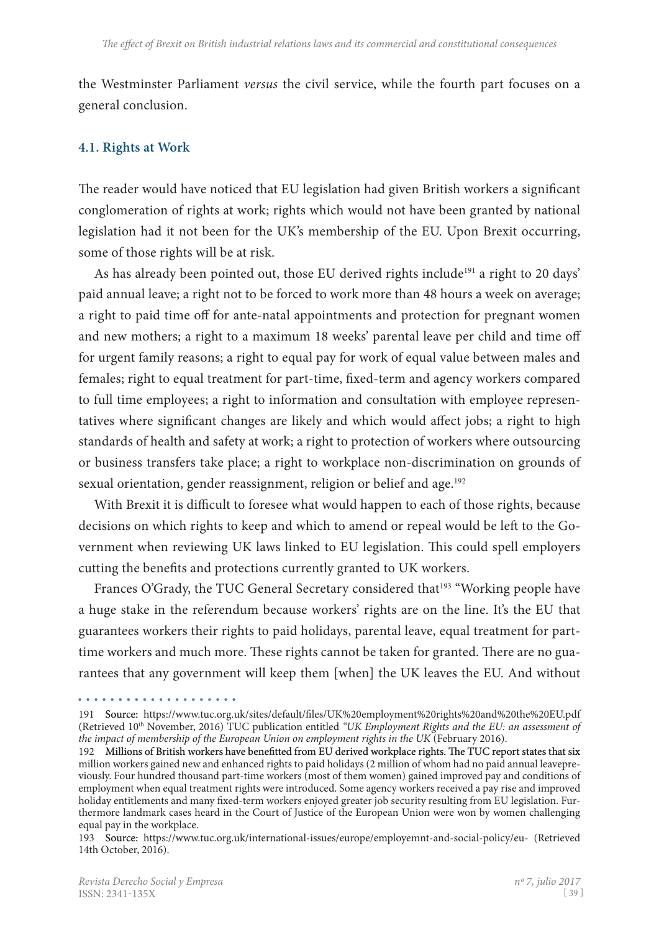the Westminster Parliament *versus* the civil service, while the fourth part focuses on a general conclusion.

#### **4.1. Rights at Work**

The reader would have noticed that EU legislation had given British workers a significant conglomeration of rights at work; rights which would not have been granted by national legislation had it not been for the UK's membership of the EU. Upon Brexit occurring, some of those rights will be at risk.

As has already been pointed out, those EU derived rights include<sup>191</sup> a right to 20 days' paid annual leave; a right not to be forced to work more than 48 hours a week on average; a right to paid time off for ante-natal appointments and protection for pregnant women and new mothers; a right to a maximum 18 weeks' parental leave per child and time off for urgent family reasons; a right to equal pay for work of equal value between males and females; right to equal treatment for part-time, fixed-term and agency workers compared to full time employees; a right to information and consultation with employee representatives where significant changes are likely and which would affect jobs; a right to high standards of health and safety at work; a right to protection of workers where outsourcing or business transfers take place; a right to workplace non-discrimination on grounds of sexual orientation, gender reassignment, religion or belief and age.<sup>192</sup>

With Brexit it is difficult to foresee what would happen to each of those rights, because decisions on which rights to keep and which to amend or repeal would be left to the Government when reviewing UK laws linked to EU legislation. This could spell employers cutting the benefits and protections currently granted to UK workers.

Frances O'Grady, the TUC General Secretary considered that<sup>193</sup> "Working people have a huge stake in the referendum because workers' rights are on the line. It's the EU that guarantees workers their rights to paid holidays, parental leave, equal treatment for parttime workers and much more. These rights cannot be taken for granted. There are no guarantees that any government will keep them [when] the UK leaves the EU. And without

<sup>191</sup> Source: https://www.tuc.org.uk/sites/default/files/UK%20employment%20rights%20and%20the%20EU.pdf (Retrieved 10th November, 2016) TUC publication entitled *"UK Employment Rights and the EU: an assessment of the impact of membership of the European Union on employment rights in the UK* (February 2016).

<sup>192</sup> Millions of British workers have benefitted from EU derived workplace rights. The TUC report states that six million workers gained new and enhanced rights to paid holidays (2 million of whom had no paid annual leavepreviously. Four hundred thousand part-time workers (most of them women) gained improved pay and conditions of employment when equal treatment rights were introduced. Some agency workers received a pay rise and improved holiday entitlements and many fixed-term workers enjoyed greater job security resulting from EU legislation. Furthermore landmark cases heard in the Court of Justice of the European Union were won by women challenging equal pay in the workplace.

<sup>193</sup> Source: https://www.tuc.org.uk/international-issues/europe/employemnt-and-social-policy/eu- (Retrieved 14th October, 2016).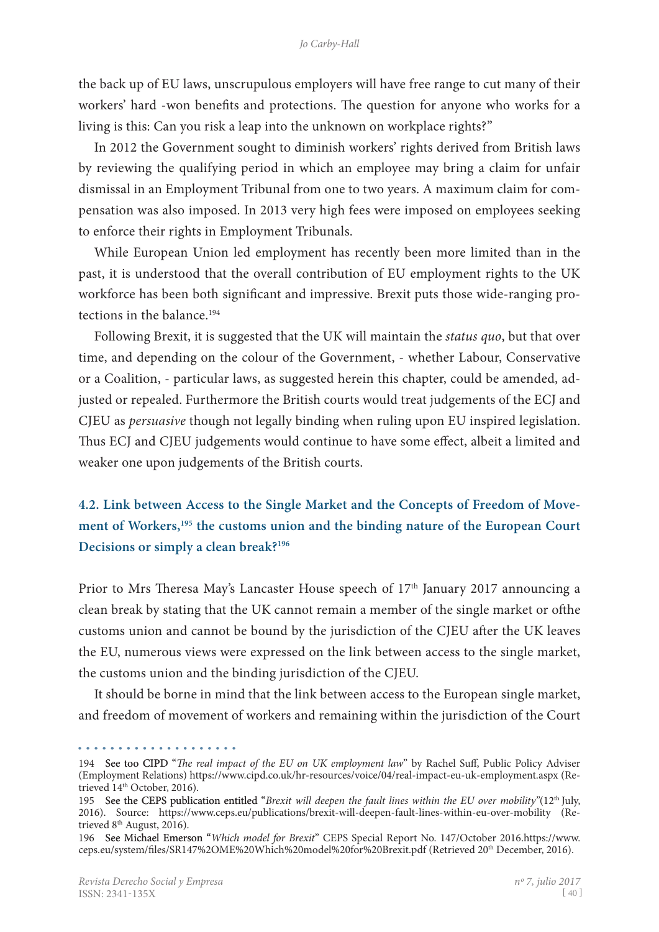the back up of EU laws, unscrupulous employers will have free range to cut many of their workers' hard -won benefits and protections. The question for anyone who works for a living is this: Can you risk a leap into the unknown on workplace rights?"

In 2012 the Government sought to diminish workers' rights derived from British laws by reviewing the qualifying period in which an employee may bring a claim for unfair dismissal in an Employment Tribunal from one to two years. A maximum claim for com� pensation was also imposed. In 2013 very high fees were imposed on employees seeking to enforce their rights in Employment Tribunals.

While European Union led employment has recently been more limited than in the past, it is understood that the overall contribution of EU employment rights to the UK workforce has been both significant and impressive. Brexit puts those wide-ranging protections in the balance.<sup>194</sup>

Following Brexit, it is suggested that the UK will maintain the *status quo*, but that over time, and depending on the colour of the Government, - whether Labour, Conservative or a Coalition, - particular laws, as suggested herein this chapter, could be amended, adjusted or repealed. Furthermore the British courts would treat judgements of the ECJ and CJEU as *persuasive* though not legally binding when ruling upon EU inspired legislation. Thus ECJ and CJEU judgements would continue to have some effect, albeit a limited and weaker one upon judgements of the British courts.

# **4.2. Link between Access to the Single Market and the Concepts of Freedom of Move**ment of Workers,<sup>195</sup> the customs union and the binding nature of the European Court **Decisions or simply a clean break?196**

Prior to Mrs Theresa May's Lancaster House speech of 17<sup>th</sup> January 2017 announcing a clean break by stating that the UK cannot remain a member of the single market or ofthe customs union and cannot be bound by the jurisdiction of the CJEU after the UK leaves the EU, numerous views were expressed on the link between access to the single market, the customs union and the binding jurisdiction of the CJEU.

It should be borne in mind that the link between access to the European single market, and freedom of movement of workers and remaining within the jurisdiction of the Court

<sup>. . . . . . . . . . . . . . . .</sup> 

<sup>194</sup>  See too CIPD "*The real impact of the EU on UK employment law*" by Rachel Suff, Public Policy Adviser (Employment Relations) https://www.cipd.co.uk/hr-resources/voice/04/real-impact-eu-uk-employment.aspx (Re� trieved 14<sup>th</sup> October, 2016).

<sup>195</sup> See the CEPS publication entitled "*Brexit will deepen the fault lines within the EU over mobility*"(12<sup>th</sup> July, 2016). Source: https://www.ceps.eu/publications/brexit-will-deepen-fault-lines-within-eu-over-mobility (Retrieved  $8<sup>th</sup>$  August, 2016).

<sup>196</sup>  See Michael Emerson "*Which model for Brexit*" CEPS Special Report No. 147/October 2016.https://www. ceps.eu/system/files/SR147%2OME%20Which%20model%20for%20Brexit.pdf (Retrieved 20th December, 2016).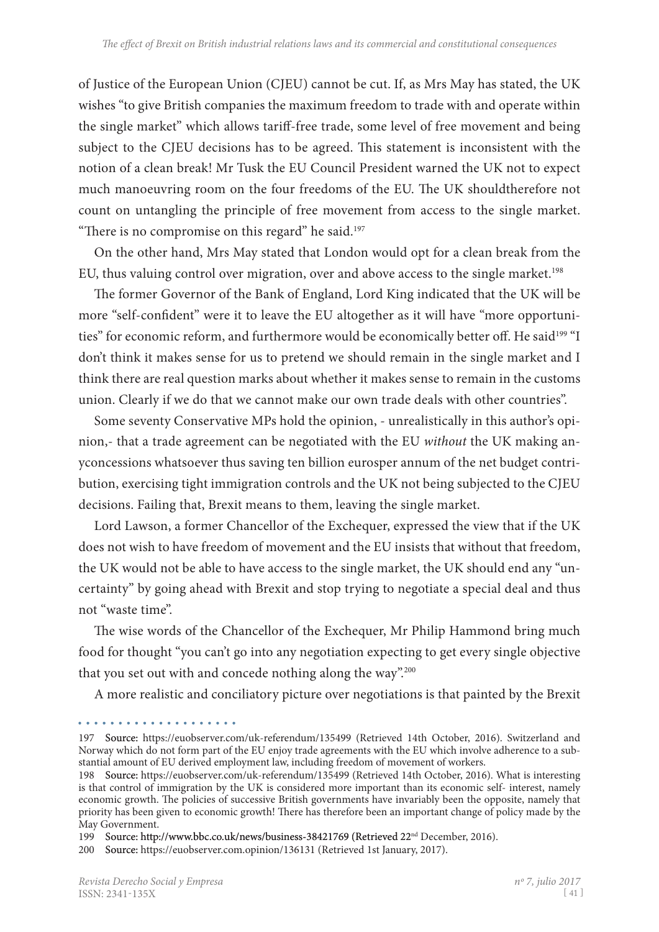of Justice of the European Union (CJEU) cannot be cut. If, as Mrs May has stated, the UK wishes "to give British companies the maximum freedom to trade with and operate within the single market" which allows tariff-free trade, some level of free movement and being subject to the CJEU decisions has to be agreed. This statement is inconsistent with the notion of a clean break! Mr Tusk the EU Council President warned the UK not to expect much manoeuvring room on the four freedoms of the EU. The UK shouldtherefore not count on untangling the principle of free movement from access to the single market. "There is no compromise on this regard" he said.<sup>197</sup>

On the other hand, Mrs May stated that London would opt for a clean break from the EU, thus valuing control over migration, over and above access to the single market.<sup>198</sup>

The former Governor of the Bank of England, Lord King indicated that the UK will be more "self-confident" were it to leave the EU altogether as it will have "more opportunities" for economic reform, and furthermore would be economically better off. He said<sup>199</sup> "I don't think it makes sense for us to pretend we should remain in the single market and I think there are real question marks about whether it makes sense to remain in the customs union. Clearly if we do that we cannot make our own trade deals with other countries".

Some seventy Conservative MPs hold the opinion, - unrealistically in this author's opinion,- that a trade agreement can be negotiated with the EU *without* the UK making an� yconcessions whatsoever thus saving ten billion eurosper annum of the net budget contribution, exercising tight immigration controls and the UK not being subjected to the CJEU decisions. Failing that, Brexit means to them, leaving the single market.

Lord Lawson, a former Chancellor of the Exchequer, expressed the view that if the UK does not wish to have freedom of movement and the EU insists that without that freedom, the UK would not be able to have access to the single market, the UK should end any "un� certainty" by going ahead with Brexit and stop trying to negotiate a special deal and thus not "waste time".

The wise words of the Chancellor of the Exchequer, Mr Philip Hammond bring much food for thought "you can't go into any negotiation expecting to get every single objective that you set out with and concede nothing along the way".<sup>200</sup>

A more realistic and conciliatory picture over negotiations is that painted by the Brexit

<sup>197</sup> Source: https://euobserver.com/uk-referendum/135499 (Retrieved 14th October, 2016). Switzerland and Norway which do not form part of the EU enjoy trade agreements with the EU which involve adherence to a substantial amount of EU derived employment law, including freedom of movement of workers.

<sup>198</sup> Source: https://euobserver.com/uk-referendum/135499 (Retrieved 14th October, 2016). What is interesting is that control of immigration by the UK is considered more important than its economic self- interest, namely economic growth. The policies of successive British governments have invariably been the opposite, namely that priority has been given to economic growth! There has therefore been an important change of policy made by the May Government.

<sup>199</sup> Source: http://www.bbc.co.uk/news/business-38421769 (Retrieved 22<sup>nd</sup> December, 2016).

<sup>200</sup> Source: https://euobserver.com.opinion/136131 (Retrieved 1st January, 2017).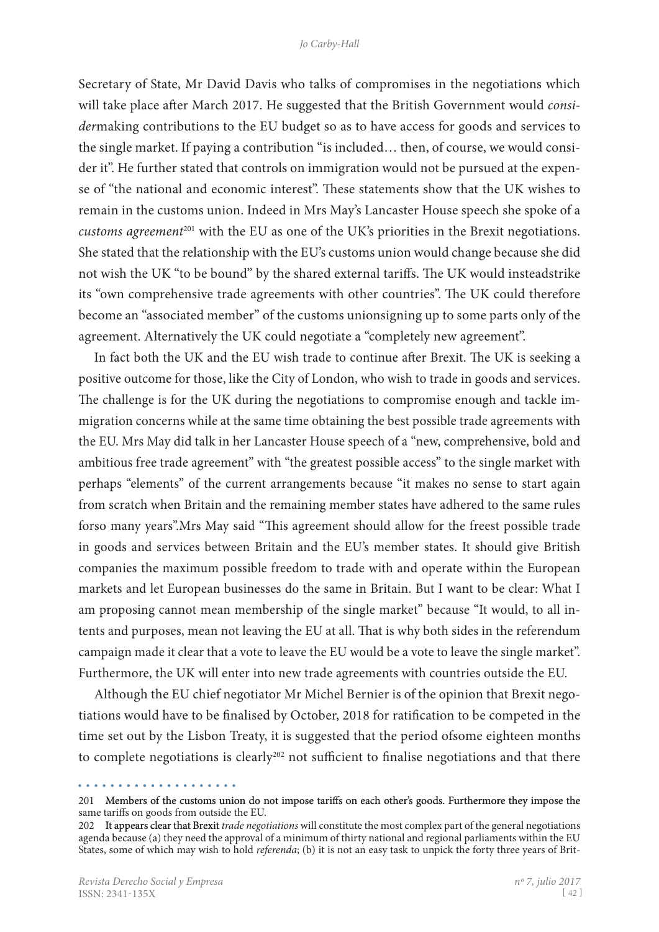Secretary of State, Mr David Davis who talks of compromises in the negotiations which will take place after March 2017. He suggested that the British Government would *consider*making contributions to the EU budget so as to have access for goods and services to the single market. If paying a contribution "is included... then, of course, we would consider it". He further stated that controls on immigration would not be pursued at the expense of "the national and economic interest". These statements show that the UK wishes to remain in the customs union. Indeed in Mrs May's Lancaster House speech she spoke of a *customs agreement*201 with the EU as one of the UK's priorities in the Brexit negotiations. She stated that the relationship with the EU's customs union would change because she did not wish the UK "to be bound" by the shared external tariffs. The UK would insteadstrike its "own comprehensive trade agreements with other countries". The UK could therefore become an "associated member" of the customs unionsigning up to some parts only of the agreement. Alternatively the UK could negotiate a "completely new agreement".

In fact both the UK and the EU wish trade to continue after Brexit. The UK is seeking a positive outcome for those, like the City of London, who wish to trade in goods and services. The challenge is for the UK during the negotiations to compromise enough and tackle immigration concerns while at the same time obtaining the best possible trade agreements with the EU. Mrs May did talk in her Lancaster House speech of a "new, comprehensive, bold and ambitious free trade agreement" with "the greatest possible access" to the single market with perhaps "elements" of the current arrangements because "it makes no sense to start again from scratch when Britain and the remaining member states have adhered to the same rules forso many years".Mrs May said "This agreement should allow for the freest possible trade in goods and services between Britain and the EU's member states. It should give British companies the maximum possible freedom to trade with and operate within the European markets and let European businesses do the same in Britain. But I want to be clear: What I am proposing cannot mean membership of the single market" because "It would, to all intents and purposes, mean not leaving the EU at all. That is why both sides in the referendum campaign made it clear that a vote to leave the EU would be a vote to leave the single market". Furthermore, the UK will enter into new trade agreements with countries outside the EU.

Although the EU chief negotiator Mr Michel Bernier is of the opinion that Brexit negotiations would have to be finalised by October, 2018 for ratification to be competed in the time set out by the Lisbon Treaty, it is suggested that the period ofsome eighteen months to complete negotiations is clearly<sup>202</sup> not sufficient to finalise negotiations and that there

<sup>201</sup> Members of the customs union do not impose tariffs on each other's goods. Furthermore they impose the same tariffs on goods from outside the EU.

<sup>202</sup> It appears clear that Brexit *trade negotiations* will constitute the most complex part of the general negotiations agenda because (a) they need the approval of a minimum of thirty national and regional parliaments within the EU States, some of which may wish to hold *referenda*; (b) it is not an easy task to unpick the forty three years of Brit-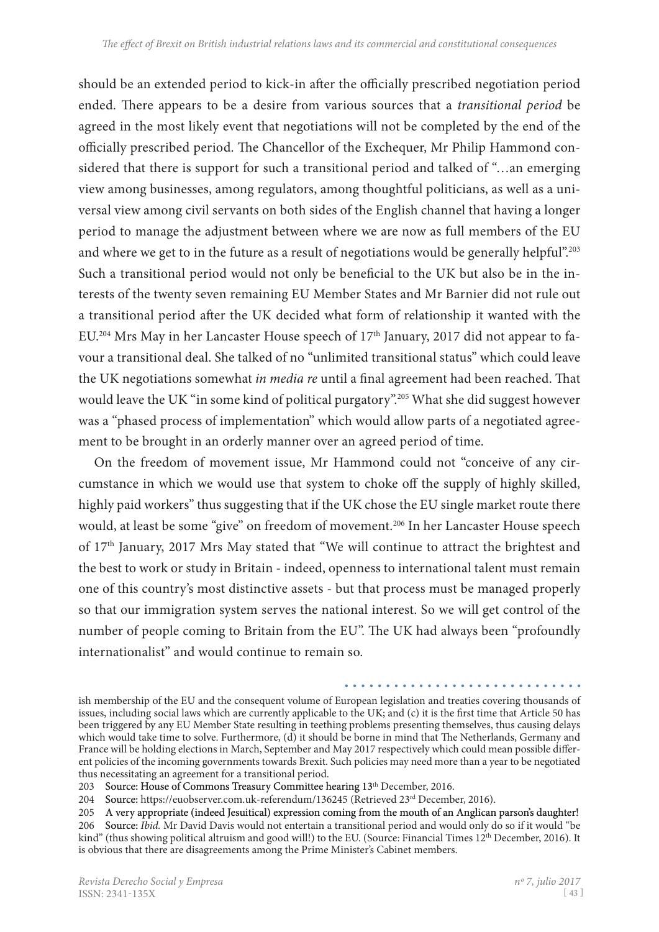should be an extended period to kick-in after the officially prescribed negotiation period ended. There appears to be a desire from various sources that a *transitional period* be agreed in the most likely event that negotiations will not be completed by the end of the officially prescribed period. The Chancellor of the Exchequer, Mr Philip Hammond con� sidered that there is support for such a transitional period and talked of "…an emerging view among businesses, among regulators, among thoughtful politicians, as well as a uni� versal view among civil servants on both sides of the English channel that having a longer period to manage the adjustment between where we are now as full members of the EU and where we get to in the future as a result of negotiations would be generally helpful".<sup>203</sup> Such a transitional period would not only be beneficial to the UK but also be in the interests of the twenty seven remaining EU Member States and Mr Barnier did not rule out a transitional period after the UK decided what form of relationship it wanted with the EU.<sup>204</sup> Mrs May in her Lancaster House speech of 17<sup>th</sup> January, 2017 did not appear to favour a transitional deal. She talked of no "unlimited transitional status" which could leave the UK negotiations somewhat *in media re* until a final agreement had been reached. That would leave the UK "in some kind of political purgatory".205 What she did suggest however was a "phased process of implementation" which would allow parts of a negotiated agreement to be brought in an orderly manner over an agreed period of time.

On the freedom of movement issue, Mr Hammond could not "conceive of any circumstance in which we would use that system to choke off the supply of highly skilled, highly paid workers" thus suggesting that if the UK chose the EU single market route there would, at least be some "give" on freedom of movement.<sup>206</sup> In her Lancaster House speech of 17<sup>th</sup> January, 2017 Mrs May stated that "We will continue to attract the brightest and the best to work or study in Britain - indeed, openness to international talent must remain one of this country's most distinctive assets - but that process must be managed properly so that our immigration system serves the national interest. So we will get control of the number of people coming to Britain from the EU". The UK had always been "profoundly internationalist" and would continue to remain so.

ish membership of the EU and the consequent volume of European legislation and treaties covering thousands of issues, including social laws which are currently applicable to the UK; and (c) it is the first time that Article 50 has been triggered by any EU Member State resulting in teething problems presenting themselves, thus causing delays which would take time to solve. Furthermore, (d) it should be borne in mind that The Netherlands, Germany and France will be holding elections in March, September and May 2017 respectively which could mean possible different policies of the incoming governments towards Brexit. Such policies may need more than a year to be negotiated thus necessitating an agreement for a transitional period.

<sup>203</sup> Source: House of Commons Treasury Committee hearing 13<sup>th</sup> December, 2016.

<sup>204</sup> Source: https://euobserver.com.uk-referendum/136245 (Retrieved 23rd December, 2016).

<sup>205</sup>  A very appropriate (indeed Jesuitical) expression coming from the mouth of an Anglican parson's daughter!

<sup>206</sup> Source: *Ibid.* Mr David Davis would not entertain a transitional period and would only do so if it would "be kind" (thus showing political altruism and good will!) to the EU. (Source: Financial Times 12<sup>th</sup> December, 2016). It is obvious that there are disagreements among the Prime Minister's Cabinet members.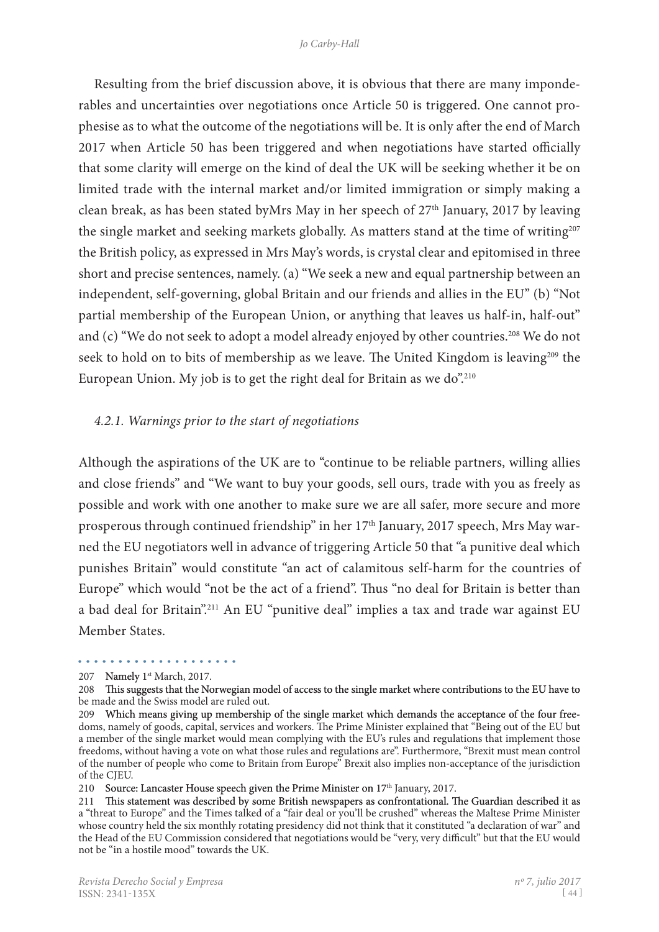Resulting from the brief discussion above, it is obvious that there are many imponderables and uncertainties over negotiations once Article 50 is triggered. One cannot prophesise as to what the outcome of the negotiations will be. It is only after the end of March 2017 when Article 50 has been triggered and when negotiations have started officially that some clarity will emerge on the kind of deal the UK will be seeking whether it be on limited trade with the internal market and/or limited immigration or simply making a clean break, as has been stated byMrs May in her speech of 27<sup>th</sup> January, 2017 by leaving the single market and seeking markets globally. As matters stand at the time of writing<sup>207</sup> the British policy, as expressed in Mrs May's words, is crystal clear and epitomised in three short and precise sentences, namely. (a) "We seek a new and equal partnership between an independent, self-governing, global Britain and our friends and allies in the EU" (b) "Not partial membership of the European Union, or anything that leaves us half-in, half-out" and (c) "We do not seek to adopt a model already enjoyed by other countries.<sup>208</sup> We do not seek to hold on to bits of membership as we leave. The United Kingdom is leaving<sup>209</sup> the European Union. My job is to get the right deal for Britain as we do".<sup>210</sup>

#### *4.2.1. Warnings prior to the start of negotiations*

Although the aspirations of the UK are to "continue to be reliable partners, willing allies and close friends" and "We want to buy your goods, sell ours, trade with you as freely as possible and work with one another to make sure we are all safer, more secure and more prosperous through continued friendship" in her 17<sup>th</sup> January, 2017 speech, Mrs May warned the EU negotiators well in advance of triggering Article 50 that "a punitive deal which punishes Britain" would constitute "an act of calamitous self-harm for the countries of Europe" which would "not be the act of a friend". Thus "no deal for Britain is better than a bad deal for Britain".211 An EU "punitive deal" implies a tax and trade war against EU Member States.

## 207 Namely 1<sup>st</sup> March, 2017.

. . . . . . . . . . . . . . .

210 Source: Lancaster House speech given the Prime Minister on 17<sup>th</sup> January, 2017.

<sup>208</sup> This suggests that the Norwegian model of access to the single market where contributions to the EU have to be made and the Swiss model are ruled out.

<sup>209</sup> Which means giving up membership of the single market which demands the acceptance of the four freedoms, namely of goods, capital, services and workers. The Prime Minister explained that "Being out of the EU but a member of the single market would mean complying with the EU's rules and regulations that implement those freedoms, without having a vote on what those rules and regulations are". Furthermore, "Brexit must mean control of the number of people who come to Britain from Europe" Brexit also implies non-acceptance of the jurisdiction of the CJEU.

<sup>211</sup> This statement was described by some British newspapers as confrontational. The Guardian described it as a "threat to Europe" and the Times talked of a "fair deal or you'll be crushed" whereas the Maltese Prime Minister whose country held the six monthly rotating presidency did not think that it constituted "a declaration of war" and the Head of the EU Commission considered that negotiations would be "very, very difficult" but that the EU would not be "in a hostile mood" towards the UK.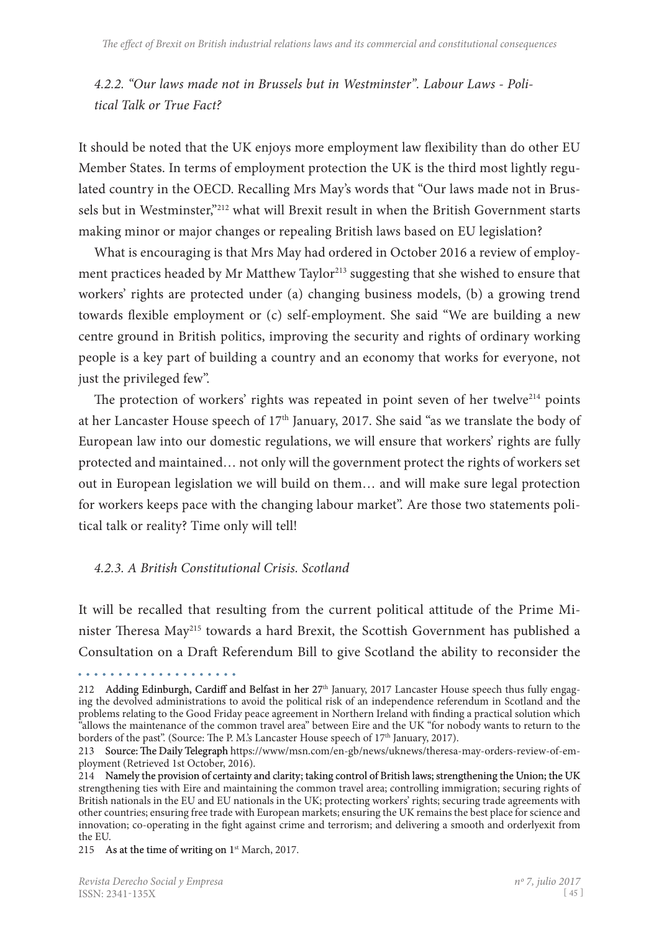*4.2.2. "Our laws made not in Brussels but in Westminster". Labour Laws - Political Talk or True Fact?*

It should be noted that the UK enjoys more employment law flexibility than do other EU Member States. In terms of employment protection the UK is the third most lightly regulated country in the OECD. Recalling Mrs May's words that "Our laws made not in Brussels but in Westminster,"212 what will Brexit result in when the British Government starts making minor or major changes or repealing British laws based on EU legislation?

What is encouraging is that Mrs May had ordered in October 2016 a review of employment practices headed by Mr Matthew Taylor<sup>213</sup> suggesting that she wished to ensure that workers' rights are protected under (a) changing business models, (b) a growing trend towards flexible employment or (c) self-employment. She said "We are building a new centre ground in British politics, improving the security and rights of ordinary working people is a key part of building a country and an economy that works for everyone, not just the privileged few".

The protection of workers' rights was repeated in point seven of her twelve<sup> $214$ </sup> points at her Lancaster House speech of 17<sup>th</sup> January, 2017. She said "as we translate the body of European law into our domestic regulations, we will ensure that workers' rights are fully protected and maintained… not only will the government protect the rights of workers set out in European legislation we will build on them… and will make sure legal protection for workers keeps pace with the changing labour market". Are those two statements political talk or reality? Time only will tell!

## *4.2.3. A British Constitutional Crisis. Scotland*

It will be recalled that resulting from the current political attitude of the Prime Minister Theresa May215 towards a hard Brexit, the Scottish Government has published a Consultation on a Draft Referendum Bill to give Scotland the ability to reconsider the

. . . . . . . . . . . . . . . . . . . .

<sup>212</sup> Adding Edinburgh, Cardiff and Belfast in her 27<sup>th</sup> January, 2017 Lancaster House speech thus fully engaging the devolved administrations to avoid the political risk of an independence referendum in Scotland and the problems relating to the Good Friday peace agreement in Northern Ireland with finding a practical solution which allows the maintenance of the common travel area" between Eire and the UK "for nobody wants to return to the borders of the past". (Source: The P. M's Lancaster House speech of 17<sup>th</sup> January, 2017).

<sup>213</sup> Source: The Daily Telegraph https://www/msn.com/en-gb/news/uknews/theresa-may-orders-review-of-employment (Retrieved 1st October, 2016).

<sup>214</sup> Namely the provision of certainty and clarity; taking control of British laws; strengthening the Union; the UK strengthening ties with Eire and maintaining the common travel area; controlling immigration; securing rights of British nationals in the EU and EU nationals in the UK; protecting workers' rights; securing trade agreements with other countries; ensuring free trade with European markets; ensuring the UK remains the best place for science and innovation; co-operating in the fight against crime and terrorism; and delivering a smooth and orderlyexit from the EU.

<sup>215</sup> As at the time of writing on  $1<sup>st</sup> March, 2017$ .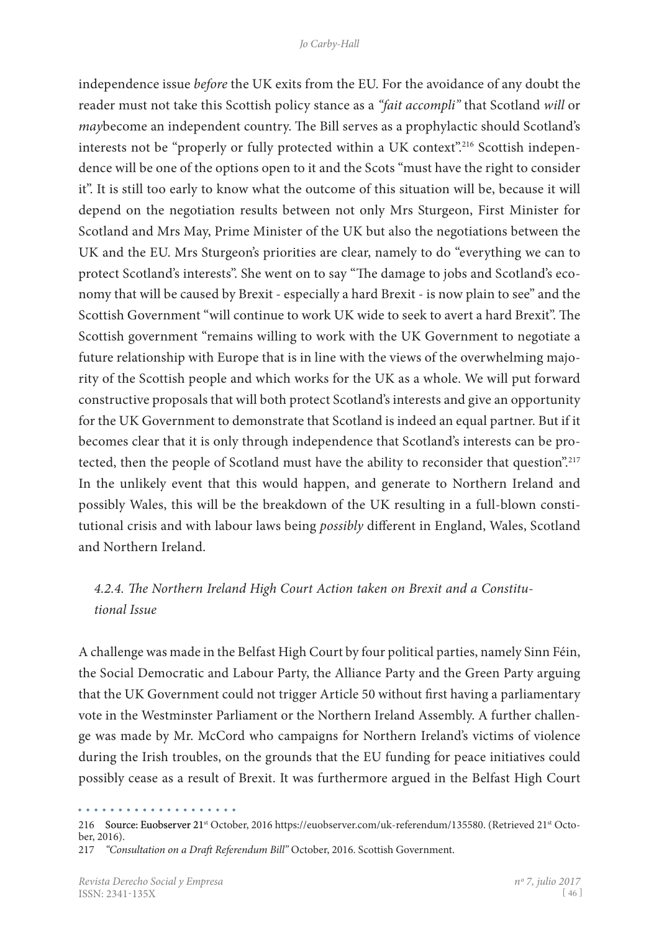independence issue *before* the UK exits from the EU. For the avoidance of any doubt the reader must not take this Scottish policy stance as a *"fait accompli"* that Scotland *will* or *may*become an independent country. The Bill serves as a prophylactic should Scotland's interests not be "properly or fully protected within a UK context".<sup>216</sup> Scottish independence will be one of the options open to it and the Scots "must have the right to consider it". It is still too early to know what the outcome of this situation will be, because it will depend on the negotiation results between not only Mrs Sturgeon, First Minister for Scotland and Mrs May, Prime Minister of the UK but also the negotiations between the UK and the EU. Mrs Sturgeon's priorities are clear, namely to do "everything we can to protect Scotland's interests". She went on to say "The damage to jobs and Scotland's economy that will be caused by Brexit - especially a hard Brexit - is now plain to see" and the Scottish Government "will continue to work UK wide to seek to avert a hard Brexit". The Scottish government "remains willing to work with the UK Government to negotiate a future relationship with Europe that is in line with the views of the overwhelming majority of the Scottish people and which works for the UK as a whole. We will put forward constructive proposals that will both protect Scotland's interests and give an opportunity for the UK Government to demonstrate that Scotland is indeed an equal partner. But if it becomes clear that it is only through independence that Scotland's interests can be protected, then the people of Scotland must have the ability to reconsider that question.<sup>217</sup> In the unlikely event that this would happen, and generate to Northern Ireland and possibly Wales, this will be the breakdown of the UK resulting in a full-blown consti� tutional crisis and with labour laws being *possibly* different in England, Wales, Scotland and Northern Ireland.

# *4.2.4. The Northern Ireland High Court Action taken on Brexit and a Constitutional Issue*

A challenge was made in the Belfast High Court by four political parties, namely Sinn Féin, the Social Democratic and Labour Party, the Alliance Party and the Green Party arguing that the UK Government could not trigger Article 50 without first having a parliamentary vote in the Westminster Parliament or the Northern Ireland Assembly. A further challen� ge was made by Mr. McCord who campaigns for Northern Ireland's victims of violence during the Irish troubles, on the grounds that the EU funding for peace initiatives could possibly cease as a result of Brexit. It was furthermore argued in the Belfast High Court

<sup>216</sup> Source: Euobserver 21st October, 2016 https://euobserver.com/uk-referendum/135580. (Retrieved 21st October, 2016). 217 *"Consultation on a Draft Referendum Bill"* October, 2016. Scottish Government.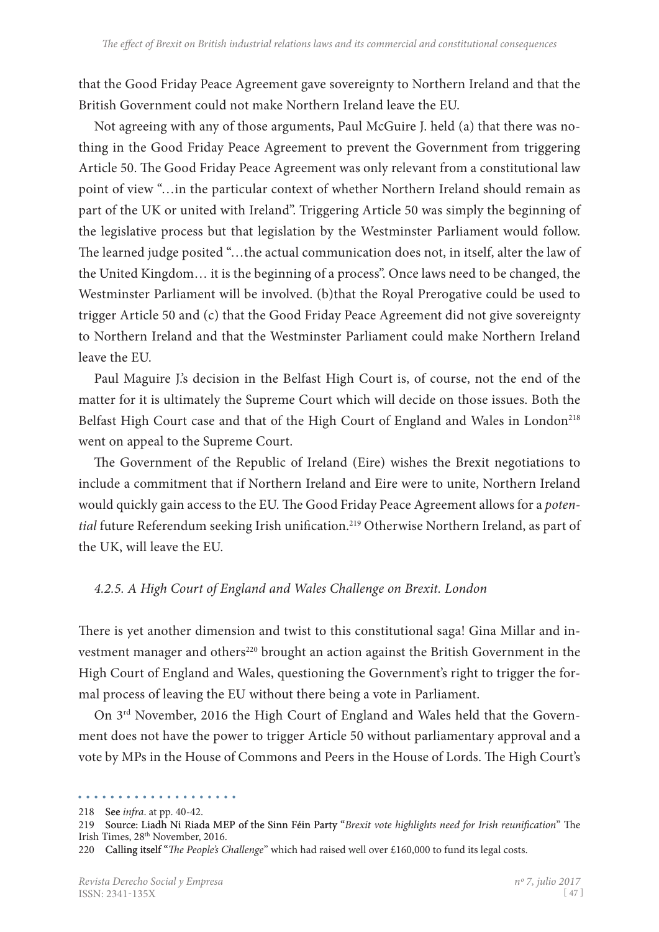that the Good Friday Peace Agreement gave sovereignty to Northern Ireland and that the British Government could not make Northern Ireland leave the EU.

Not agreeing with any of those arguments, Paul McGuire J. held (a) that there was nothing in the Good Friday Peace Agreement to prevent the Government from triggering Article 50. The Good Friday Peace Agreement was only relevant from a constitutional law point of view "…in the particular context of whether Northern Ireland should remain as part of the UK or united with Ireland". Triggering Article 50 was simply the beginning of the legislative process but that legislation by the Westminster Parliament would follow. The learned judge posited "…the actual communication does not, in itself, alter the law of the United Kingdom… it is the beginning of a process". Once laws need to be changed, the Westminster Parliament will be involved. (b)that the Royal Prerogative could be used to trigger Article 50 and (c) that the Good Friday Peace Agreement did not give sovereignty to Northern Ireland and that the Westminster Parliament could make Northern Ireland leave the EU.

Paul Maguire J.'s decision in the Belfast High Court is, of course, not the end of the matter for it is ultimately the Supreme Court which will decide on those issues. Both the Belfast High Court case and that of the High Court of England and Wales in London<sup>218</sup> went on appeal to the Supreme Court.

The Government of the Republic of Ireland (Eire) wishes the Brexit negotiations to include a commitment that if Northern Ireland and Eire were to unite, Northern Ireland would quickly gain access to the EU. The Good Friday Peace Agreement allows for a *poten*tial future Referendum seeking Irish unification.<sup>219</sup> Otherwise Northern Ireland, as part of the UK, will leave the EU.

# *4.2.5. A High Court of England and Wales Challenge on Brexit. London*

There is yet another dimension and twist to this constitutional saga! Gina Millar and investment manager and others<sup>220</sup> brought an action against the British Government in the High Court of England and Wales, questioning the Government's right to trigger the formal process of leaving the EU without there being a vote in Parliament.

On 3<sup>rd</sup> November, 2016 the High Court of England and Wales held that the Government does not have the power to trigger Article 50 without parliamentary approval and a vote by MPs in the House of Commons and Peers in the House of Lords. The High Court's

<sup>218</sup> See *infra*. at pp. 40-42.

<sup>219</sup>  Source: Liadh Ni Riada MEP of the Sinn Féin Party "*Brexit vote highlights need for Irish reunification*" The Irish Times, 28th November, 2016.

<sup>220</sup>  Calling itself "*The People's Challenge*" which had raised well over £160,000 to fund its legal costs.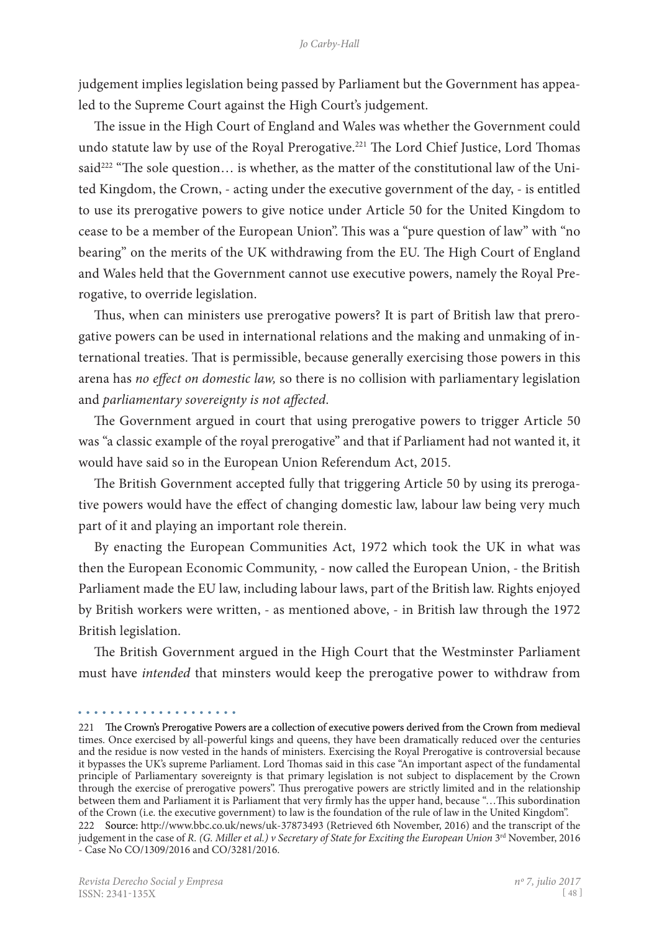judgement implies legislation being passed by Parliament but the Government has appealed to the Supreme Court against the High Court's judgement.

The issue in the High Court of England and Wales was whether the Government could undo statute law by use of the Royal Prerogative.<sup>221</sup> The Lord Chief Justice, Lord Thomas said<sup>222</sup> "The sole question... is whether, as the matter of the constitutional law of the United Kingdom, the Crown, - acting under the executive government of the day, - is entitled to use its prerogative powers to give notice under Article 50 for the United Kingdom to cease to be a member of the European Union". This was a "pure question of law" with "no bearing" on the merits of the UK withdrawing from the EU. The High Court of England and Wales held that the Government cannot use executive powers, namely the Royal Prerogative, to override legislation.

Thus, when can ministers use prerogative powers? It is part of British law that prerogative powers can be used in international relations and the making and unmaking of international treaties. That is permissible, because generally exercising those powers in this arena has *no effect on domestic law,* so there is no collision with parliamentary legislation and *parliamentary sovereignty is not affected*.

The Government argued in court that using prerogative powers to trigger Article 50 was "a classic example of the royal prerogative" and that if Parliament had not wanted it, it would have said so in the European Union Referendum Act, 2015.

The British Government accepted fully that triggering Article 50 by using its prerogative powers would have the effect of changing domestic law, labour law being very much part of it and playing an important role therein.

By enacting the European Communities Act, 1972 which took the UK in what was then the European Economic Community, - now called the European Union, - the British Parliament made the EU law, including labour laws, part of the British law. Rights enjoyed by British workers were written, - as mentioned above, - in British law through the 1972 British legislation.

The British Government argued in the High Court that the Westminster Parliament must have *intended* that minsters would keep the prerogative power to withdraw from

<sup>221</sup> The Crown's Prerogative Powers are a collection of executive powers derived from the Crown from medieval times. Once exercised by all-powerful kings and queens, they have been dramatically reduced over the centuries and the residue is now vested in the hands of ministers. Exercising the Royal Prerogative is controversial because it bypasses the UK's supreme Parliament. Lord Thomas said in this case "An important aspect of the fundamental principle of Parliamentary sovereignty is that primary legislation is not subject to displacement by the Crown through the exercise of prerogative powers". Thus prerogative powers are strictly limited and in the relationship between them and Parliament it is Parliament that very firmly has the upper hand, because "…This subordination of the Crown (i.e. the executive government) to law is the foundation of the rule of law in the United Kingdom". 222 Source: http://www.bbc.co.uk/news/uk-37873493 (Retrieved 6th November, 2016) and the transcript of the

judgement in the case of *R. (G. Miller et al.) v Secretary of State for Exciting the European Union* 3<sup>rd</sup> November, 2016 - Case No CO/1309/2016 and CO/3281/2016.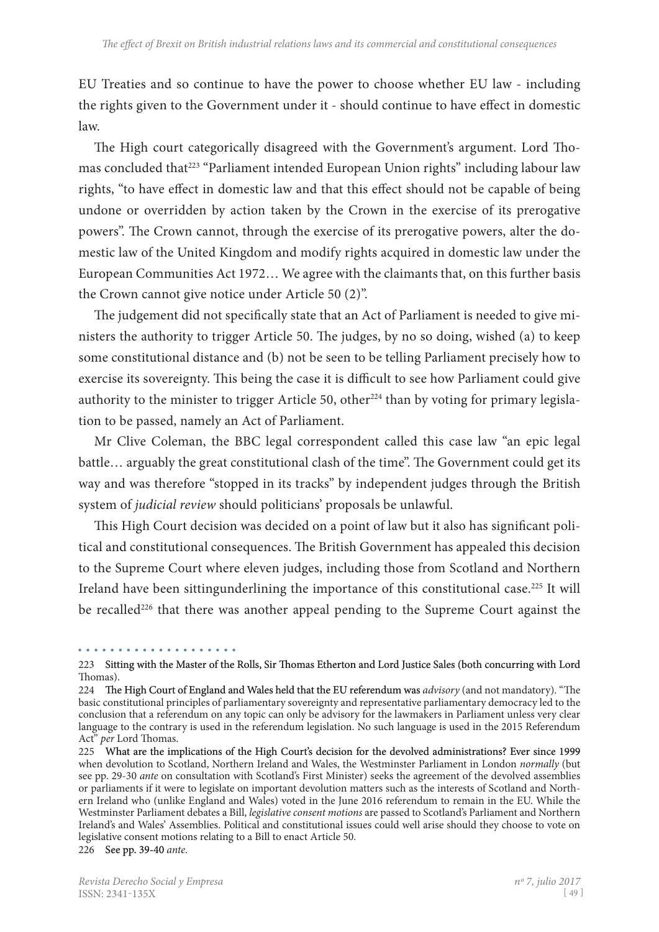EU Treaties and so continue to have the power to choose whether EU law - including the rights given to the Government under it - should continue to have effect in domestic law.

The High court categorically disagreed with the Government's argument. Lord Thomas concluded that<sup>223</sup> "Parliament intended European Union rights" including labour law rights, "to have effect in domestic law and that this effect should not be capable of being undone or overridden by action taken by the Crown in the exercise of its prerogative powers". The Crown cannot, through the exercise of its prerogative powers, alter the domestic law of the United Kingdom and modify rights acquired in domestic law under the European Communities Act 1972… We agree with the claimants that, on this further basis the Crown cannot give notice under Article 50 (2)".

The judgement did not specifically state that an Act of Parliament is needed to give ministers the authority to trigger Article 50. The judges, by no so doing, wished (a) to keep some constitutional distance and (b) not be seen to be telling Parliament precisely how to exercise its sovereignty. This being the case it is difficult to see how Parliament could give authority to the minister to trigger Article 50, other<sup>224</sup> than by voting for primary legislation to be passed, namely an Act of Parliament.

Mr Clive Coleman, the BBC legal correspondent called this case law "an epic legal battle… arguably the great constitutional clash of the time". The Government could get its way and was therefore "stopped in its tracks" by independent judges through the British system of *judicial review* should politicians' proposals be unlawful.

This High Court decision was decided on a point of law but it also has significant political and constitutional consequences. The British Government has appealed this decision to the Supreme Court where eleven judges, including those from Scotland and Northern Ireland have been sittingunderlining the importance of this constitutional case.<sup>225</sup> It will be recalled<sup>226</sup> that there was another appeal pending to the Supreme Court against the

<sup>223</sup> Sitting with the Master of the Rolls, Sir Thomas Etherton and Lord Justice Sales (both concurring with Lord Thomas).

<sup>224</sup> The High Court of England and Wales held that the EU referendum was *advisory* (and not mandatory). "The basic constitutional principles of parliamentary sovereignty and representative parliamentary democracy led to the conclusion that a referendum on any topic can only be advisory for the lawmakers in Parliament unless very clear language to the contrary is used in the referendum legislation. No such language is used in the 2015 Referendum Act" *per* Lord Thomas.

<sup>225</sup> What are the implications of the High Court's decision for the devolved administrations? Ever since 1999 when devolution to Scotland, Northern Ireland and Wales, the Westminster Parliament in London *normally* (but see pp. 29-30 *ante* on consultation with Scotland's First Minister) seeks the agreement of the devolved assemblies or parliaments if it were to legislate on important devolution matters such as the interests of Scotland and Northern Ireland who (unlike England and Wales) voted in the June 2016 referendum to remain in the EU. While the Westminster Parliament debates a Bill, *legislative consent motions* are passed to Scotland's Parliament and Northern Ireland's and Wales' Assemblies. Political and constitutional issues could well arise should they choose to vote on legislative consent motions relating to a Bill to enact Article 50. 226 See pp. 39-40 ante.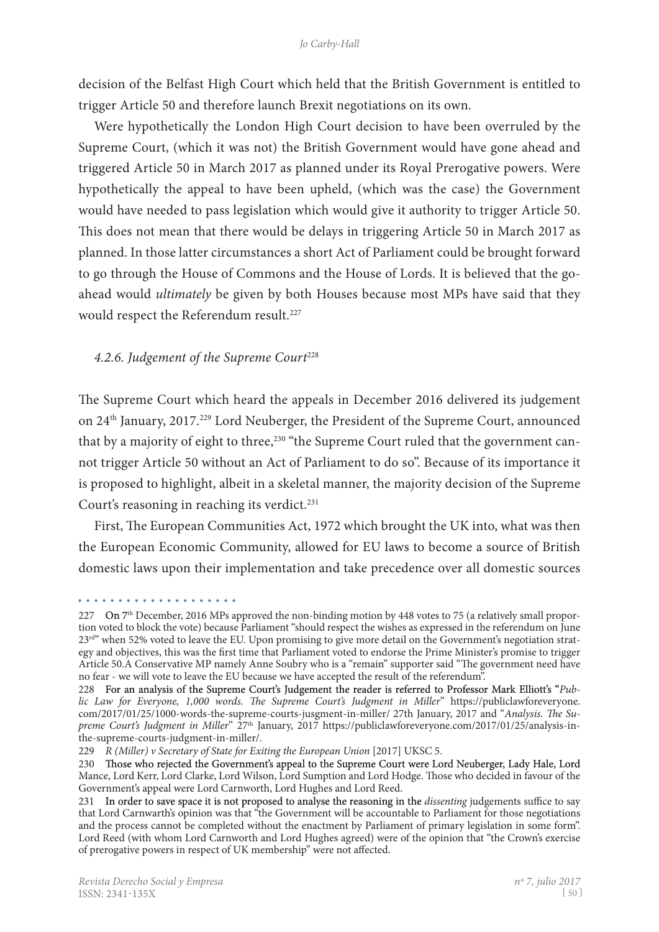decision of the Belfast High Court which held that the British Government is entitled to trigger Article 50 and therefore launch Brexit negotiations on its own.

Were hypothetically the London High Court decision to have been overruled by the Supreme Court, (which it was not) the British Government would have gone ahead and triggered Article 50 in March 2017 as planned under its Royal Prerogative powers. Were hypothetically the appeal to have been upheld, (which was the case) the Government would have needed to pass legislation which would give it authority to trigger Article 50. This does not mean that there would be delays in triggering Article 50 in March 2017 as planned. In those latter circumstances a short Act of Parliament could be brought forward to go through the House of Commons and the House of Lords. It is believed that the goahead would *ultimately* be given by both Houses because most MPs have said that they would respect the Referendum result.<sup>227</sup>

#### 4.2.6. Judgement of the Supreme Court<sup>228</sup>

The Supreme Court which heard the appeals in December 2016 delivered its judgement on 24th January, 2017.229 Lord Neuberger, the President of the Supreme Court, announced that by a majority of eight to three,<sup>230</sup> "the Supreme Court ruled that the government cannot trigger Article 50 without an Act of Parliament to do so". Because of its importance it is proposed to highlight, albeit in a skeletal manner, the majority decision of the Supreme Court's reasoning in reaching its verdict.<sup>231</sup>

First, The European Communities Act, 1972 which brought the UK into, what was then the European Economic Community, allowed for EU laws to become a source of British domestic laws upon their implementation and take precedence over all domestic sources

<sup>. . . . . . . . . . . . . .</sup> 

<sup>227</sup> On  $7<sup>th</sup>$  December, 2016 MPs approved the non-binding motion by 448 votes to 75 (a relatively small proportion voted to block the vote) because Parliament "should respect the wishes as expressed in the referendum on June 23<sup>rd"</sup> when 52% voted to leave the EU. Upon promising to give more detail on the Government's negotiation strategy and objectives, this was the first time that Parliament voted to endorse the Prime Minister's promise to trigger Article 50.A Conservative MP namely Anne Soubry who is a "remain" supporter said "The government need have no fear - we will vote to leave the EU because we have accepted the result of the referendum".

<sup>228</sup>  For an analysis of the Supreme Court's Judgement the reader is referred to Professor Mark Elliott's "*Public Law for Everyone, 1,000 words. The Supreme Court's Judgment in Miller*" https://publiclawforeveryone. com/2017/01/25/1000-words-the-supreme-courts-jusgment-in-miller/ 27th January, 2017 and "*Analysis. The Supreme Court's Judgment in Miller*" 27<sup>th</sup> January, 2017 https://publiclawforeveryone.com/2017/01/25/analysis-inthe-supreme-courts-judgment-in-miller/.

<sup>229</sup> *R (Miller) v Secretary of State for Exiting the European Union* [2017] UKSC 5.

<sup>230</sup> Those who rejected the Government's appeal to the Supreme Court were Lord Neuberger, Lady Hale, Lord Mance, Lord Kerr, Lord Clarke, Lord Wilson, Lord Sumption and Lord Hodge. Those who decided in favour of the Government's appeal were Lord Carnworth, Lord Hughes and Lord Reed.

<sup>231</sup> In order to save space it is not proposed to analyse the reasoning in the *dissenting* judgements suffice to say that Lord Carnwarth's opinion was that "the Government will be accountable to Parliament for those negotiations and the process cannot be completed without the enactment by Parliament of primary legislation in some form". Lord Reed (with whom Lord Carnworth and Lord Hughes agreed) were of the opinion that "the Crown's exercise of prerogative powers in respect of UK membership" were not affected.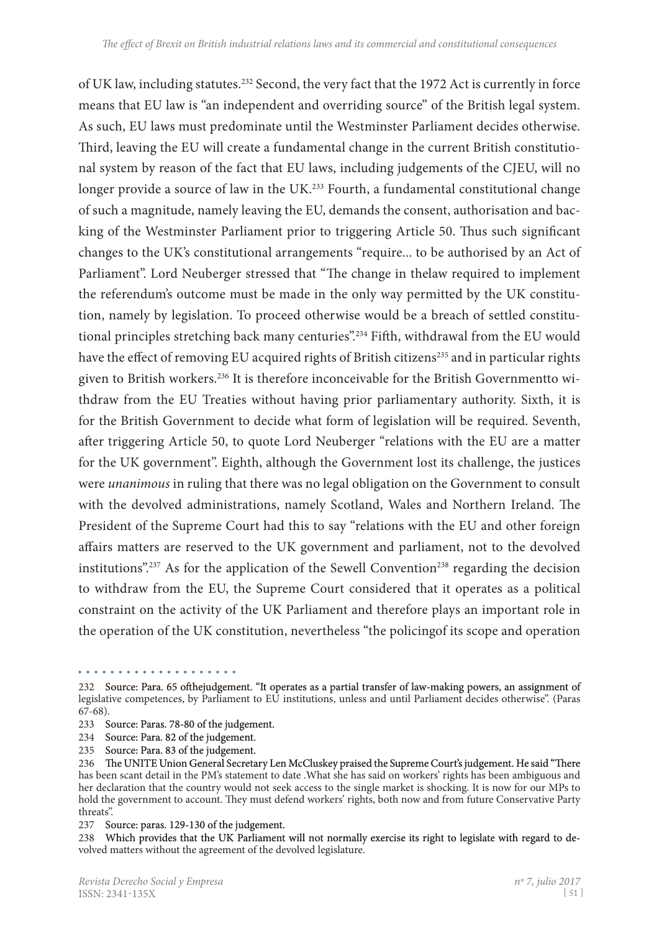of UK law, including statutes.232 Second, the very fact that the 1972 Act is currently in force means that EU law is "an independent and overriding source" of the British legal system. As such, EU laws must predominate until the Westminster Parliament decides otherwise. Third, leaving the EU will create a fundamental change in the current British constitutional system by reason of the fact that EU laws, including judgements of the CJEU, will no longer provide a source of law in the UK.<sup>233</sup> Fourth, a fundamental constitutional change of such a magnitude, namely leaving the EU, demands the consent, authorisation and bac� king of the Westminster Parliament prior to triggering Article 50. Thus such significant changes to the UK's constitutional arrangements "require... to be authorised by an Act of Parliament". Lord Neuberger stressed that "The change in thelaw required to implement the referendum's outcome must be made in the only way permitted by the UK constitution, namely by legislation. To proceed otherwise would be a breach of settled constitutional principles stretching back many centuries".<sup>234</sup> Fifth, withdrawal from the EU would have the effect of removing EU acquired rights of British citizens<sup>235</sup> and in particular rights given to British workers.<sup>236</sup> It is therefore inconceivable for the British Governmentto withdraw from the EU Treaties without having prior parliamentary authority. Sixth, it is for the British Government to decide what form of legislation will be required. Seventh, after triggering Article 50, to quote Lord Neuberger "relations with the EU are a matter for the UK government". Eighth, although the Government lost its challenge, the justices were *unanimous* in ruling that there was no legal obligation on the Government to consult with the devolved administrations, namely Scotland, Wales and Northern Ireland. The President of the Supreme Court had this to say "relations with the EU and other foreign affairs matters are reserved to the UK government and parliament, not to the devolved institutions".<sup>237</sup> As for the application of the Sewell Convention<sup>238</sup> regarding the decision to withdraw from the EU, the Supreme Court considered that it operates as a political constraint on the activity of the UK Parliament and therefore plays an important role in the operation of the UK constitution, nevertheless "the policingof its scope and operation

<sup>232</sup> Source: Para. 65 ofthejudgement. "It operates as a partial transfer of law-making powers, an assignment of legislative competences, by Parliament to EU institutions, unless and until Parliament decides otherwise". (Paras  $(67-68)$ .

<sup>233</sup> Source: Paras. 78-80 of the judgement.

<sup>234</sup>  Source: Para. 82 of the judgement.

<sup>235</sup>  Source: Para. 83 of the judgement.

<sup>236</sup> The UNITE Union General Secretary Len McCluskey praised the Supreme Court's judgement. He said "There has been scant detail in the PM's statement to date .What she has said on workers' rights has been ambiguous and her declaration that the country would not seek access to the single market is shocking. It is now for our MPs to hold the government to account. They must defend workers' rights, both now and from future Conservative Party threats".

<sup>237</sup> Source: paras. 129-130 of the judgement.

<sup>238</sup> Which provides that the UK Parliament will not normally exercise its right to legislate with regard to devolved matters without the agreement of the devolved legislature.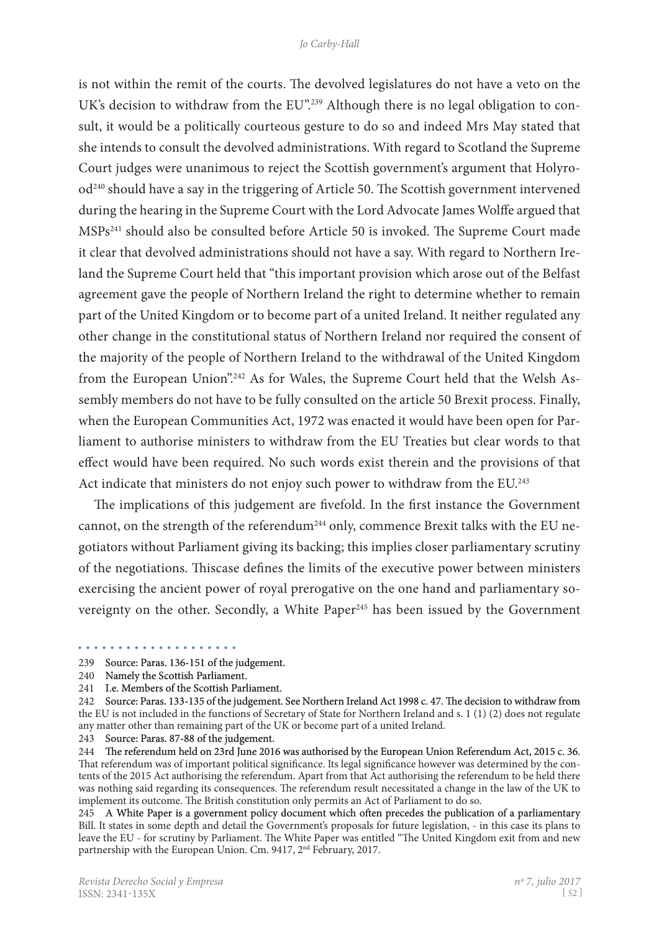is not within the remit of the courts. The devolved legislatures do not have a veto on the UK's decision to withdraw from the EU".<sup>239</sup> Although there is no legal obligation to consult, it would be a politically courteous gesture to do so and indeed Mrs May stated that she intends to consult the devolved administrations. With regard to Scotland the Supreme Court judges were unanimous to reject the Scottish government's argument that Holyrood240 should have a say in the triggering of Article 50. The Scottish government intervened during the hearing in the Supreme Court with the Lord Advocate James Wolffe argued that MSPs241 should also be consulted before Article 50 is invoked. The Supreme Court made it clear that devolved administrations should not have a say. With regard to Northern Ireland the Supreme Court held that "this important provision which arose out of the Belfast agreement gave the people of Northern Ireland the right to determine whether to remain part of the United Kingdom or to become part of a united Ireland. It neither regulated any other change in the constitutional status of Northern Ireland nor required the consent of the majority of the people of Northern Ireland to the withdrawal of the United Kingdom from the European Union".<sup>242</sup> As for Wales, the Supreme Court held that the Welsh Assembly members do not have to be fully consulted on the article 50 Brexit process. Finally, when the European Communities Act, 1972 was enacted it would have been open for Parliament to authorise ministers to withdraw from the EU Treaties but clear words to that effect would have been required. No such words exist therein and the provisions of that Act indicate that ministers do not enjoy such power to withdraw from the EU.<sup>243</sup>

The implications of this judgement are fivefold. In the first instance the Government cannot, on the strength of the referendum<sup>244</sup> only, commence Brexit talks with the EU negotiators without Parliament giving its backing; this implies closer parliamentary scrutiny of the negotiations. Thiscase defines the limits of the executive power between ministers exercising the ancient power of royal prerogative on the one hand and parliamentary sovereignty on the other. Secondly, a White Paper<sup>245</sup> has been issued by the Government

243 Source: Paras. 87-88 of the judgement.

245 A White Paper is a government policy document which often precedes the publication of a parliamentary Bill. It states in some depth and detail the Government's proposals for future legislation, - in this case its plans to leave the EU - for scrutiny by Parliament. The White Paper was entitled "The United Kingdom exit from and new partnership with the European Union. Cm. 9417, 2<sup>nd</sup> February, 2017.

<sup>239</sup> Source: Paras. 136-151 of the judgement.

<sup>240</sup>  Namely the Scottish Parliament.

<sup>241</sup>  I.e. Members of the Scottish Parliament.

<sup>242</sup> Source: Paras. 133-135 of the judgement. See Northern Ireland Act 1998 c. 47. The decision to withdraw from the EU is not included in the functions of Secretary of State for Northern Ireland and s. 1 (1) (2) does not regulate any matter other than remaining part of the UK or become part of a united Ireland.

<sup>244</sup> �e referendum held on 23rd June 2016 was authorised by the European Union Referendum Act, 2015 c. 36. That referendum was of important political significance. Its legal significance however was determined by the contents of the 2015 Act authorising the referendum. Apart from that Act authorising the referendum to be held there was nothing said regarding its consequences. The referendum result necessitated a change in the law of the UK to implement its outcome. The British constitution only permits an Act of Parliament to do so.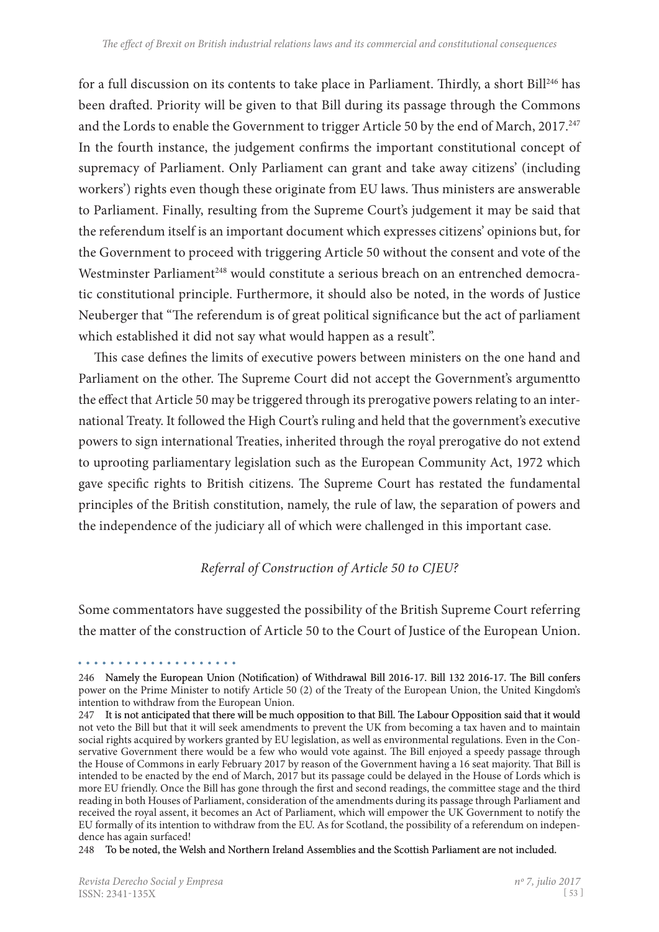for a full discussion on its contents to take place in Parliament. Thirdly, a short Bill<sup>246</sup> has been drafted. Priority will be given to that Bill during its passage through the Commons and the Lords to enable the Government to trigger Article 50 by the end of March, 2017.<sup>247</sup> In the fourth instance, the judgement confirms the important constitutional concept of supremacy of Parliament. Only Parliament can grant and take away citizens' (including workers') rights even though these originate from EU laws. Thus ministers are answerable to Parliament. Finally, resulting from the Supreme Court's judgement it may be said that the referendum itself is an important document which expresses citizens' opinions but, for the Government to proceed with triggering Article 50 without the consent and vote of the Westminster Parliament<sup>248</sup> would constitute a serious breach on an entrenched democratic constitutional principle. Furthermore, it should also be noted, in the words of Justice Neuberger that "The referendum is of great political significance but the act of parliament which established it did not say what would happen as a result".

This case defines the limits of executive powers between ministers on the one hand and Parliament on the other. The Supreme Court did not accept the Government's argumentto the effect that Article 50 may be triggered through its prerogative powers relating to an international Treaty. It followed the High Court's ruling and held that the government's executive powers to sign international Treaties, inherited through the royal prerogative do not extend to uprooting parliamentary legislation such as the European Community Act, 1972 which gave specific rights to British citizens. The Supreme Court has restated the fundamental principles of the British constitution, namely, the rule of law, the separation of powers and the independence of the judiciary all of which were challenged in this important case.

# *Referral of Construction of Article 50 to CJEU?*

Some commentators have suggested the possibility of the British Supreme Court referring the matter of the construction of Article 50 to the Court of Justice of the European Union.

248 To be noted, the Welsh and Northern Ireland Assemblies and the Scottish Parliament are not included.

<sup>246</sup> Namely the European Union (Notification) of Withdrawal Bill 2016-17. Bill 132 2016-17. The Bill confers power on the Prime Minister to notify Article 50 (2) of the Treaty of the European Union, the United Kingdom's intention to withdraw from the European Union.

<sup>247</sup> It is not anticipated that there will be much opposition to that Bill. The Labour Opposition said that it would not veto the Bill but that it will seek amendments to prevent the UK from becoming a tax haven and to maintain social rights acquired by workers granted by EU legislation, as well as environmental regulations. Even in the Conservative Government there would be a few who would vote against. The Bill enjoyed a speedy passage through the House of Commons in early February 2017 by reason of the Government having a 16 seat majority. That Bill is intended to be enacted by the end of March, 2017 but its passage could be delayed in the House of Lords which is more EU friendly. Once the Bill has gone through the first and second readings, the committee stage and the third reading in both Houses of Parliament, consideration of the amendments during its passage through Parliament and received the royal assent, it becomes an Act of Parliament, which will empower the UK Government to notify the EU formally of its intention to withdraw from the EU. As for Scotland, the possibility of a referendum on indepen� dence has again surfaced!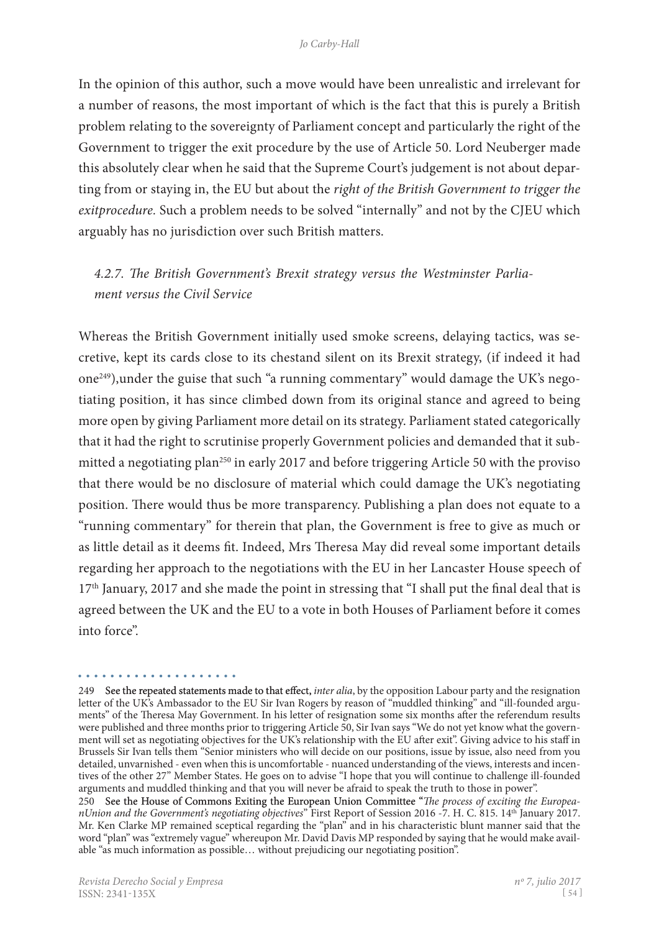In the opinion of this author, such a move would have been unrealistic and irrelevant for a number of reasons, the most important of which is the fact that this is purely a British problem relating to the sovereignty of Parliament concept and particularly the right of the Government to trigger the exit procedure by the use of Article 50. Lord Neuberger made this absolutely clear when he said that the Supreme Court's judgement is not about depar� ting from or staying in, the EU but about the *right of the British Government to trigger the exitprocedure.* Such a problem needs to be solved "internally" and not by the CJEU which arguably has no jurisdiction over such British matters.

# *4.2.7. The British Government's Brexit strategy versus the Westminster Parliament versus the Civil Service*

Whereas the British Government initially used smoke screens, delaying tactics, was secretive, kept its cards close to its chestand silent on its Brexit strategy, (if indeed it had one<sup>249</sup>), under the guise that such "a running commentary" would damage the UK's negotiating position, it has since climbed down from its original stance and agreed to being more open by giving Parliament more detail on its strategy. Parliament stated categorically that it had the right to scrutinise properly Government policies and demanded that it submitted a negotiating plan<sup>250</sup> in early 2017 and before triggering Article 50 with the proviso that there would be no disclosure of material which could damage the UK's negotiating position. There would thus be more transparency. Publishing a plan does not equate to a "running commentary" for therein that plan, the Government is free to give as much or as little detail as it deems fit. Indeed, Mrs Theresa May did reveal some important details regarding her approach to the negotiations with the EU in her Lancaster House speech of  $17<sup>th</sup>$  January, 2017 and she made the point in stressing that "I shall put the final deal that is agreed between the UK and the EU to a vote in both Houses of Parliament before it comes into force".

<sup>249</sup> See the repeated statements made to that effect, *inter alia*, by the opposition Labour party and the resignation letter of the UK's Ambassador to the EU Sir Ivan Rogers by reason of "muddled thinking" and "ill-founded arguments" of the Theresa May Government. In his letter of resignation some six months after the referendum results were published and three months prior to triggering Article 50, Sir Ivan says "We do not yet know what the government will set as negotiating objectives for the UK's relationship with the EU after exit". Giving advice to his staff in Brussels Sir Ivan tells them "Senior ministers who will decide on our positions, issue by issue, also need from you detailed, unvarnished - even when this is uncomfortable - nuanced understanding of the views, interests and incentives of the other 27" Member States. He goes on to advise "I hope that you will continue to challenge ill-founded arguments and muddled thinking and that you will never be afraid to speak the truth to those in power".

<sup>250</sup>  See the House of Commons Exiting the European Union Committee "*The process of exciting the EuropeanUnion and the Government's negotiating objectives*" First Report of Session 2016 -7. H. C. 815. 14th January 2017. Mr. Ken Clarke MP remained sceptical regarding the "plan" and in his characteristic blunt manner said that the word "plan" was "extremely vague" whereupon Mr. David Davis MP responded by saying that he would make available "as much information as possible… without prejudicing our negotiating position".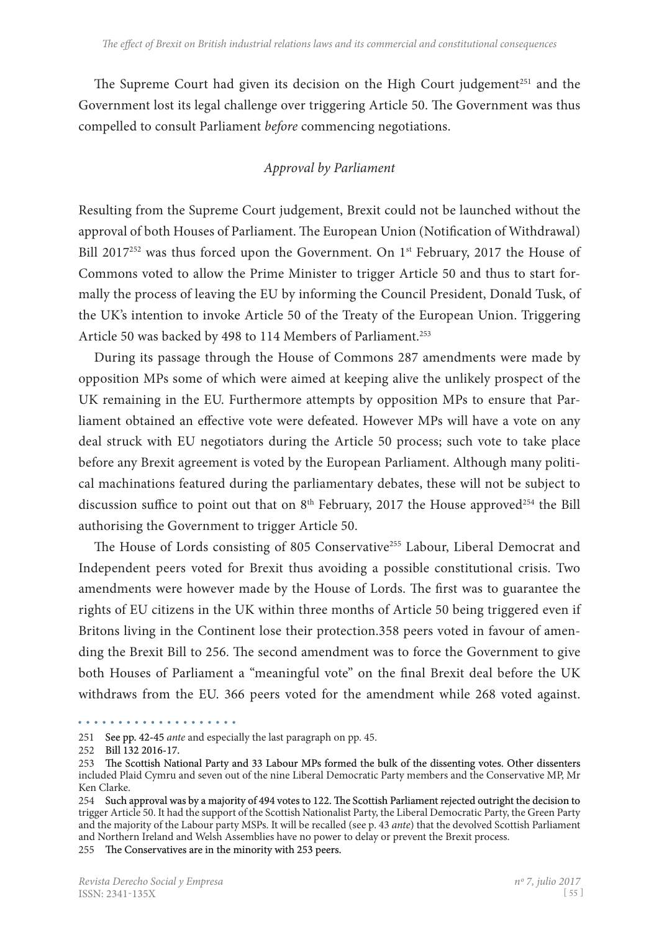The Supreme Court had given its decision on the High Court judgement<sup>251</sup> and the Government lost its legal challenge over triggering Article 50. The Government was thus compelled to consult Parliament *before* commencing negotiations.

## *Approval by Parliament*

Resulting from the Supreme Court judgement, Brexit could not be launched without the approval of both Houses of Parliament. The European Union (Notification of Withdrawal) Bill 2017<sup>252</sup> was thus forced upon the Government. On 1<sup>st</sup> February, 2017 the House of Commons voted to allow the Prime Minister to trigger Article 50 and thus to start formally the process of leaving the EU by informing the Council President, Donald Tusk, of the UK's intention to invoke Article 50 of the Treaty of the European Union. Triggering Article 50 was backed by 498 to 114 Members of Parliament.<sup>253</sup>

During its passage through the House of Commons 287 amendments were made by opposition MPs some of which were aimed at keeping alive the unlikely prospect of the UK remaining in the EU. Furthermore attempts by opposition MPs to ensure that Par� liament obtained an effective vote were defeated. However MPs will have a vote on any deal struck with EU negotiators during the Article 50 process; such vote to take place before any Brexit agreement is voted by the European Parliament. Although many political machinations featured during the parliamentary debates, these will not be subject to discussion suffice to point out that on  $8<sup>th</sup>$  February, 2017 the House approved<sup>254</sup> the Bill authorising the Government to trigger Article 50.

The House of Lords consisting of 805 Conservative<sup>255</sup> Labour, Liberal Democrat and Independent peers voted for Brexit thus avoiding a possible constitutional crisis. Two amendments were however made by the House of Lords. The first was to guarantee the rights of EU citizens in the UK within three months of Article 50 being triggered even if Britons living in the Continent lose their protection.358 peers voted in favour of amending the Brexit Bill to 256. The second amendment was to force the Government to give both Houses of Parliament a "meaningful vote" on the final Brexit deal before the UK withdraws from the EU. 366 peers voted for the amendment while 268 voted against.

255 The Conservatives are in the minority with 253 peers.

<sup>. . . . . . . . . . . . . . . . . . . .</sup> 

<sup>251</sup> See pp. 42-45 *ante* and especially the last paragraph on pp. 45.

<sup>252</sup> Bill 132 2016-17.

<sup>253</sup> The Scottish National Party and 33 Labour MPs formed the bulk of the dissenting votes. Other dissenters included Plaid Cymru and seven out of the nine Liberal Democratic Party members and the Conservative MP, Mr Ken Clarke.

<sup>254</sup> Such approval was by a majority of 494 votes to 122. The Scottish Parliament rejected outright the decision to trigger Article 50. It had the support of the Scottish Nationalist Party, the Liberal Democratic Party, the Green Party and the majority of the Labour party MSPs. It will be recalled (see p. 43 *ante*) that the devolved Scottish Parliament and Northern Ireland and Welsh Assemblies have no power to delay or prevent the Brexit process.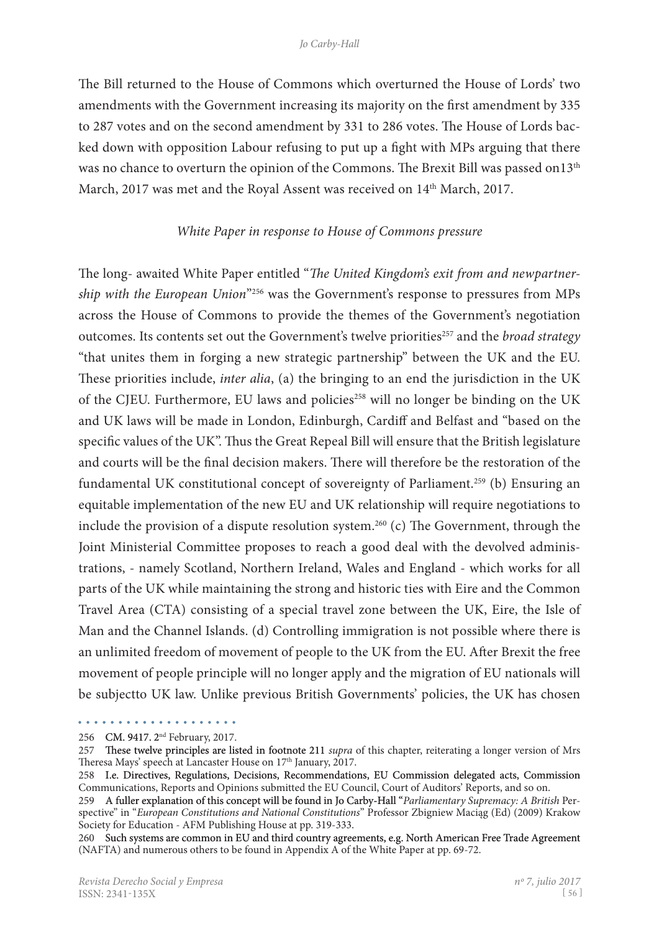The Bill returned to the House of Commons which overturned the House of Lords' two amendments with the Government increasing its majority on the first amendment by 335 to 287 votes and on the second amendment by 331 to 286 votes. The House of Lords backed down with opposition Labour refusing to put up a fight with MPs arguing that there was no chance to overturn the opinion of the Commons. The Brexit Bill was passed on13<sup>th</sup> March, 2017 was met and the Royal Assent was received on 14<sup>th</sup> March, 2017.

#### *White Paper in response to House of Commons pressure*

The long- awaited White Paper entitled "*The United Kingdom's exit from and newpartnership with the European Union*"256 was the Government's response to pressures from MPs across the House of Commons to provide the themes of the Government's negotiation outcomes. Its contents set out the Government's twelve priorities<sup>257</sup> and the *broad strategy* "that unites them in forging a new strategic partnership" between the UK and the EU. These priorities include, *inter alia*, (a) the bringing to an end the jurisdiction in the UK of the CJEU. Furthermore, EU laws and policies<sup>258</sup> will no longer be binding on the UK and UK laws will be made in London, Edinburgh, Cardiff and Belfast and "based on the specific values of the UK". Thus the Great Repeal Bill will ensure that the British legislature and courts will be the final decision makers. There will therefore be the restoration of the fundamental UK constitutional concept of sovereignty of Parliament.259 (b) Ensuring an equitable implementation of the new EU and UK relationship will require negotiations to include the provision of a dispute resolution system.<sup>260</sup> (c) The Government, through the Joint Ministerial Committee proposes to reach a good deal with the devolved administrations, - namely Scotland, Northern Ireland, Wales and England - which works for all parts of the UK while maintaining the strong and historic ties with Eire and the Common Travel Area (CTA) consisting of a special travel zone between the UK, Eire, the Isle of Man and the Channel Islands. (d) Controlling immigration is not possible where there is an unlimited freedom of movement of people to the UK from the EU. After Brexit the free movement of people principle will no longer apply and the migration of EU nationals will be subjectto UK law. Unlike previous British Governments' policies, the UK has chosen

<sup>. . . . . . . . . . . . . . . . . . . .</sup> 

<sup>256</sup>  CM. 9417. 2nd February, 2017.

<sup>257</sup> These twelve principles are listed in footnote 211 *supra* of this chapter, reiterating a longer version of Mrs Theresa Mays' speech at Lancaster House on 17<sup>th</sup> January, 2017.

<sup>258</sup> I.e. Directives, Regulations, Decisions, Recommendations, EU Commission delegated acts, Commission Communications, Reports and Opinions submitted the EU Council, Court of Auditors' Reports, and so on.

<sup>259</sup> A fuller explanation of this concept will be found in Jo Carby-Hall "Parliamentary Supremacy: A British Perspective" in "*European Constitutions and National Constitutions*" Professor Zbigniew Maciąg (Ed) (2009) Krakow Society for Education - AFM Publishing House at pp. 319-333.

<sup>260</sup> Such systems are common in EU and third country agreements, e.g. North American Free Trade Agreement (NAFTA) and numerous others to be found in Appendix A of the White Paper at pp. 69-72.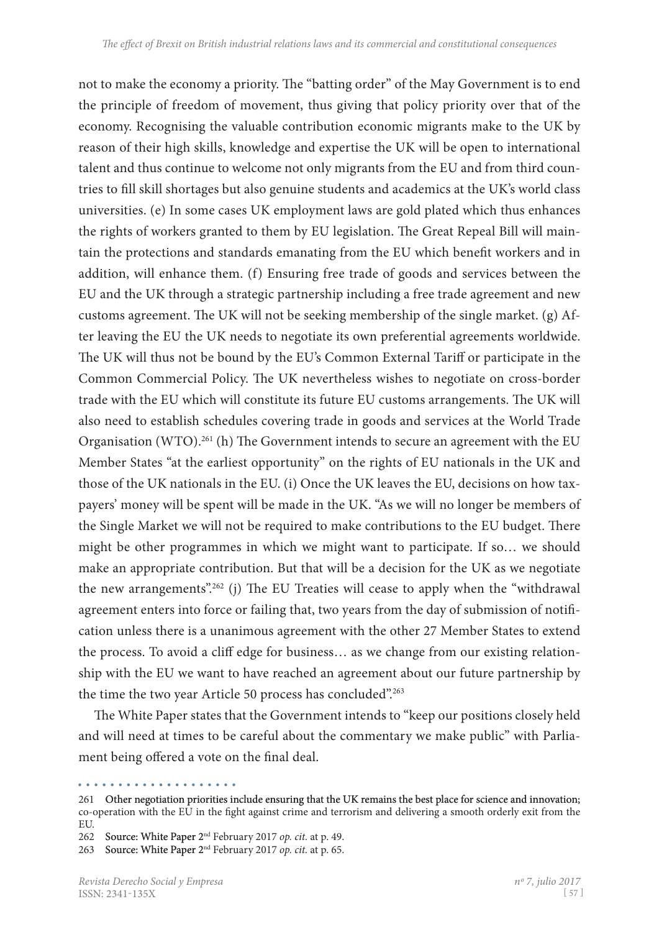not to make the economy a priority. The "batting order" of the May Government is to end the principle of freedom of movement, thus giving that policy priority over that of the economy. Recognising the valuable contribution economic migrants make to the UK by reason of their high skills, knowledge and expertise the UK will be open to international talent and thus continue to welcome not only migrants from the EU and from third coun� tries to fill skill shortages but also genuine students and academics at the UK's world class universities. (e) In some cases UK employment laws are gold plated which thus enhances the rights of workers granted to them by EU legislation. The Great Repeal Bill will maintain the protections and standards emanating from the EU which benefit workers and in addition, will enhance them. (f) Ensuring free trade of goods and services between the EU and the UK through a strategic partnership including a free trade agreement and new customs agreement. The UK will not be seeking membership of the single market. (g)  $Af$ ter leaving the EU the UK needs to negotiate its own preferential agreements worldwide. The UK will thus not be bound by the EU's Common External Tariff or participate in the Common Commercial Policy. The UK nevertheless wishes to negotiate on cross-border trade with the EU which will constitute its future EU customs arrangements. The UK will also need to establish schedules covering trade in goods and services at the World Trade Organisation (WTO).<sup>261</sup> (h) The Government intends to secure an agreement with the EU Member States "at the earliest opportunity" on the rights of EU nationals in the UK and those of the UK nationals in the EU. (i) Once the UK leaves the EU, decisions on how tax� payers' money will be spent will be made in the UK. "As we will no longer be members of the Single Market we will not be required to make contributions to the EU budget. There might be other programmes in which we might want to participate. If so… we should make an appropriate contribution. But that will be a decision for the UK as we negotiate the new arrangements".262 (j) The EU Treaties will cease to apply when the "withdrawal agreement enters into force or failing that, two years from the day of submission of notification unless there is a unanimous agreement with the other 27 Member States to extend the process. To avoid a cliff edge for business... as we change from our existing relationship with the EU we want to have reached an agreement about our future partnership by the time the two year Article 50 process has concluded".<sup>263</sup>

The White Paper states that the Government intends to "keep our positions closely held and will need at times to be careful about the commentary we make public" with Parliament being offered a vote on the final deal.

<sup>261</sup> Other negotiation priorities include ensuring that the UK remains the best place for science and innovation; co-operation with the EU in the fight against crime and terrorism and delivering a smooth orderly exit from the EU.

<sup>262</sup>  Source: White Paper 2nd February 2017 *op. cit.* at p. 49.

<sup>263</sup>  Source: White Paper 2nd February 2017 *op. cit.* at p. 65.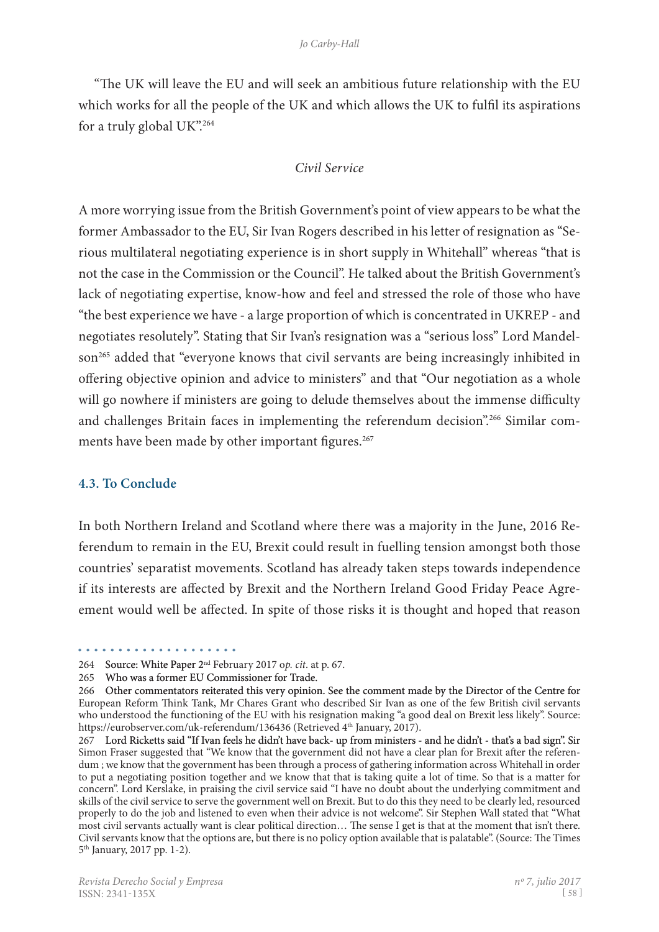"The UK will leave the EU and will seek an ambitious future relationship with the EU which works for all the people of the UK and which allows the UK to fulfil its aspirations for a truly global UK".264

#### *Civil Service*

A more worrying issue from the British Government's point of view appears to be what the former Ambassador to the EU, Sir Ivan Rogers described in his letter of resignation as "Serious multilateral negotiating experience is in short supply in Whitehall" whereas "that is not the case in the Commission or the Council". He talked about the British Government's lack of negotiating expertise, know-how and feel and stressed the role of those who have "the best experience we have - a large proportion of which is concentrated in UKREP - and negotiates resolutely". Stating that Sir Ivan's resignation was a "serious loss" Lord Mandelson<sup>265</sup> added that "everyone knows that civil servants are being increasingly inhibited in offering objective opinion and advice to ministers" and that "Our negotiation as a whole will go nowhere if ministers are going to delude themselves about the immense difficulty and challenges Britain faces in implementing the referendum decision".<sup>266</sup> Similar comments have been made by other important figures.<sup>267</sup>

#### **4.3. To Conclude**

. . . . . . . . . . . . . .

In both Northern Ireland and Scotland where there was a majority in the June, 2016 Referendum to remain in the EU, Brexit could result in fuelling tension amongst both those countries' separatist movements. Scotland has already taken steps towards independence if its interests are affected by Brexit and the Northern Ireland Good Friday Peace Agreement would well be affected. In spite of those risks it is thought and hoped that reason

<sup>264</sup>  Source: White Paper 2nd February 2017 o*p. cit*. at p. 67.

<sup>265</sup>  Who was a former EU Commissioner for Trade.

<sup>266</sup> Other commentators reiterated this very opinion. See the comment made by the Director of the Centre for European Reform Think Tank, Mr Chares Grant who described Sir Ivan as one of the few British civil servants who understood the functioning of the EU with his resignation making "a good deal on Brexit less likely". Source: https://eurobserver.com/uk-referendum/136436 (Retrieved 4<sup>th</sup> January, 2017).

<sup>267</sup> Lord Ricketts said "If Ivan feels he didn't have back- up from ministers - and he didn't - that's a bad sign". Sir Simon Fraser suggested that "We know that the government did not have a clear plan for Brexit after the referendum ; we know that the government has been through a process of gathering information across Whitehall in order to put a negotiating position together and we know that that is taking quite a lot of time. So that is a matter for concern". Lord Kerslake, in praising the civil service said "I have no doubt about the underlying commitment and skills of the civil service to serve the government well on Brexit. But to do this they need to be clearly led, resourced properly to do the job and listened to even when their advice is not welcome". Sir Stephen Wall stated that "What most civil servants actually want is clear political direction... The sense I get is that at the moment that isn't there. Civil servants know that the options are, but there is no policy option available that is palatable". (Source: The Times 5th January, 2017 pp. 1-2).